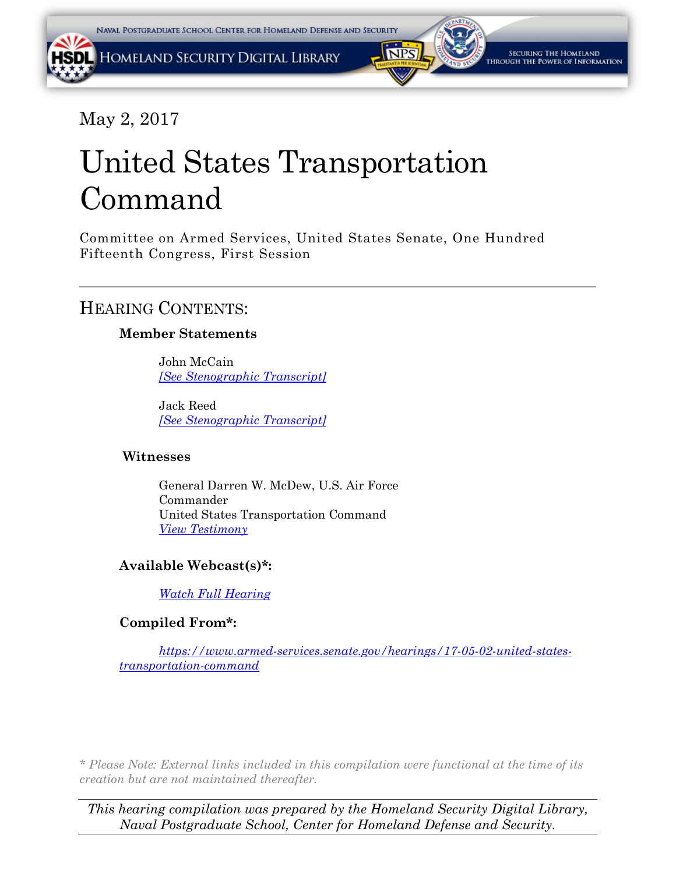## May 2, 2017

# United States Transportation Command

Committee on Armed Services, United States Senate, One Hundred Fifteenth Congress, First Session

## HEARING CONTENTS:

## **Member Statements**

John McCain *[\[See Stenographic Transcript\]](#page-1-0)*

Jack Reed *[\[See Stenographic Transcript\]](#page-1-0)*

### **Witnesses**

General Darren W. McDew, U.S. Air Force Commander United States Transportation Command *[View Testimony](#page-69-0)*

## **Available Webcast(s)\*:**

*[Watch Full Hearing](https://www.armed-services.senate.gov/hearings/watch?hearingid=AEDA64B9-5056-A066-6004-9D8C0586E539)*

## **Compiled From\*:**

*[https://www.armed-services.senate.gov/hearings/17-05-02-united-states](https://www.armed-services.senate.gov/hearings/17-05-02-united-states-transportation-command)[transportation-command](https://www.armed-services.senate.gov/hearings/17-05-02-united-states-transportation-command)*

*\* Please Note: External links included in this compilation were functional at the time of its creation but are not maintained thereafter.* 

*This hearing compilation was prepared by the Homeland Security Digital Library, Naval Postgraduate School, Center for Homeland Defense and Security.*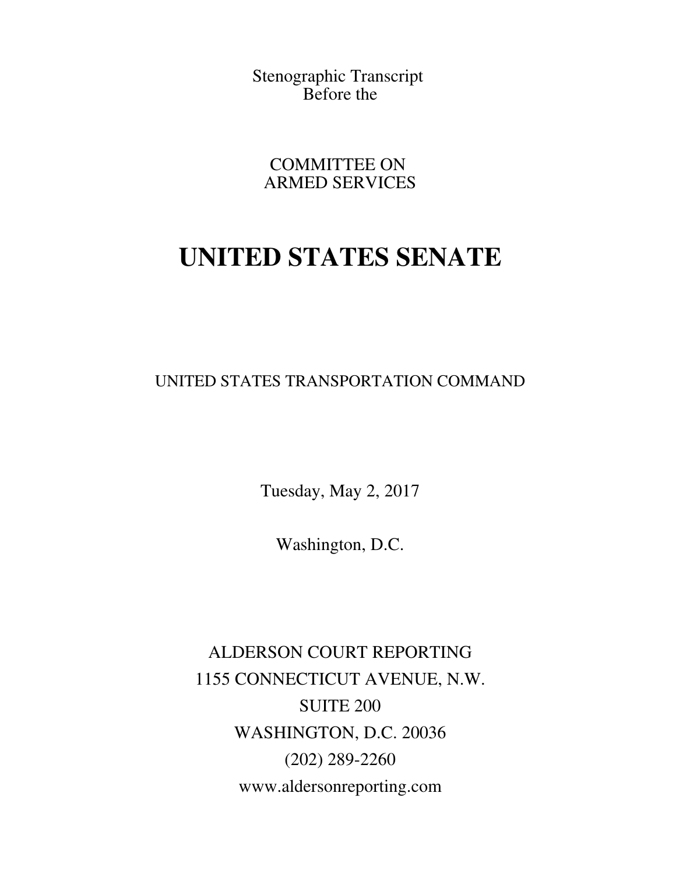<span id="page-1-0"></span>Stenographic Transcript Before the

COMMITTEE ON ARMED SERVICES

## **UNITED STATES SENATE**

UNITED STATES TRANSPORTATION COMMAND

Tuesday, May 2, 2017

Washington, D.C.

ALDERSON COURT REPORTING 1155 CONNECTICUT AVENUE, N.W. SUITE 200 WASHINGTON, D.C. 20036 (202) 289-2260 www.aldersonreporting.com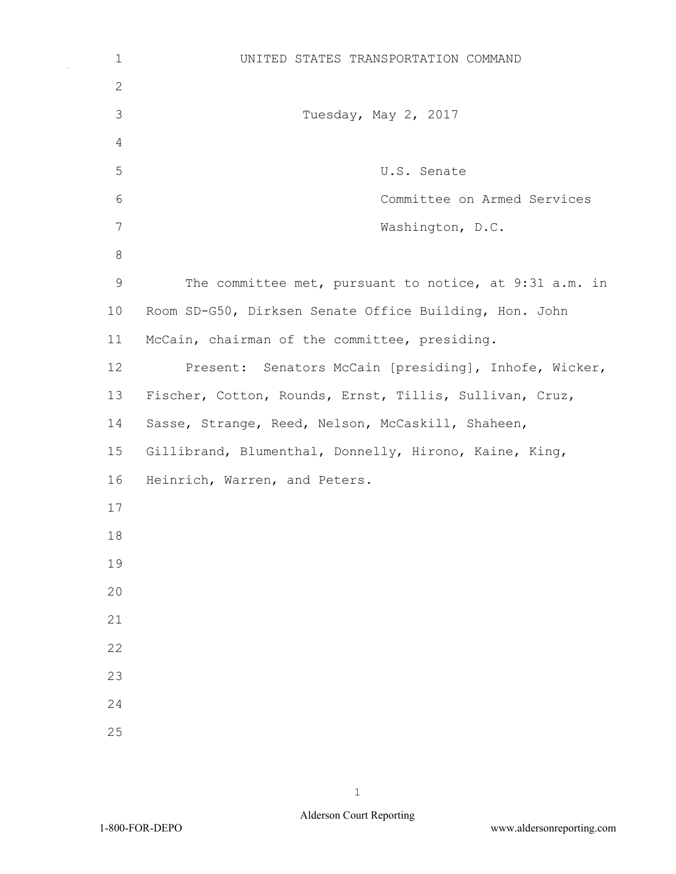| $\mathbf 1$  | UNITED STATES TRANSPORTATION COMMAND                    |
|--------------|---------------------------------------------------------|
| $\mathbf{2}$ |                                                         |
| 3            | Tuesday, May 2, 2017                                    |
| 4            |                                                         |
| 5            | U.S. Senate                                             |
| 6            | Committee on Armed Services                             |
| 7            | Washington, D.C.                                        |
| 8            |                                                         |
| $\mathsf 9$  | The committee met, pursuant to notice, at 9:31 a.m. in  |
| 10           | Room SD-G50, Dirksen Senate Office Building, Hon. John  |
| 11           | McCain, chairman of the committee, presiding.           |
| 12           | Present: Senators McCain [presiding], Inhofe, Wicker,   |
| 13           | Fischer, Cotton, Rounds, Ernst, Tillis, Sullivan, Cruz, |
| 14           | Sasse, Strange, Reed, Nelson, McCaskill, Shaheen,       |
| 15           | Gillibrand, Blumenthal, Donnelly, Hirono, Kaine, King,  |
| 16           | Heinrich, Warren, and Peters.                           |
| 17           |                                                         |
| 18           |                                                         |
| 19           |                                                         |
| 20           |                                                         |
| 21           |                                                         |
| 22           |                                                         |
| 23           |                                                         |
| 24           |                                                         |
| 25           |                                                         |

 $\bar{\beta}$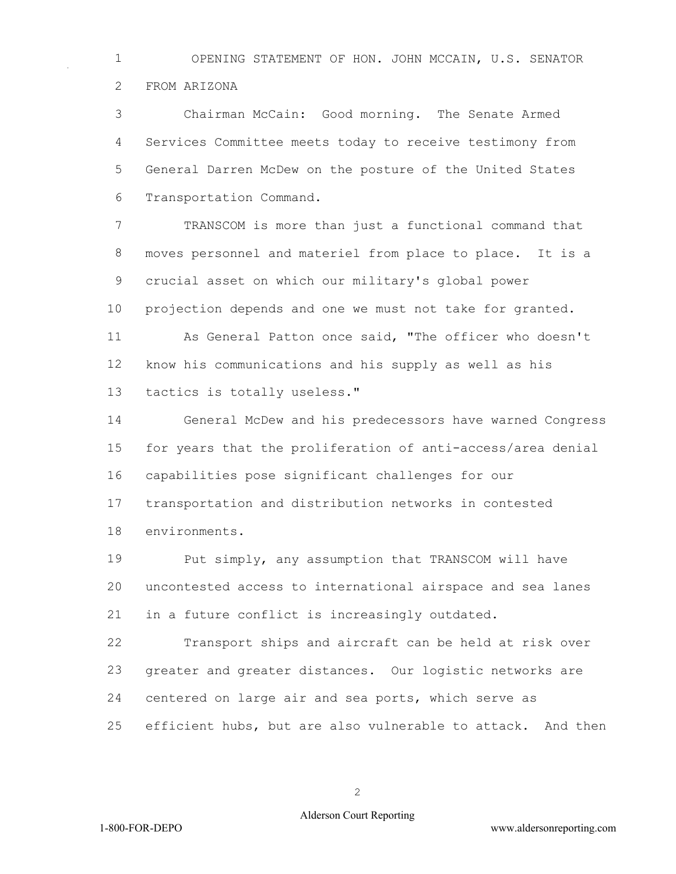OPENING STATEMENT OF HON. JOHN MCCAIN, U.S. SENATOR FROM ARIZONA

 Chairman McCain: Good morning. The Senate Armed Services Committee meets today to receive testimony from General Darren McDew on the posture of the United States Transportation Command.

 TRANSCOM is more than just a functional command that moves personnel and materiel from place to place. It is a crucial asset on which our military's global power projection depends and one we must not take for granted. As General Patton once said, "The officer who doesn't know his communications and his supply as well as his

tactics is totally useless."

 General McDew and his predecessors have warned Congress for years that the proliferation of anti-access/area denial capabilities pose significant challenges for our transportation and distribution networks in contested environments.

 Put simply, any assumption that TRANSCOM will have uncontested access to international airspace and sea lanes in a future conflict is increasingly outdated.

 Transport ships and aircraft can be held at risk over greater and greater distances. Our logistic networks are centered on large air and sea ports, which serve as efficient hubs, but are also vulnerable to attack. And then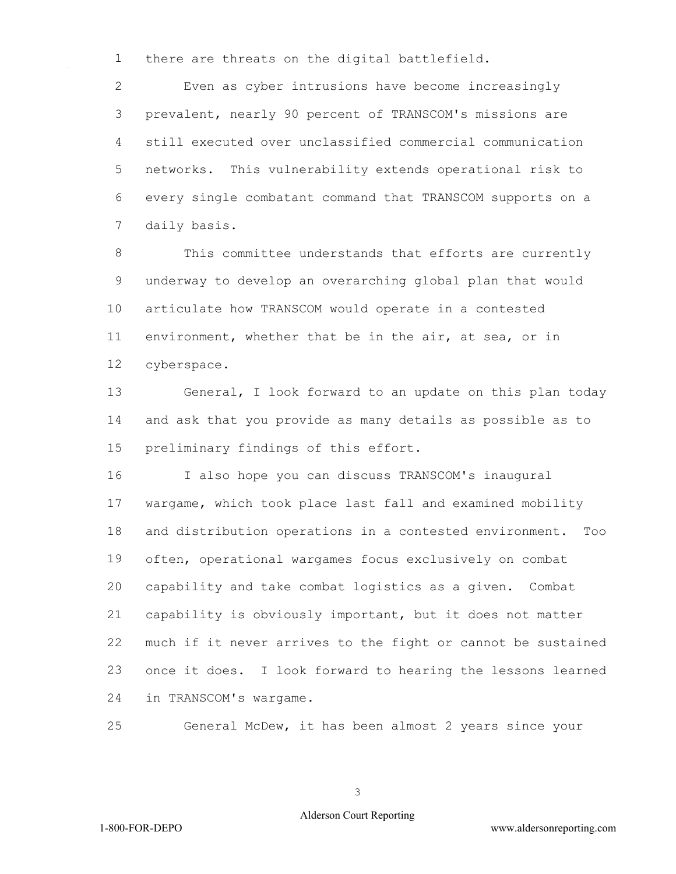there are threats on the digital battlefield.

 Even as cyber intrusions have become increasingly prevalent, nearly 90 percent of TRANSCOM's missions are still executed over unclassified commercial communication networks. This vulnerability extends operational risk to every single combatant command that TRANSCOM supports on a daily basis.

 This committee understands that efforts are currently underway to develop an overarching global plan that would articulate how TRANSCOM would operate in a contested environment, whether that be in the air, at sea, or in cyberspace.

 General, I look forward to an update on this plan today and ask that you provide as many details as possible as to preliminary findings of this effort.

 I also hope you can discuss TRANSCOM's inaugural wargame, which took place last fall and examined mobility and distribution operations in a contested environment. Too often, operational wargames focus exclusively on combat capability and take combat logistics as a given. Combat capability is obviously important, but it does not matter much if it never arrives to the fight or cannot be sustained once it does. I look forward to hearing the lessons learned in TRANSCOM's wargame.

General McDew, it has been almost 2 years since your

#### Alderson Court Reporting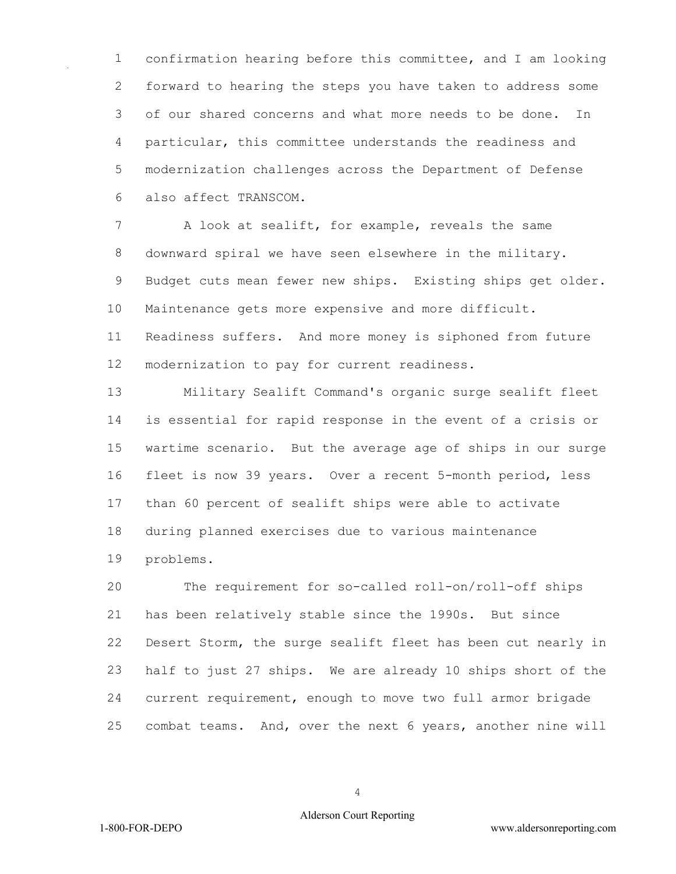confirmation hearing before this committee, and I am looking forward to hearing the steps you have taken to address some of our shared concerns and what more needs to be done. In particular, this committee understands the readiness and modernization challenges across the Department of Defense also affect TRANSCOM.

 A look at sealift, for example, reveals the same downward spiral we have seen elsewhere in the military. Budget cuts mean fewer new ships. Existing ships get older. Maintenance gets more expensive and more difficult. Readiness suffers. And more money is siphoned from future modernization to pay for current readiness.

 Military Sealift Command's organic surge sealift fleet is essential for rapid response in the event of a crisis or wartime scenario. But the average age of ships in our surge fleet is now 39 years. Over a recent 5-month period, less than 60 percent of sealift ships were able to activate during planned exercises due to various maintenance problems.

 The requirement for so-called roll-on/roll-off ships has been relatively stable since the 1990s. But since Desert Storm, the surge sealift fleet has been cut nearly in half to just 27 ships. We are already 10 ships short of the current requirement, enough to move two full armor brigade combat teams. And, over the next 6 years, another nine will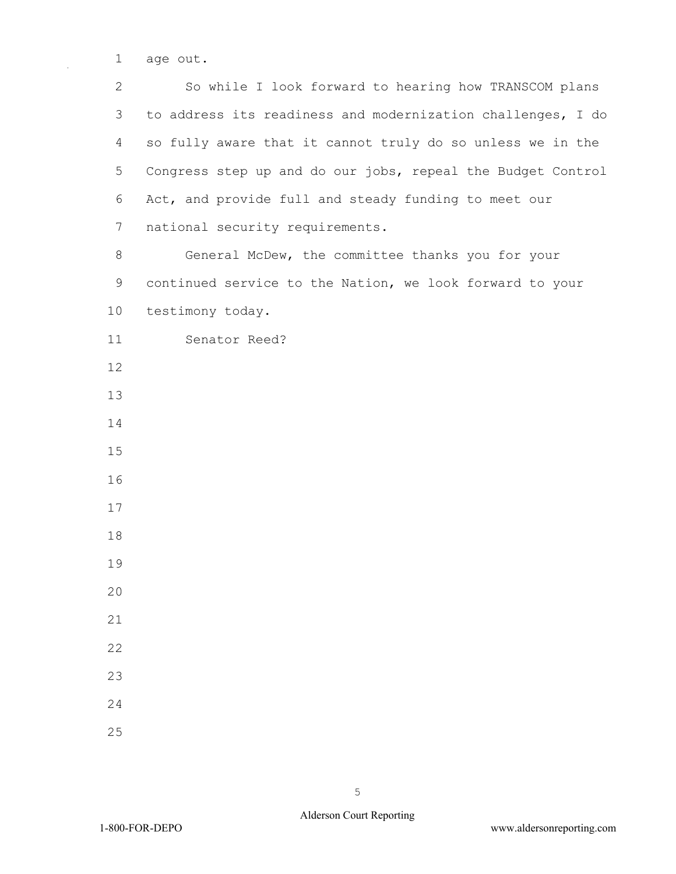1 age out.

2 So while I look forward to hearing how TRANSCOM plans 3 to address its readiness and modernization challenges, I do 4 so fully aware that it cannot truly do so unless we in the 5 Congress step up and do our jobs, repeal the Budget Control 6 Act, and provide full and steady funding to meet our 7 national security requirements.

8 General McDew, the committee thanks you for your 9 continued service to the Nation, we look forward to your 10 testimony today.

11 Senator Reed?

- 12
- 13
- 14
- 15
- 16
- 17
- 18
- 19
- $20$
- 21
- 22
- 
- 23
- 24
- 25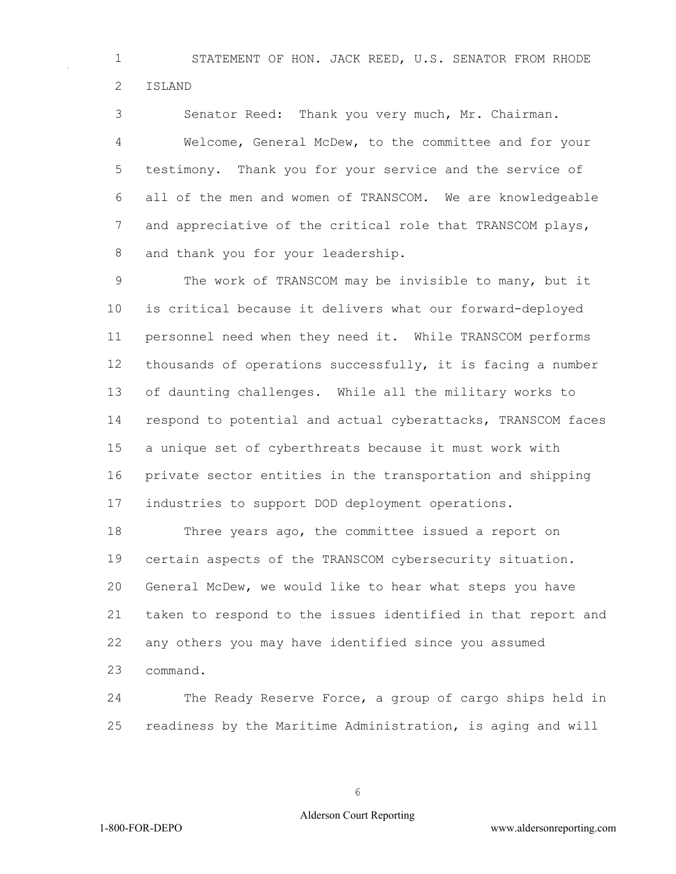STATEMENT OF HON. JACK REED, U.S. SENATOR FROM RHODE ISLAND

 Senator Reed: Thank you very much, Mr. Chairman. Welcome, General McDew, to the committee and for your testimony. Thank you for your service and the service of all of the men and women of TRANSCOM. We are knowledgeable 7 and appreciative of the critical role that TRANSCOM plays, and thank you for your leadership.

 The work of TRANSCOM may be invisible to many, but it is critical because it delivers what our forward-deployed personnel need when they need it. While TRANSCOM performs thousands of operations successfully, it is facing a number of daunting challenges. While all the military works to respond to potential and actual cyberattacks, TRANSCOM faces a unique set of cyberthreats because it must work with private sector entities in the transportation and shipping industries to support DOD deployment operations.

 Three years ago, the committee issued a report on certain aspects of the TRANSCOM cybersecurity situation. General McDew, we would like to hear what steps you have taken to respond to the issues identified in that report and any others you may have identified since you assumed command.

 The Ready Reserve Force, a group of cargo ships held in readiness by the Maritime Administration, is aging and will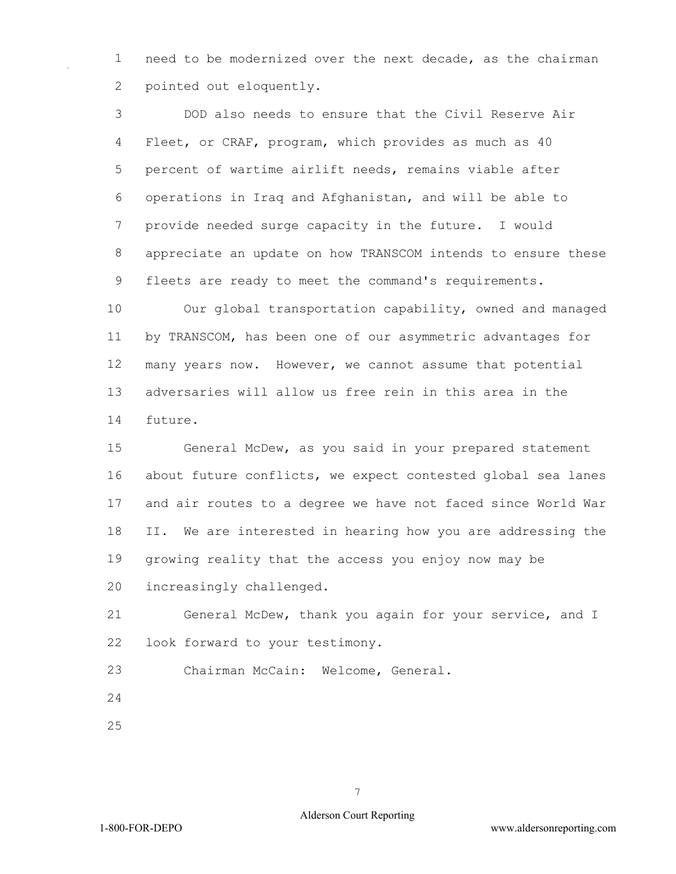need to be modernized over the next decade, as the chairman pointed out eloquently.

 DOD also needs to ensure that the Civil Reserve Air Fleet, or CRAF, program, which provides as much as 40 percent of wartime airlift needs, remains viable after operations in Iraq and Afghanistan, and will be able to provide needed surge capacity in the future. I would appreciate an update on how TRANSCOM intends to ensure these fleets are ready to meet the command's requirements.

 Our global transportation capability, owned and managed by TRANSCOM, has been one of our asymmetric advantages for many years now. However, we cannot assume that potential adversaries will allow us free rein in this area in the future.

 General McDew, as you said in your prepared statement about future conflicts, we expect contested global sea lanes and air routes to a degree we have not faced since World War II. We are interested in hearing how you are addressing the growing reality that the access you enjoy now may be increasingly challenged.

 General McDew, thank you again for your service, and I look forward to your testimony.

Chairman McCain: Welcome, General.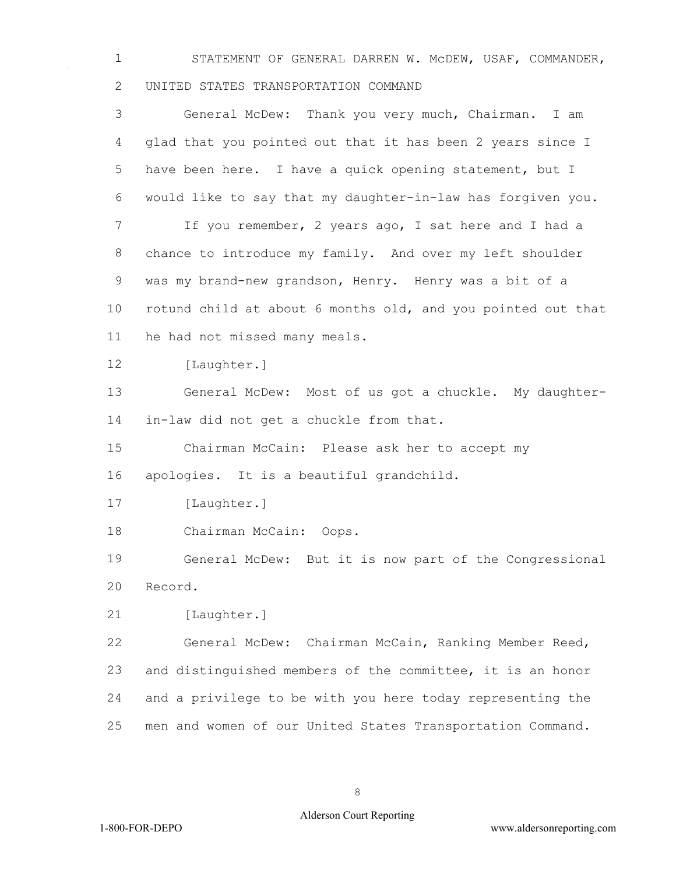STATEMENT OF GENERAL DARREN W. McDEW, USAF, COMMANDER, UNITED STATES TRANSPORTATION COMMAND

 General McDew: Thank you very much, Chairman. I am glad that you pointed out that it has been 2 years since I have been here. I have a quick opening statement, but I would like to say that my daughter-in-law has forgiven you. If you remember, 2 years ago, I sat here and I had a chance to introduce my family. And over my left shoulder was my brand-new grandson, Henry. Henry was a bit of a rotund child at about 6 months old, and you pointed out that he had not missed many meals. 12 [Laughter.] General McDew: Most of us got a chuckle. My daughter- in-law did not get a chuckle from that. Chairman McCain: Please ask her to accept my apologies. It is a beautiful grandchild. 17 [Laughter.] Chairman McCain: Oops. General McDew: But it is now part of the Congressional Record. 21 [Laughter.] General McDew: Chairman McCain, Ranking Member Reed, and distinguished members of the committee, it is an honor and a privilege to be with you here today representing the men and women of our United States Transportation Command.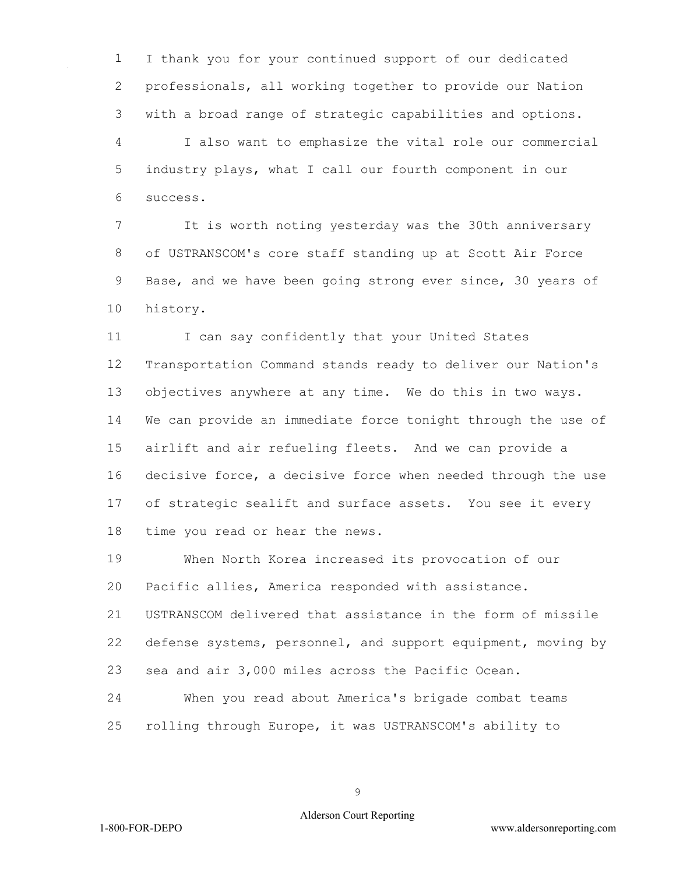I thank you for your continued support of our dedicated professionals, all working together to provide our Nation with a broad range of strategic capabilities and options. I also want to emphasize the vital role our commercial industry plays, what I call our fourth component in our success.

 It is worth noting yesterday was the 30th anniversary of USTRANSCOM's core staff standing up at Scott Air Force Base, and we have been going strong ever since, 30 years of history.

11 I can say confidently that your United States Transportation Command stands ready to deliver our Nation's objectives anywhere at any time. We do this in two ways. We can provide an immediate force tonight through the use of airlift and air refueling fleets. And we can provide a decisive force, a decisive force when needed through the use of strategic sealift and surface assets. You see it every time you read or hear the news.

 When North Korea increased its provocation of our Pacific allies, America responded with assistance.

 USTRANSCOM delivered that assistance in the form of missile defense systems, personnel, and support equipment, moving by sea and air 3,000 miles across the Pacific Ocean.

 When you read about America's brigade combat teams rolling through Europe, it was USTRANSCOM's ability to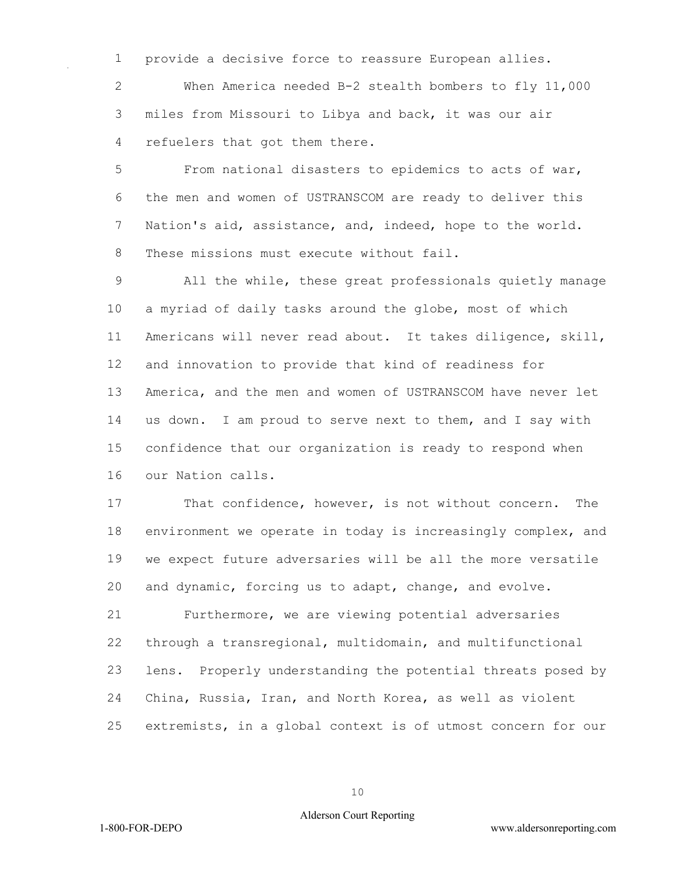provide a decisive force to reassure European allies.

 When America needed B-2 stealth bombers to fly 11,000 miles from Missouri to Libya and back, it was our air refuelers that got them there.

 From national disasters to epidemics to acts of war, the men and women of USTRANSCOM are ready to deliver this Nation's aid, assistance, and, indeed, hope to the world. 8 These missions must execute without fail.

 All the while, these great professionals quietly manage a myriad of daily tasks around the globe, most of which Americans will never read about. It takes diligence, skill, and innovation to provide that kind of readiness for America, and the men and women of USTRANSCOM have never let us down. I am proud to serve next to them, and I say with confidence that our organization is ready to respond when our Nation calls.

 That confidence, however, is not without concern. The environment we operate in today is increasingly complex, and we expect future adversaries will be all the more versatile and dynamic, forcing us to adapt, change, and evolve. Furthermore, we are viewing potential adversaries through a transregional, multidomain, and multifunctional

 lens. Properly understanding the potential threats posed by China, Russia, Iran, and North Korea, as well as violent

extremists, in a global context is of utmost concern for our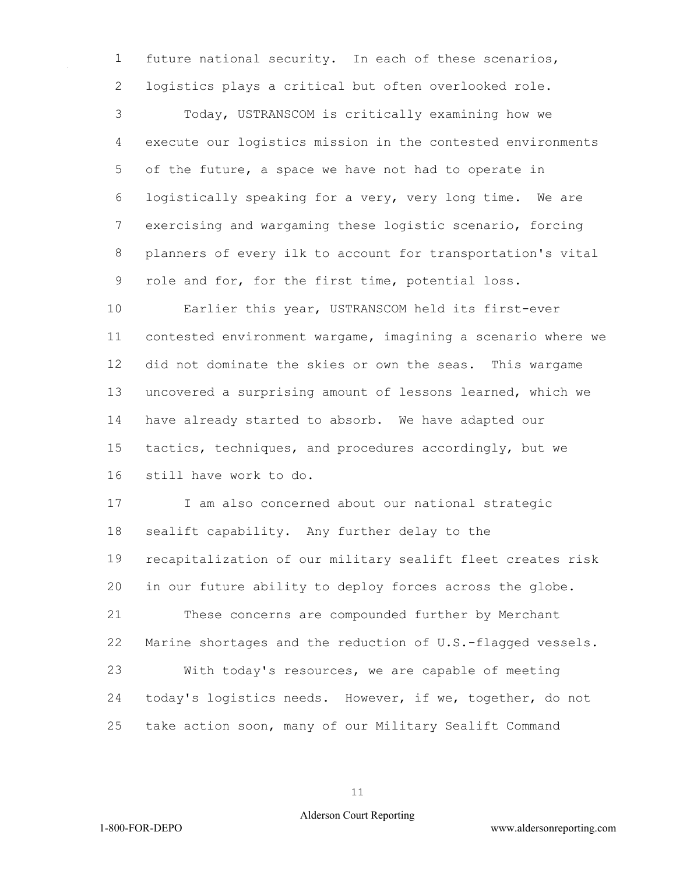future national security. In each of these scenarios, logistics plays a critical but often overlooked role.

 Today, USTRANSCOM is critically examining how we execute our logistics mission in the contested environments of the future, a space we have not had to operate in logistically speaking for a very, very long time. We are exercising and wargaming these logistic scenario, forcing planners of every ilk to account for transportation's vital role and for, for the first time, potential loss.

 Earlier this year, USTRANSCOM held its first-ever contested environment wargame, imagining a scenario where we did not dominate the skies or own the seas. This wargame uncovered a surprising amount of lessons learned, which we have already started to absorb. We have adapted our tactics, techniques, and procedures accordingly, but we still have work to do.

 I am also concerned about our national strategic sealift capability. Any further delay to the recapitalization of our military sealift fleet creates risk in our future ability to deploy forces across the globe. These concerns are compounded further by Merchant Marine shortages and the reduction of U.S.-flagged vessels. With today's resources, we are capable of meeting today's logistics needs. However, if we, together, do not take action soon, many of our Military Sealift Command

#### Alderson Court Reporting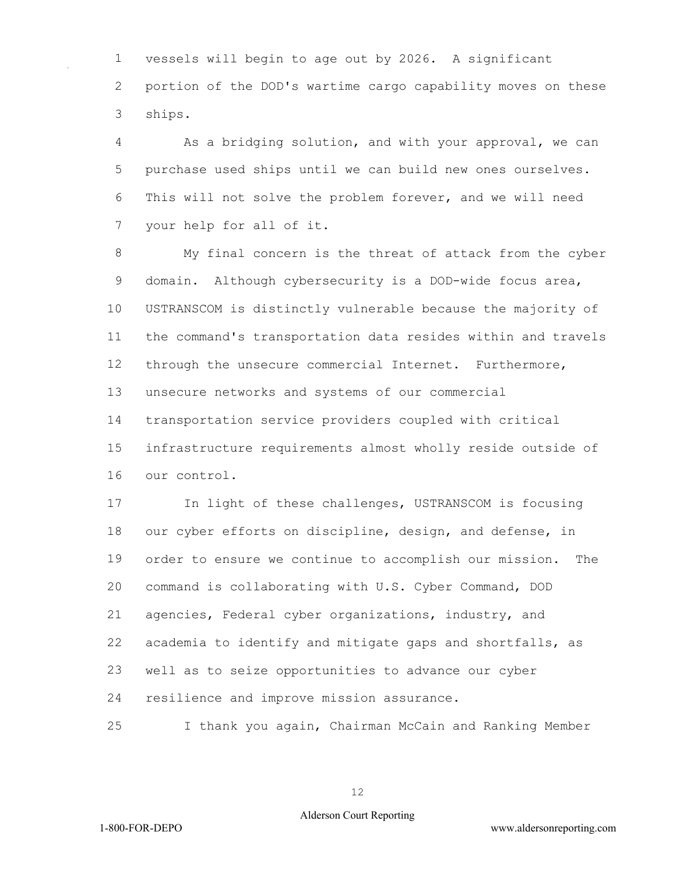vessels will begin to age out by 2026. A significant portion of the DOD's wartime cargo capability moves on these ships.

 As a bridging solution, and with your approval, we can purchase used ships until we can build new ones ourselves. This will not solve the problem forever, and we will need your help for all of it.

 My final concern is the threat of attack from the cyber domain. Although cybersecurity is a DOD-wide focus area, USTRANSCOM is distinctly vulnerable because the majority of the command's transportation data resides within and travels through the unsecure commercial Internet. Furthermore, unsecure networks and systems of our commercial transportation service providers coupled with critical infrastructure requirements almost wholly reside outside of our control.

 In light of these challenges, USTRANSCOM is focusing our cyber efforts on discipline, design, and defense, in order to ensure we continue to accomplish our mission. The command is collaborating with U.S. Cyber Command, DOD agencies, Federal cyber organizations, industry, and academia to identify and mitigate gaps and shortfalls, as well as to seize opportunities to advance our cyber resilience and improve mission assurance.

I thank you again, Chairman McCain and Ranking Member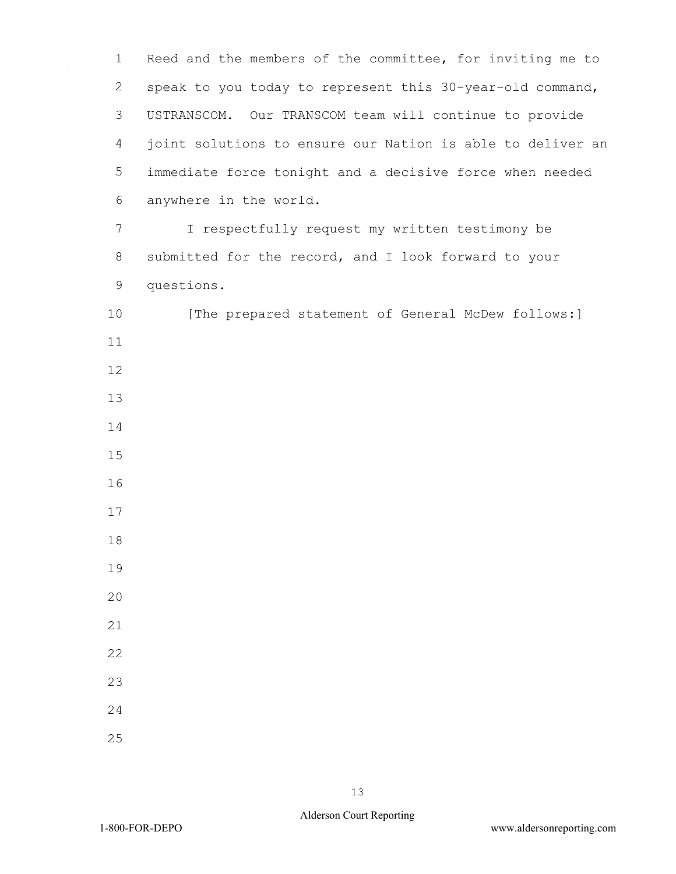Reed and the members of the committee, for inviting me to speak to you today to represent this 30-year-old command, USTRANSCOM. Our TRANSCOM team will continue to provide joint solutions to ensure our Nation is able to deliver an immediate force tonight and a decisive force when needed anywhere in the world. I respectfully request my written testimony be submitted for the record, and I look forward to your questions. 10 [The prepared statement of General McDew follows:]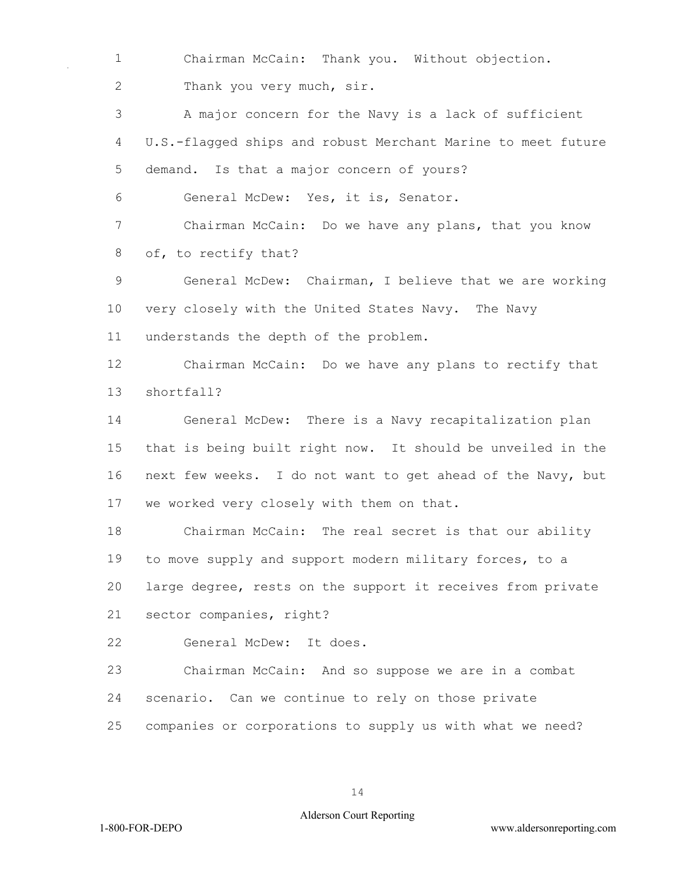Chairman McCain: Thank you. Without objection. 2 Thank you very much, sir. A major concern for the Navy is a lack of sufficient U.S.-flagged ships and robust Merchant Marine to meet future demand. Is that a major concern of yours? General McDew: Yes, it is, Senator. Chairman McCain: Do we have any plans, that you know of, to rectify that? General McDew: Chairman, I believe that we are working very closely with the United States Navy. The Navy understands the depth of the problem. Chairman McCain: Do we have any plans to rectify that shortfall? General McDew: There is a Navy recapitalization plan that is being built right now. It should be unveiled in the next few weeks. I do not want to get ahead of the Navy, but we worked very closely with them on that. Chairman McCain: The real secret is that our ability to move supply and support modern military forces, to a large degree, rests on the support it receives from private sector companies, right? General McDew: It does. Chairman McCain: And so suppose we are in a combat scenario. Can we continue to rely on those private companies or corporations to supply us with what we need?

#### Alderson Court Reporting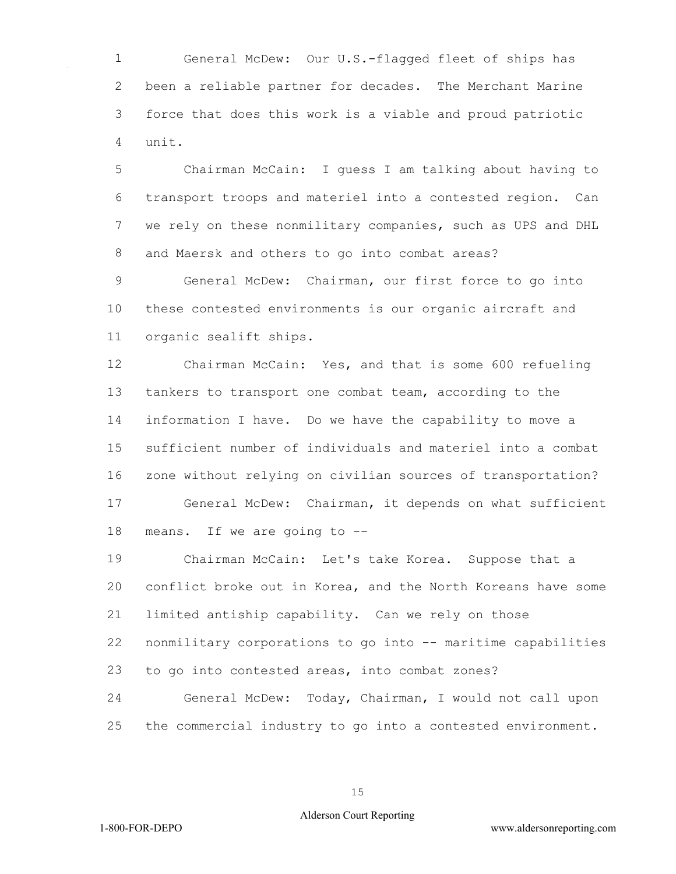General McDew: Our U.S.-flagged fleet of ships has been a reliable partner for decades. The Merchant Marine force that does this work is a viable and proud patriotic unit.

 Chairman McCain: I guess I am talking about having to transport troops and materiel into a contested region. Can we rely on these nonmilitary companies, such as UPS and DHL and Maersk and others to go into combat areas?

 General McDew: Chairman, our first force to go into these contested environments is our organic aircraft and organic sealift ships.

 Chairman McCain: Yes, and that is some 600 refueling tankers to transport one combat team, according to the information I have. Do we have the capability to move a sufficient number of individuals and materiel into a combat zone without relying on civilian sources of transportation? General McDew: Chairman, it depends on what sufficient means. If we are going to --

 Chairman McCain: Let's take Korea. Suppose that a conflict broke out in Korea, and the North Koreans have some limited antiship capability. Can we rely on those nonmilitary corporations to go into -- maritime capabilities to go into contested areas, into combat zones? General McDew: Today, Chairman, I would not call upon

the commercial industry to go into a contested environment.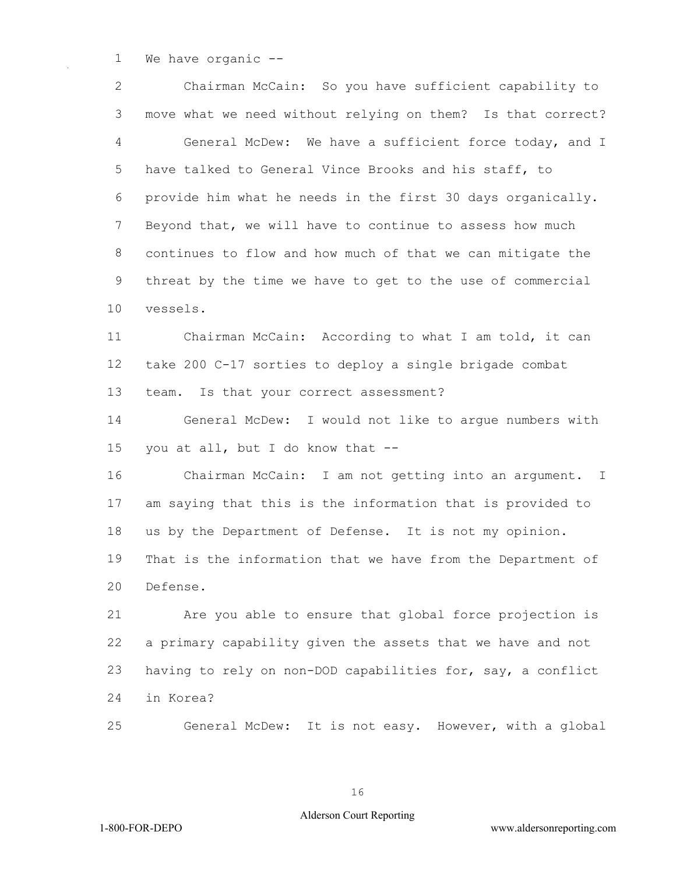We have organic --

 Chairman McCain: So you have sufficient capability to move what we need without relying on them? Is that correct? General McDew: We have a sufficient force today, and I have talked to General Vince Brooks and his staff, to provide him what he needs in the first 30 days organically. Beyond that, we will have to continue to assess how much continues to flow and how much of that we can mitigate the threat by the time we have to get to the use of commercial vessels. Chairman McCain: According to what I am told, it can take 200 C-17 sorties to deploy a single brigade combat team. Is that your correct assessment? General McDew: I would not like to argue numbers with you at all, but I do know that -- Chairman McCain: I am not getting into an argument. I am saying that this is the information that is provided to us by the Department of Defense. It is not my opinion. That is the information that we have from the Department of Defense. Are you able to ensure that global force projection is a primary capability given the assets that we have and not having to rely on non-DOD capabilities for, say, a conflict in Korea? General McDew: It is not easy. However, with a global

#### Alderson Court Reporting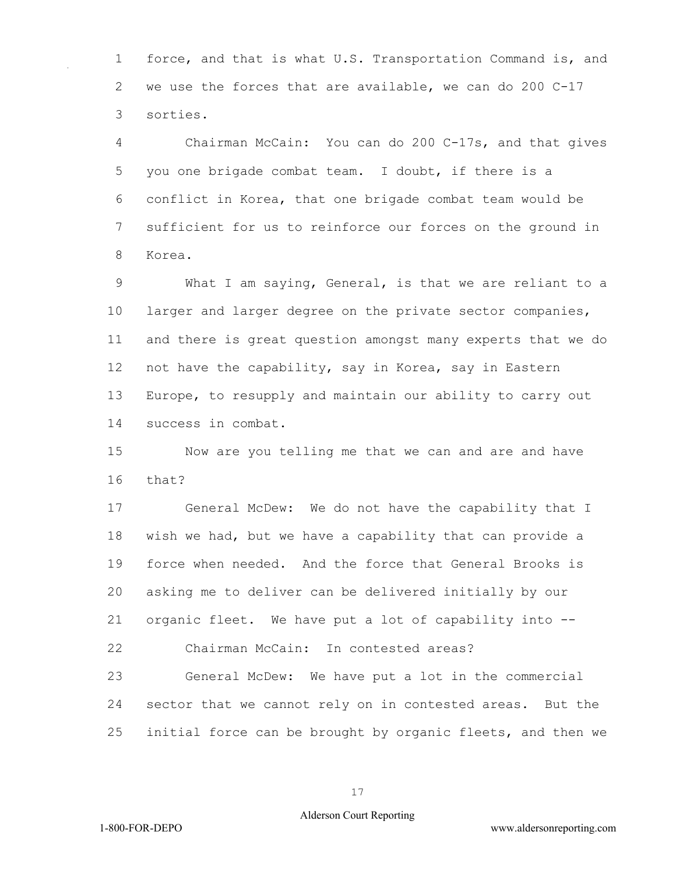1 force, and that is what U.S. Transportation Command is, and 2 we use the forces that are available, we can do 200 C-17 3 sorties.

4 Chairman McCain: You can do 200 C-17s, and that gives 5 you one brigade combat team. I doubt, if there is a 6 conflict in Korea, that one brigade combat team would be 7 sufficient for us to reinforce our forces on the ground in 8 Korea.

9 What I am saying, General, is that we are reliant to a 10 larger and larger degree on the private sector companies, 11 and there is great question amongst many experts that we do 12 not have the capability, say in Korea, say in Eastern 13 Europe, to resupply and maintain our ability to carry out 14 success in combat.

15 Now are you telling me that we can and are and have 16 that?

17 General McDew: We do not have the capability that I 18 wish we had, but we have a capability that can provide a 19 force when needed. And the force that General Brooks is 20 asking me to deliver can be delivered initially by our 21 organic fleet. We have put a lot of capability into -- 22 Chairman McCain: In contested areas?

23 General McDew: We have put a lot in the commercial 24 sector that we cannot rely on in contested areas. But the 25 initial force can be brought by organic fleets, and then we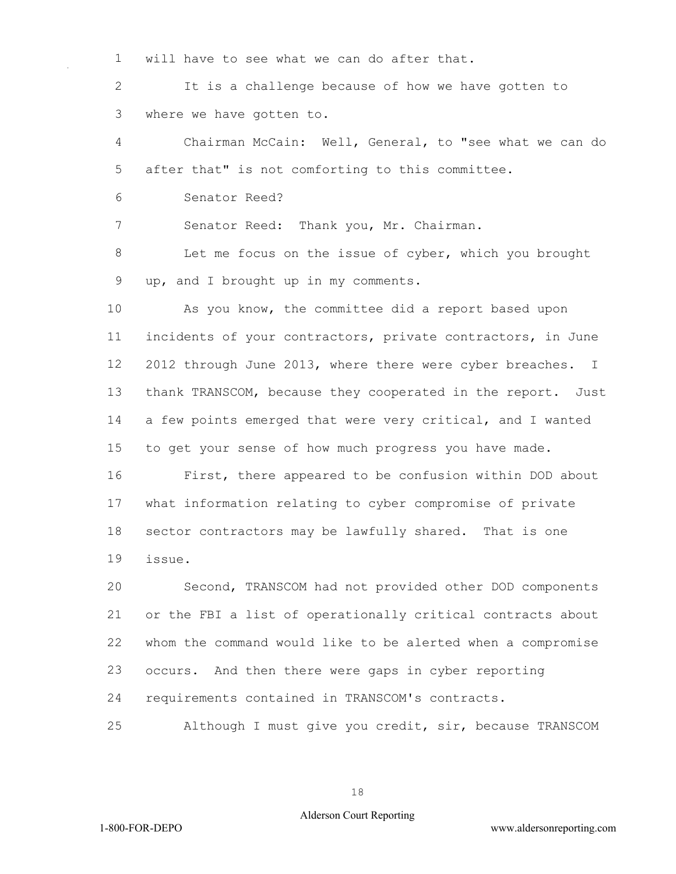will have to see what we can do after that.

 It is a challenge because of how we have gotten to where we have gotten to.

 Chairman McCain: Well, General, to "see what we can do after that" is not comforting to this committee.

Senator Reed?

Senator Reed: Thank you, Mr. Chairman.

 Let me focus on the issue of cyber, which you brought up, and I brought up in my comments.

 As you know, the committee did a report based upon incidents of your contractors, private contractors, in June 2012 through June 2013, where there were cyber breaches. I thank TRANSCOM, because they cooperated in the report. Just a few points emerged that were very critical, and I wanted to get your sense of how much progress you have made.

 First, there appeared to be confusion within DOD about what information relating to cyber compromise of private sector contractors may be lawfully shared. That is one issue.

 Second, TRANSCOM had not provided other DOD components or the FBI a list of operationally critical contracts about whom the command would like to be alerted when a compromise occurs. And then there were gaps in cyber reporting requirements contained in TRANSCOM's contracts.

Although I must give you credit, sir, because TRANSCOM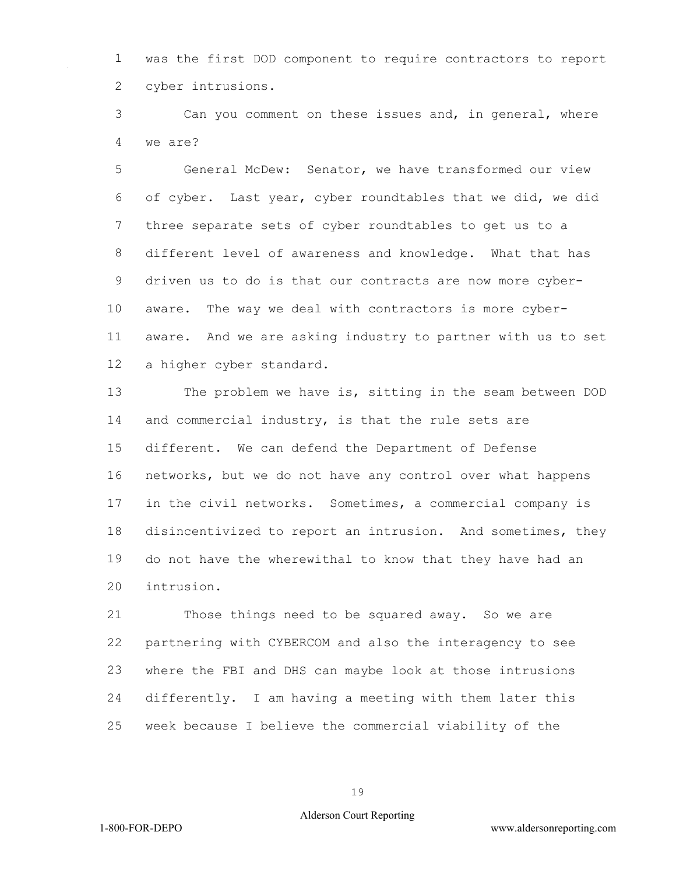was the first DOD component to require contractors to report cyber intrusions.

 Can you comment on these issues and, in general, where we are?

 General McDew: Senator, we have transformed our view of cyber. Last year, cyber roundtables that we did, we did three separate sets of cyber roundtables to get us to a different level of awareness and knowledge. What that has driven us to do is that our contracts are now more cyber- aware. The way we deal with contractors is more cyber- aware. And we are asking industry to partner with us to set a higher cyber standard.

 The problem we have is, sitting in the seam between DOD and commercial industry, is that the rule sets are different. We can defend the Department of Defense networks, but we do not have any control over what happens in the civil networks. Sometimes, a commercial company is disincentivized to report an intrusion. And sometimes, they do not have the wherewithal to know that they have had an intrusion.

 Those things need to be squared away. So we are partnering with CYBERCOM and also the interagency to see where the FBI and DHS can maybe look at those intrusions differently. I am having a meeting with them later this week because I believe the commercial viability of the

#### Alderson Court Reporting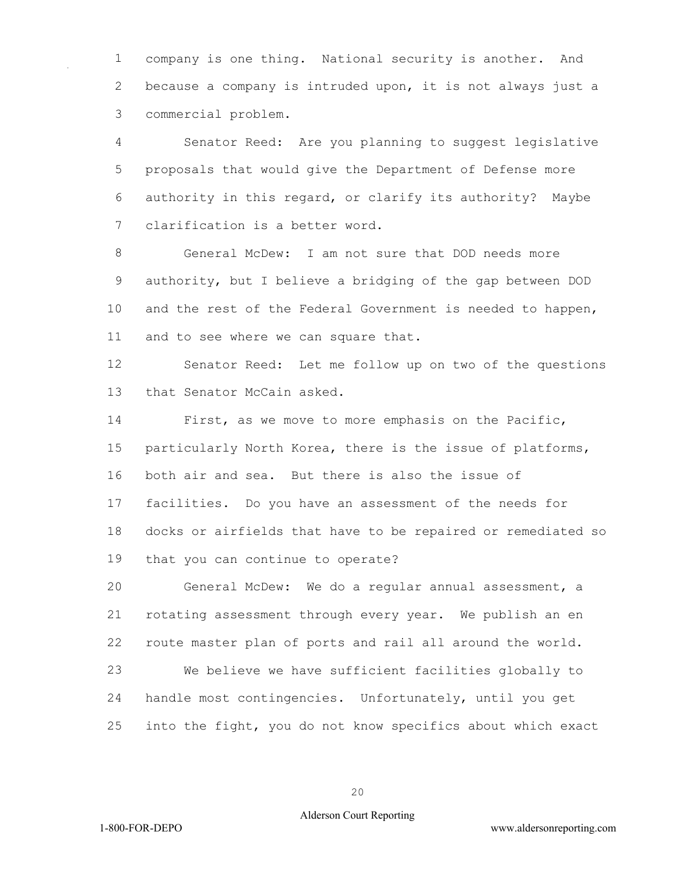company is one thing. National security is another. And because a company is intruded upon, it is not always just a commercial problem.

 Senator Reed: Are you planning to suggest legislative proposals that would give the Department of Defense more authority in this regard, or clarify its authority? Maybe clarification is a better word.

 General McDew: I am not sure that DOD needs more authority, but I believe a bridging of the gap between DOD and the rest of the Federal Government is needed to happen, and to see where we can square that.

 Senator Reed: Let me follow up on two of the questions 13 that Senator McCain asked.

 First, as we move to more emphasis on the Pacific, particularly North Korea, there is the issue of platforms, both air and sea. But there is also the issue of facilities. Do you have an assessment of the needs for docks or airfields that have to be repaired or remediated so that you can continue to operate?

 General McDew: We do a regular annual assessment, a rotating assessment through every year. We publish an en route master plan of ports and rail all around the world.

 We believe we have sufficient facilities globally to handle most contingencies. Unfortunately, until you get into the fight, you do not know specifics about which exact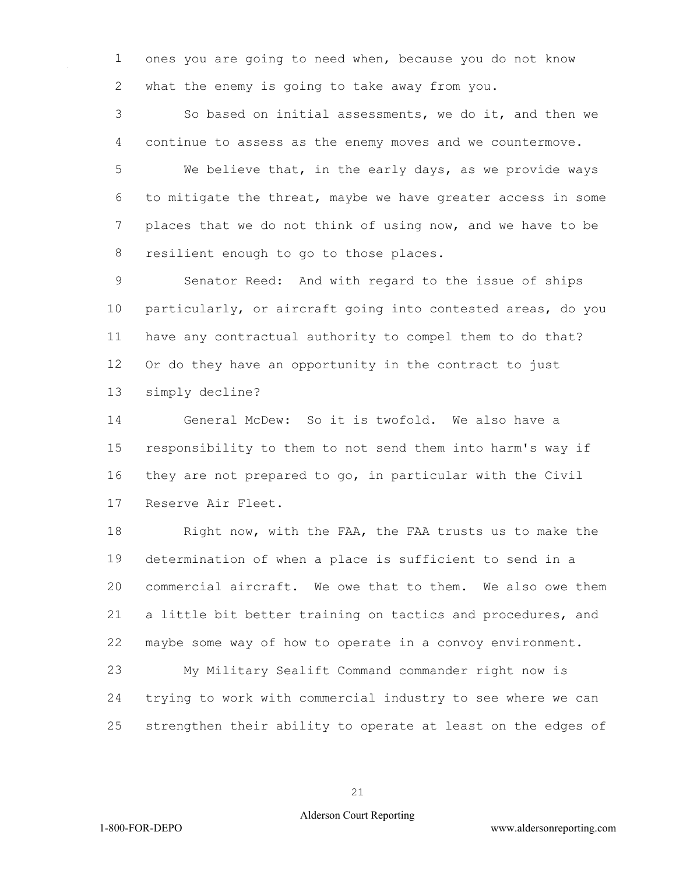ones you are going to need when, because you do not know what the enemy is going to take away from you.

 So based on initial assessments, we do it, and then we continue to assess as the enemy moves and we countermove.

 We believe that, in the early days, as we provide ways to mitigate the threat, maybe we have greater access in some places that we do not think of using now, and we have to be resilient enough to go to those places.

 Senator Reed: And with regard to the issue of ships particularly, or aircraft going into contested areas, do you have any contractual authority to compel them to do that? Or do they have an opportunity in the contract to just simply decline?

 General McDew: So it is twofold. We also have a responsibility to them to not send them into harm's way if they are not prepared to go, in particular with the Civil Reserve Air Fleet.

18 Right now, with the FAA, the FAA trusts us to make the determination of when a place is sufficient to send in a commercial aircraft. We owe that to them. We also owe them a little bit better training on tactics and procedures, and maybe some way of how to operate in a convoy environment.

 My Military Sealift Command commander right now is trying to work with commercial industry to see where we can strengthen their ability to operate at least on the edges of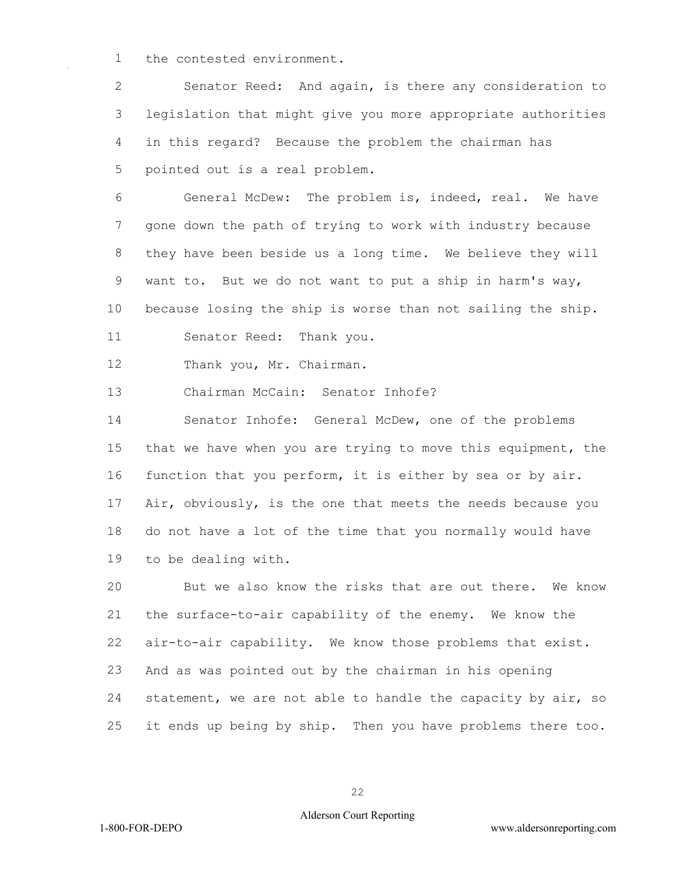the contested environment.

 Senator Reed: And again, is there any consideration to legislation that might give you more appropriate authorities in this regard? Because the problem the chairman has pointed out is a real problem.

 General McDew: The problem is, indeed, real. We have gone down the path of trying to work with industry because they have been beside us a long time. We believe they will want to. But we do not want to put a ship in harm's way, because losing the ship is worse than not sailing the ship. Senator Reed: Thank you.

Thank you, Mr. Chairman.

Chairman McCain: Senator Inhofe?

 Senator Inhofe: General McDew, one of the problems that we have when you are trying to move this equipment, the function that you perform, it is either by sea or by air. Air, obviously, is the one that meets the needs because you do not have a lot of the time that you normally would have to be dealing with.

 But we also know the risks that are out there. We know the surface-to-air capability of the enemy. We know the air-to-air capability. We know those problems that exist. And as was pointed out by the chairman in his opening statement, we are not able to handle the capacity by air, so it ends up being by ship. Then you have problems there too.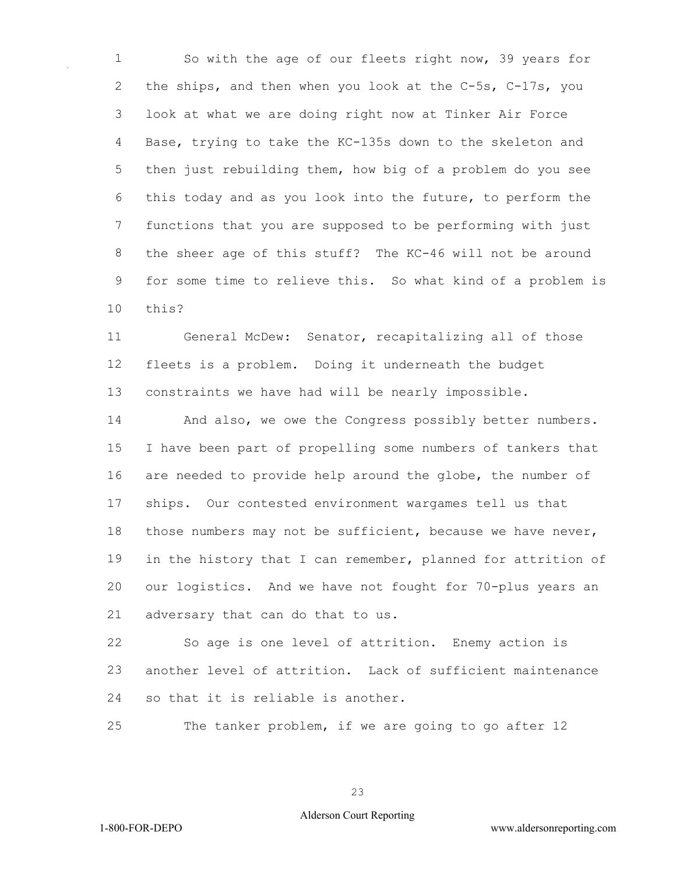So with the age of our fleets right now, 39 years for the ships, and then when you look at the C-5s, C-17s, you look at what we are doing right now at Tinker Air Force Base, trying to take the KC-135s down to the skeleton and then just rebuilding them, how big of a problem do you see this today and as you look into the future, to perform the functions that you are supposed to be performing with just the sheer age of this stuff? The KC-46 will not be around for some time to relieve this. So what kind of a problem is this?

 General McDew: Senator, recapitalizing all of those fleets is a problem. Doing it underneath the budget constraints we have had will be nearly impossible.

14 And also, we owe the Congress possibly better numbers. I have been part of propelling some numbers of tankers that are needed to provide help around the globe, the number of ships. Our contested environment wargames tell us that those numbers may not be sufficient, because we have never, in the history that I can remember, planned for attrition of our logistics. And we have not fought for 70-plus years an adversary that can do that to us.

 So age is one level of attrition. Enemy action is another level of attrition. Lack of sufficient maintenance so that it is reliable is another.

The tanker problem, if we are going to go after 12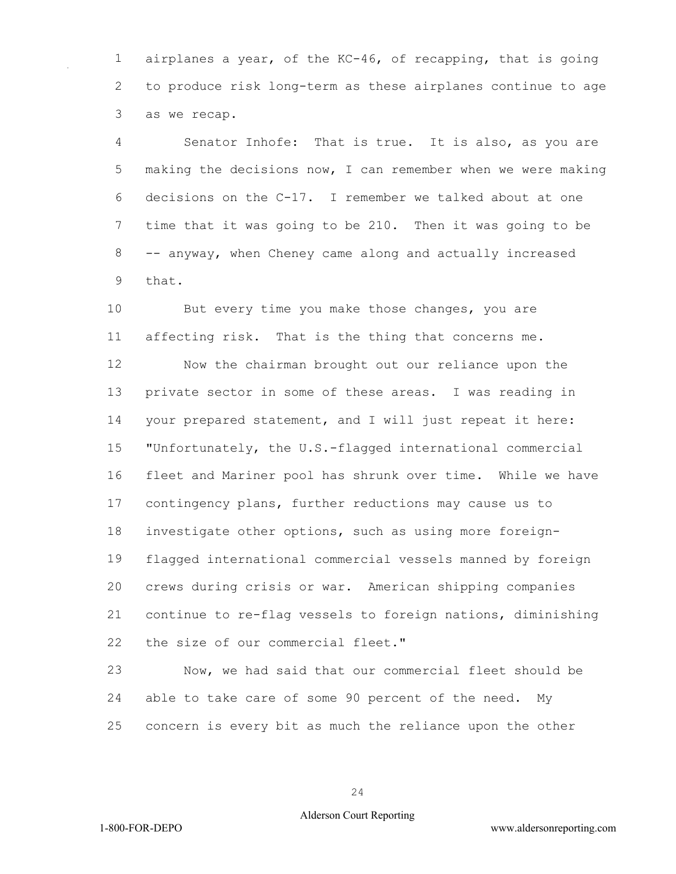airplanes a year, of the KC-46, of recapping, that is going to produce risk long-term as these airplanes continue to age as we recap.

 Senator Inhofe: That is true. It is also, as you are making the decisions now, I can remember when we were making decisions on the C-17. I remember we talked about at one time that it was going to be 210. Then it was going to be -- anyway, when Cheney came along and actually increased that.

10 But every time you make those changes, you are affecting risk. That is the thing that concerns me.

 Now the chairman brought out our reliance upon the private sector in some of these areas. I was reading in your prepared statement, and I will just repeat it here: "Unfortunately, the U.S.-flagged international commercial fleet and Mariner pool has shrunk over time. While we have contingency plans, further reductions may cause us to investigate other options, such as using more foreign- flagged international commercial vessels manned by foreign crews during crisis or war. American shipping companies continue to re-flag vessels to foreign nations, diminishing the size of our commercial fleet."

 Now, we had said that our commercial fleet should be able to take care of some 90 percent of the need. My concern is every bit as much the reliance upon the other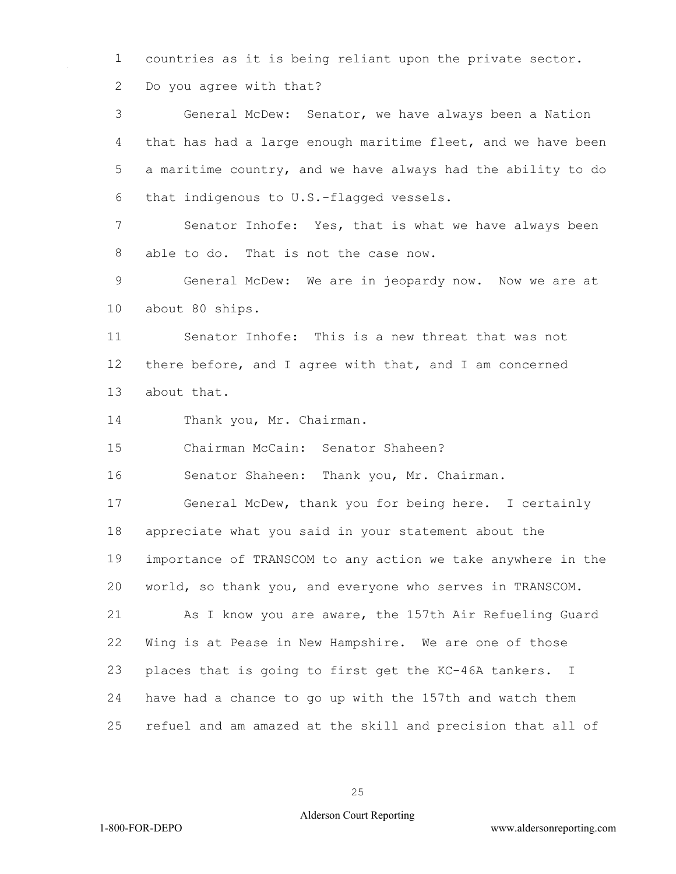countries as it is being reliant upon the private sector.

Do you agree with that?

 General McDew: Senator, we have always been a Nation that has had a large enough maritime fleet, and we have been a maritime country, and we have always had the ability to do that indigenous to U.S.-flagged vessels. Senator Inhofe: Yes, that is what we have always been able to do. That is not the case now. General McDew: We are in jeopardy now. Now we are at about 80 ships. Senator Inhofe: This is a new threat that was not there before, and I agree with that, and I am concerned about that. 14 Thank you, Mr. Chairman. Chairman McCain: Senator Shaheen? Senator Shaheen: Thank you, Mr. Chairman. General McDew, thank you for being here. I certainly appreciate what you said in your statement about the importance of TRANSCOM to any action we take anywhere in the world, so thank you, and everyone who serves in TRANSCOM. As I know you are aware, the 157th Air Refueling Guard Wing is at Pease in New Hampshire. We are one of those places that is going to first get the KC-46A tankers. I have had a chance to go up with the 157th and watch them refuel and am amazed at the skill and precision that all of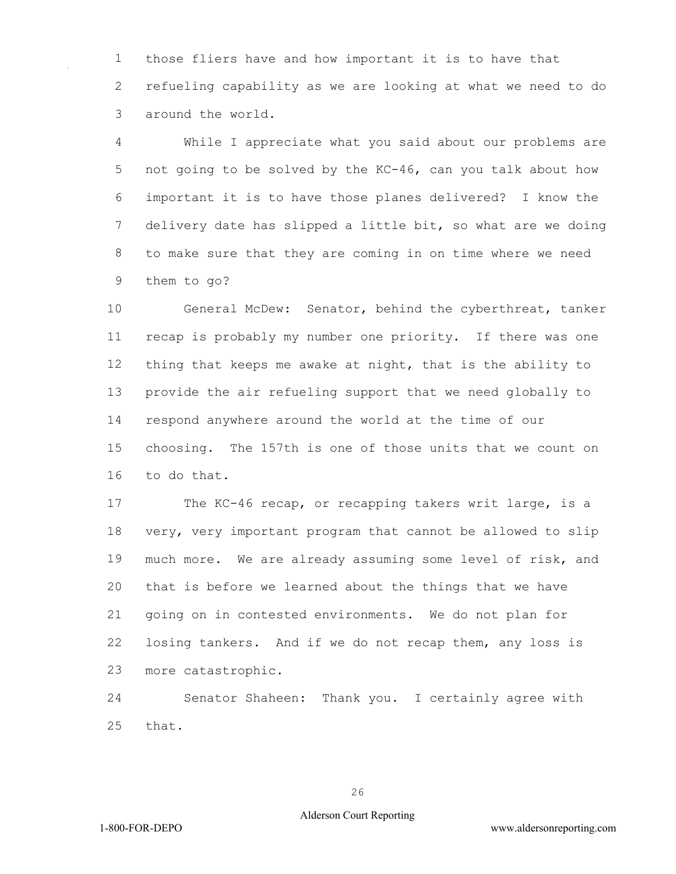those fliers have and how important it is to have that refueling capability as we are looking at what we need to do around the world.

 While I appreciate what you said about our problems are not going to be solved by the KC-46, can you talk about how important it is to have those planes delivered? I know the delivery date has slipped a little bit, so what are we doing to make sure that they are coming in on time where we need them to go?

 General McDew: Senator, behind the cyberthreat, tanker recap is probably my number one priority. If there was one thing that keeps me awake at night, that is the ability to provide the air refueling support that we need globally to respond anywhere around the world at the time of our choosing. The 157th is one of those units that we count on to do that.

 The KC-46 recap, or recapping takers writ large, is a very, very important program that cannot be allowed to slip much more. We are already assuming some level of risk, and that is before we learned about the things that we have going on in contested environments. We do not plan for losing tankers. And if we do not recap them, any loss is more catastrophic.

 Senator Shaheen: Thank you. I certainly agree with that.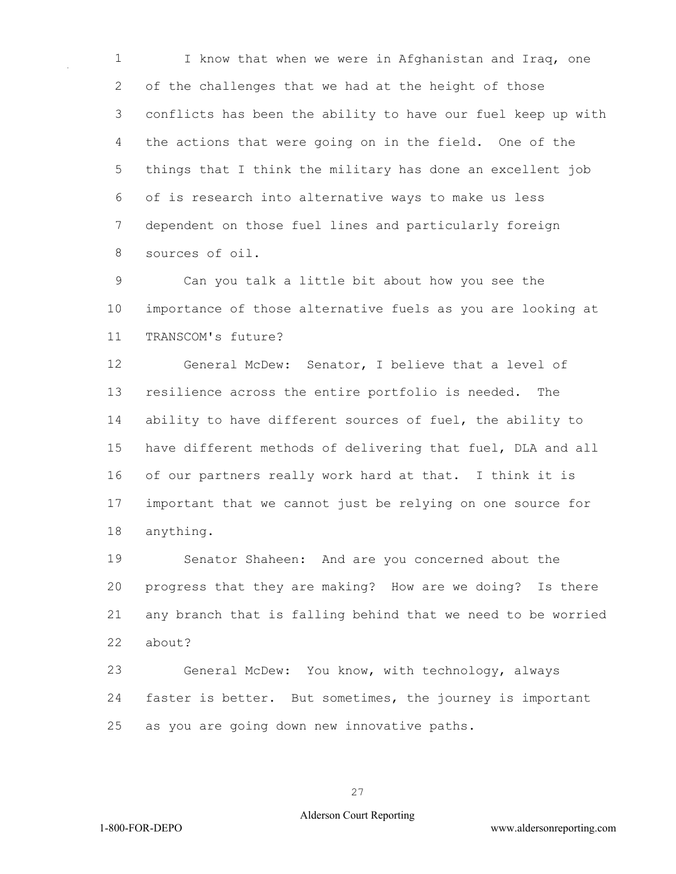I know that when we were in Afghanistan and Iraq, one of the challenges that we had at the height of those conflicts has been the ability to have our fuel keep up with the actions that were going on in the field. One of the things that I think the military has done an excellent job of is research into alternative ways to make us less dependent on those fuel lines and particularly foreign sources of oil.

 Can you talk a little bit about how you see the importance of those alternative fuels as you are looking at TRANSCOM's future?

 General McDew: Senator, I believe that a level of resilience across the entire portfolio is needed. The ability to have different sources of fuel, the ability to have different methods of delivering that fuel, DLA and all of our partners really work hard at that. I think it is important that we cannot just be relying on one source for anything.

 Senator Shaheen: And are you concerned about the progress that they are making? How are we doing? Is there any branch that is falling behind that we need to be worried about?

 General McDew: You know, with technology, always faster is better. But sometimes, the journey is important as you are going down new innovative paths.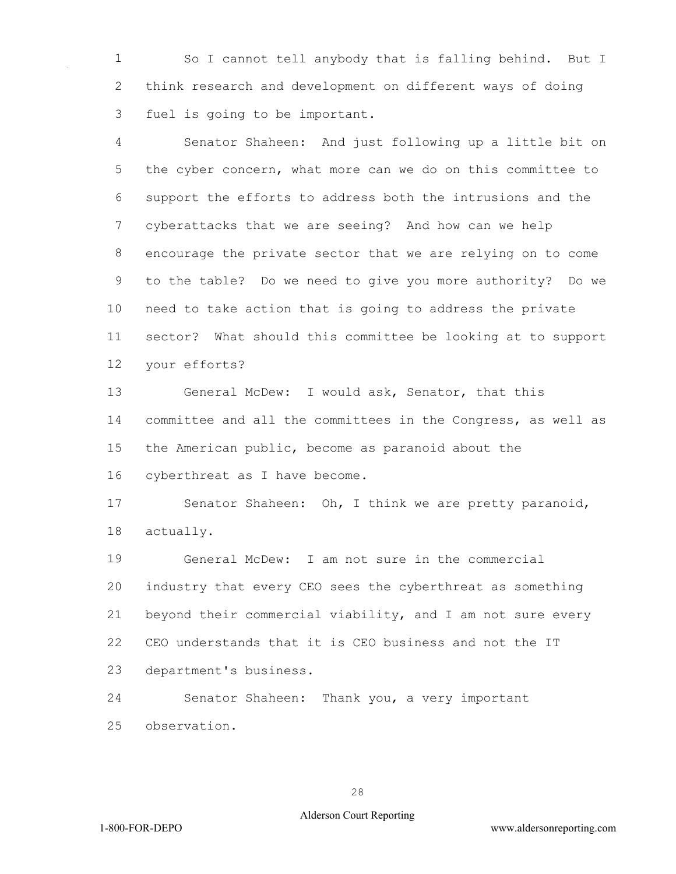So I cannot tell anybody that is falling behind. But I think research and development on different ways of doing fuel is going to be important.

 Senator Shaheen: And just following up a little bit on 5 the cyber concern, what more can we do on this committee to support the efforts to address both the intrusions and the cyberattacks that we are seeing? And how can we help encourage the private sector that we are relying on to come to the table? Do we need to give you more authority? Do we need to take action that is going to address the private sector? What should this committee be looking at to support your efforts?

 General McDew: I would ask, Senator, that this committee and all the committees in the Congress, as well as the American public, become as paranoid about the cyberthreat as I have become.

 Senator Shaheen: Oh, I think we are pretty paranoid, actually.

 General McDew: I am not sure in the commercial industry that every CEO sees the cyberthreat as something beyond their commercial viability, and I am not sure every CEO understands that it is CEO business and not the IT department's business.

 Senator Shaheen: Thank you, a very important observation.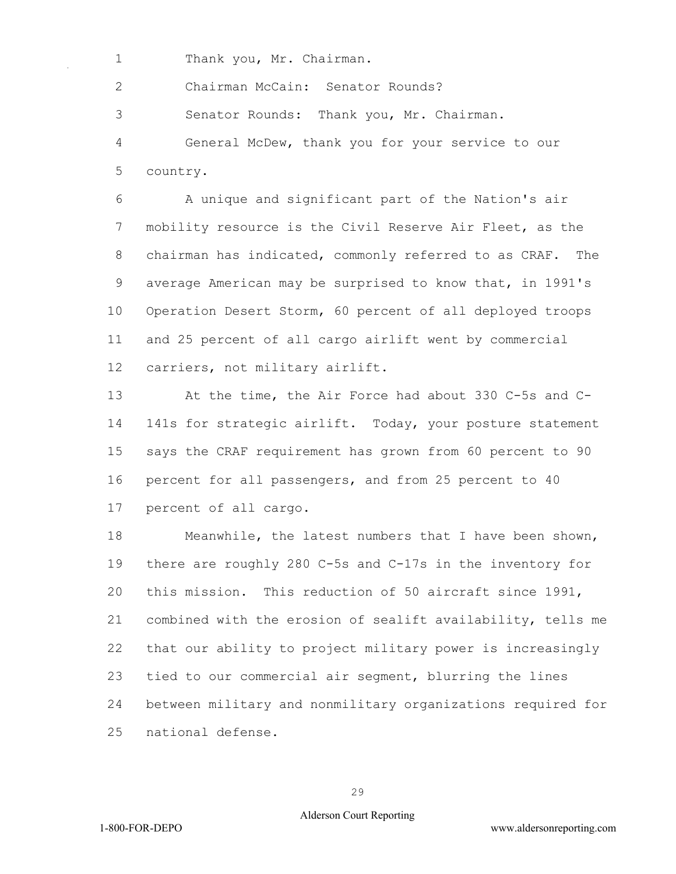1 Thank you, Mr. Chairman.

2 Chairman McCain: Senator Rounds?

3 Senator Rounds: Thank you, Mr. Chairman.

4 General McDew, thank you for your service to our 5 country.

6 A unique and significant part of the Nation's air 7 mobility resource is the Civil Reserve Air Fleet, as the 8 chairman has indicated, commonly referred to as CRAF. The 9 average American may be surprised to know that, in 1991's 10 Operation Desert Storm, 60 percent of all deployed troops 11 and 25 percent of all cargo airlift went by commercial 12 carriers, not military airlift.

13 At the time, the Air Force had about 330 C-5s and C-14 141s for strategic airlift. Today, your posture statement 15 says the CRAF requirement has grown from 60 percent to 90 16 percent for all passengers, and from 25 percent to 40

17 percent of all cargo.

18 Meanwhile, the latest numbers that I have been shown, 19 there are roughly 280 C-5s and C-17s in the inventory for 20 this mission. This reduction of 50 aircraft since 1991, 21 combined with the erosion of sealift availability, tells me 22 that our ability to project military power is increasingly 23 tied to our commercial air segment, blurring the lines 24 between military and nonmilitary organizations required for 25 national defense.

29

#### Alderson Court Reporting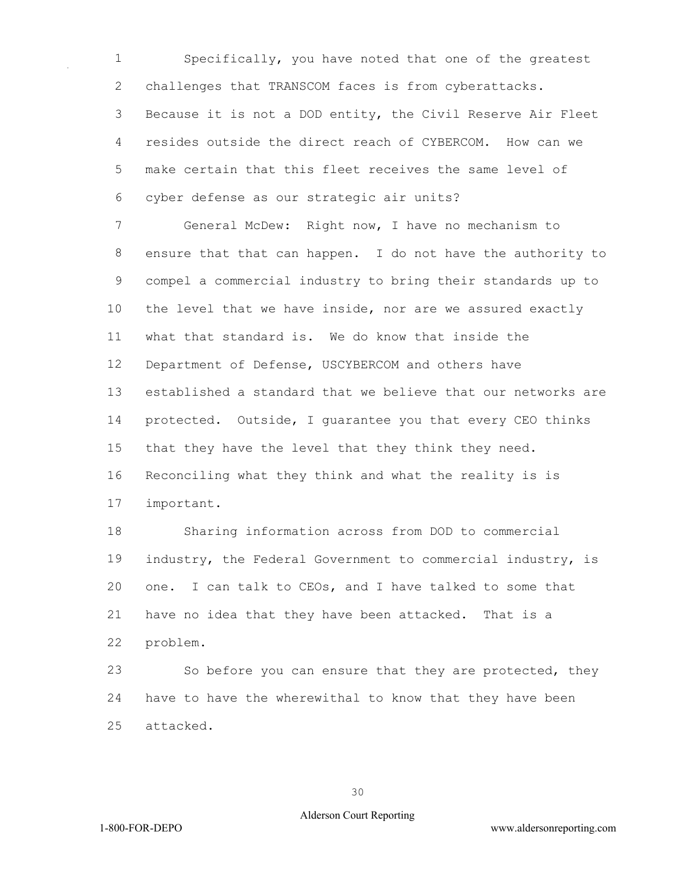Specifically, you have noted that one of the greatest 2 challenges that TRANSCOM faces is from cyberattacks. Because it is not a DOD entity, the Civil Reserve Air Fleet resides outside the direct reach of CYBERCOM. How can we make certain that this fleet receives the same level of cyber defense as our strategic air units?

 General McDew: Right now, I have no mechanism to ensure that that can happen. I do not have the authority to compel a commercial industry to bring their standards up to the level that we have inside, nor are we assured exactly what that standard is. We do know that inside the Department of Defense, USCYBERCOM and others have established a standard that we believe that our networks are protected. Outside, I guarantee you that every CEO thinks that they have the level that they think they need. Reconciling what they think and what the reality is is important.

 Sharing information across from DOD to commercial 19 industry, the Federal Government to commercial industry, is one. I can talk to CEOs, and I have talked to some that have no idea that they have been attacked. That is a problem.

 So before you can ensure that they are protected, they have to have the wherewithal to know that they have been attacked.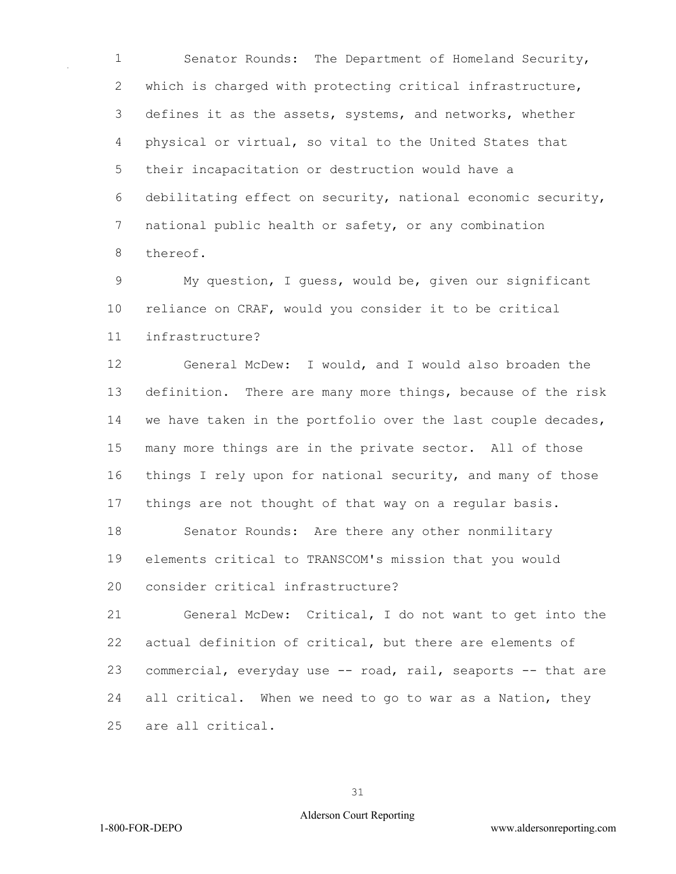Senator Rounds: The Department of Homeland Security, which is charged with protecting critical infrastructure, defines it as the assets, systems, and networks, whether physical or virtual, so vital to the United States that their incapacitation or destruction would have a debilitating effect on security, national economic security, national public health or safety, or any combination thereof.

 My question, I guess, would be, given our significant reliance on CRAF, would you consider it to be critical infrastructure?

 General McDew: I would, and I would also broaden the definition. There are many more things, because of the risk we have taken in the portfolio over the last couple decades, many more things are in the private sector. All of those things I rely upon for national security, and many of those things are not thought of that way on a regular basis.

 Senator Rounds: Are there any other nonmilitary elements critical to TRANSCOM's mission that you would consider critical infrastructure?

 General McDew: Critical, I do not want to get into the actual definition of critical, but there are elements of commercial, everyday use -- road, rail, seaports -- that are all critical. When we need to go to war as a Nation, they are all critical.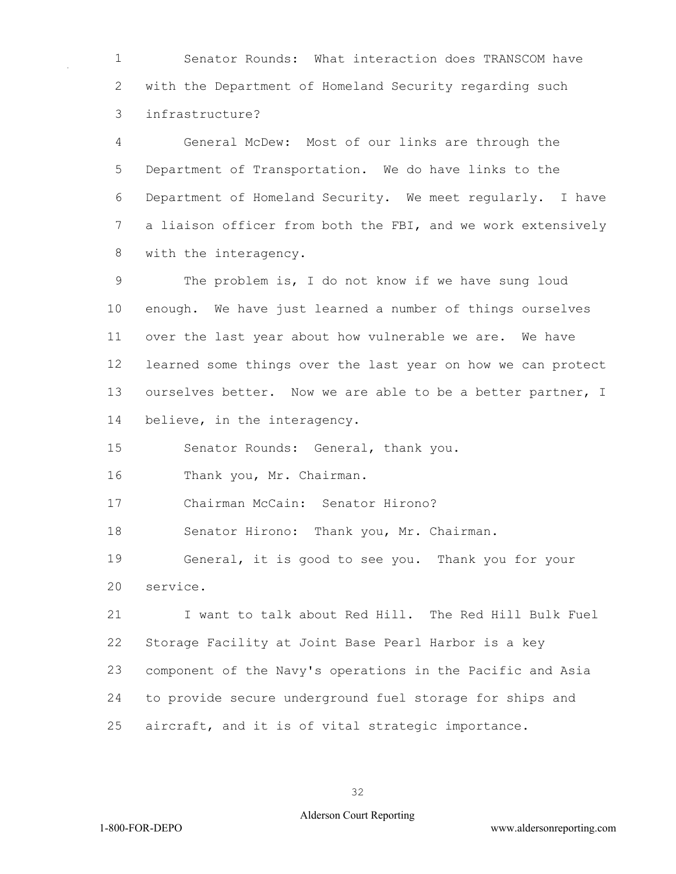Senator Rounds: What interaction does TRANSCOM have with the Department of Homeland Security regarding such infrastructure?

 General McDew: Most of our links are through the Department of Transportation. We do have links to the Department of Homeland Security. We meet regularly. I have a liaison officer from both the FBI, and we work extensively with the interagency.

 The problem is, I do not know if we have sung loud enough. We have just learned a number of things ourselves over the last year about how vulnerable we are. We have learned some things over the last year on how we can protect 13 ourselves better. Now we are able to be a better partner, I believe, in the interagency.

Senator Rounds: General, thank you.

Thank you, Mr. Chairman.

Chairman McCain: Senator Hirono?

18 Senator Hirono: Thank you, Mr. Chairman.

 General, it is good to see you. Thank you for your service.

 I want to talk about Red Hill. The Red Hill Bulk Fuel Storage Facility at Joint Base Pearl Harbor is a key component of the Navy's operations in the Pacific and Asia to provide secure underground fuel storage for ships and aircraft, and it is of vital strategic importance.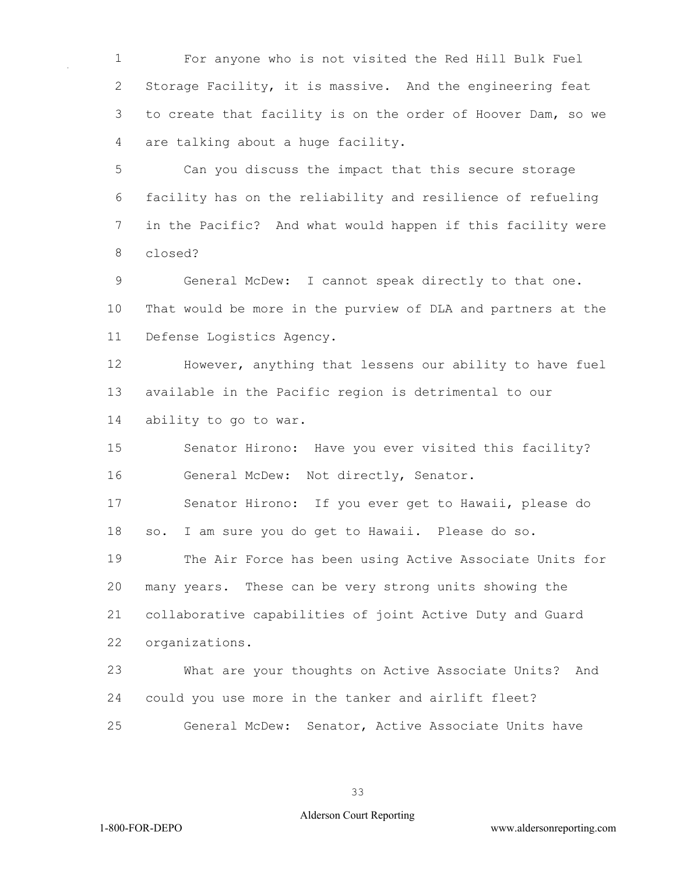For anyone who is not visited the Red Hill Bulk Fuel Storage Facility, it is massive. And the engineering feat to create that facility is on the order of Hoover Dam, so we are talking about a huge facility.

 Can you discuss the impact that this secure storage facility has on the reliability and resilience of refueling in the Pacific? And what would happen if this facility were closed?

 General McDew: I cannot speak directly to that one. That would be more in the purview of DLA and partners at the Defense Logistics Agency.

 However, anything that lessens our ability to have fuel available in the Pacific region is detrimental to our ability to go to war.

 Senator Hirono: Have you ever visited this facility? General McDew: Not directly, Senator.

 Senator Hirono: If you ever get to Hawaii, please do so. I am sure you do get to Hawaii. Please do so.

 The Air Force has been using Active Associate Units for many years. These can be very strong units showing the collaborative capabilities of joint Active Duty and Guard organizations.

 What are your thoughts on Active Associate Units? And could you use more in the tanker and airlift fleet? General McDew: Senator, Active Associate Units have

#### Alderson Court Reporting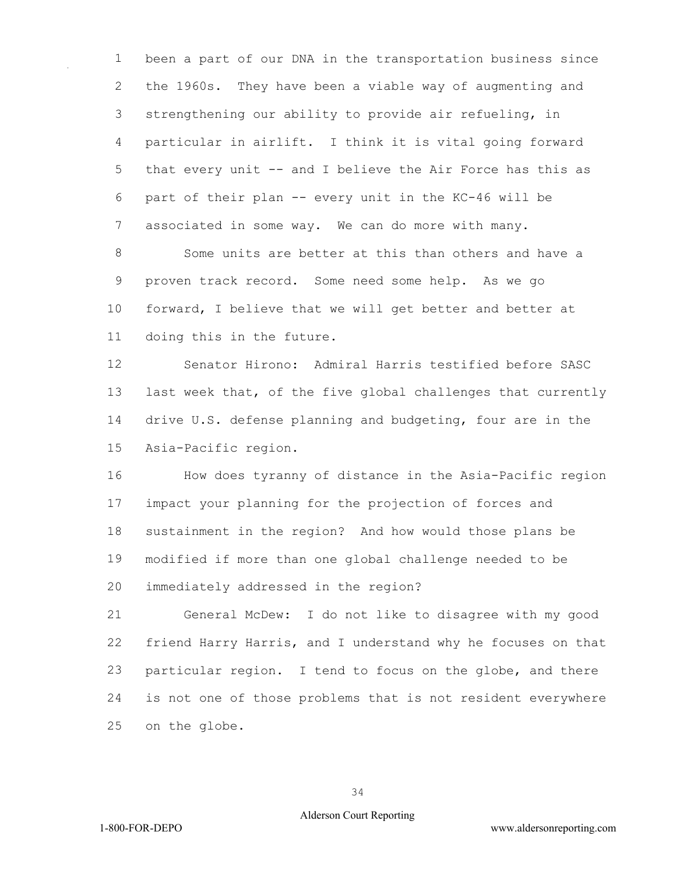been a part of our DNA in the transportation business since the 1960s. They have been a viable way of augmenting and strengthening our ability to provide air refueling, in particular in airlift. I think it is vital going forward that every unit -- and I believe the Air Force has this as part of their plan -- every unit in the KC-46 will be associated in some way. We can do more with many.

 Some units are better at this than others and have a proven track record. Some need some help. As we go forward, I believe that we will get better and better at doing this in the future.

 Senator Hirono: Admiral Harris testified before SASC last week that, of the five global challenges that currently drive U.S. defense planning and budgeting, four are in the Asia-Pacific region.

 How does tyranny of distance in the Asia-Pacific region impact your planning for the projection of forces and sustainment in the region? And how would those plans be modified if more than one global challenge needed to be immediately addressed in the region?

 General McDew: I do not like to disagree with my good friend Harry Harris, and I understand why he focuses on that particular region. I tend to focus on the globe, and there is not one of those problems that is not resident everywhere on the globe.

#### Alderson Court Reporting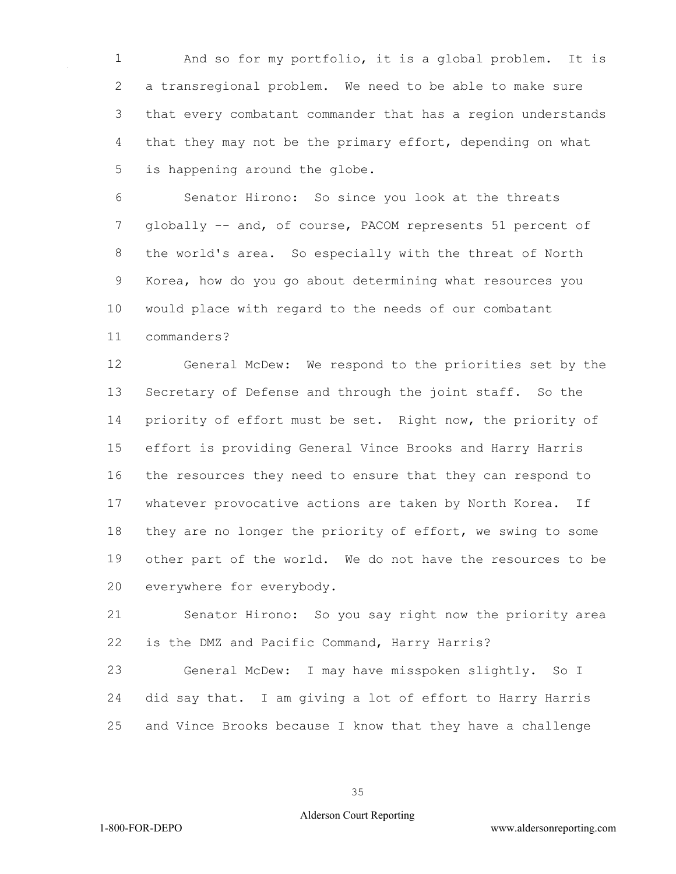And so for my portfolio, it is a global problem. It is a transregional problem. We need to be able to make sure that every combatant commander that has a region understands that they may not be the primary effort, depending on what is happening around the globe.

 Senator Hirono: So since you look at the threats globally -- and, of course, PACOM represents 51 percent of the world's area. So especially with the threat of North Korea, how do you go about determining what resources you would place with regard to the needs of our combatant commanders?

 General McDew: We respond to the priorities set by the Secretary of Defense and through the joint staff. So the priority of effort must be set. Right now, the priority of effort is providing General Vince Brooks and Harry Harris the resources they need to ensure that they can respond to whatever provocative actions are taken by North Korea. If they are no longer the priority of effort, we swing to some other part of the world. We do not have the resources to be everywhere for everybody.

 Senator Hirono: So you say right now the priority area is the DMZ and Pacific Command, Harry Harris?

 General McDew: I may have misspoken slightly. So I did say that. I am giving a lot of effort to Harry Harris and Vince Brooks because I know that they have a challenge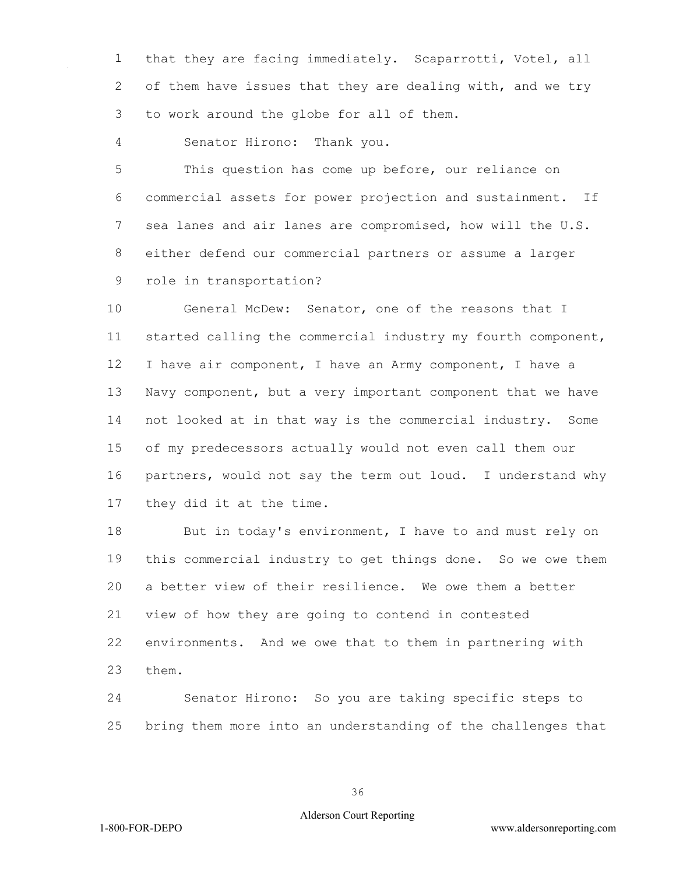that they are facing immediately. Scaparrotti, Votel, all 2 of them have issues that they are dealing with, and we try to work around the globe for all of them.

Senator Hirono: Thank you.

 This question has come up before, our reliance on commercial assets for power projection and sustainment. If sea lanes and air lanes are compromised, how will the U.S. either defend our commercial partners or assume a larger role in transportation?

 General McDew: Senator, one of the reasons that I started calling the commercial industry my fourth component, I have air component, I have an Army component, I have a Navy component, but a very important component that we have not looked at in that way is the commercial industry. Some of my predecessors actually would not even call them our partners, would not say the term out loud. I understand why they did it at the time.

18 But in today's environment, I have to and must rely on this commercial industry to get things done. So we owe them a better view of their resilience. We owe them a better view of how they are going to contend in contested environments. And we owe that to them in partnering with them.

 Senator Hirono: So you are taking specific steps to bring them more into an understanding of the challenges that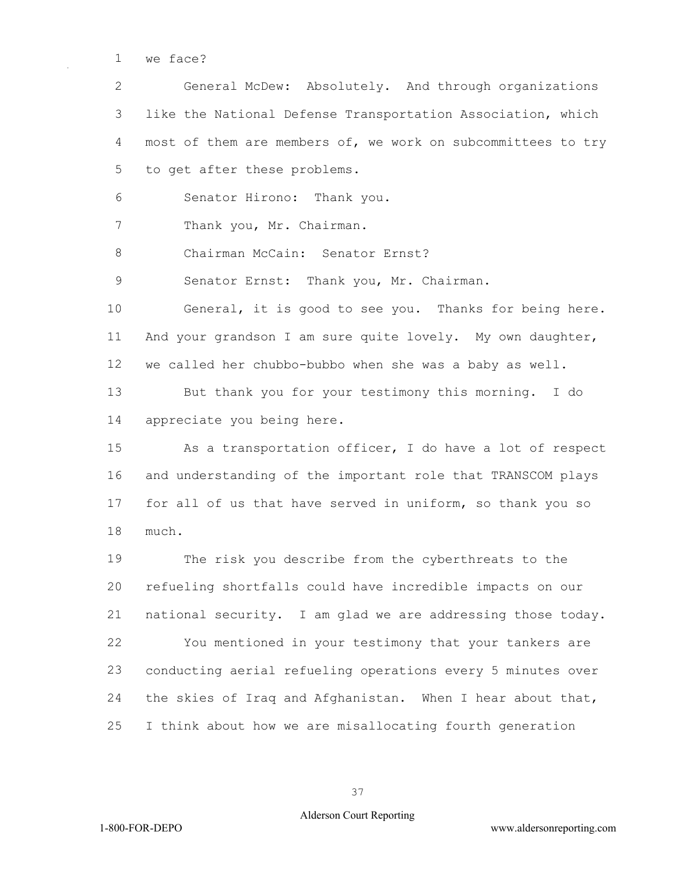we face?

 General McDew: Absolutely. And through organizations like the National Defense Transportation Association, which most of them are members of, we work on subcommittees to try to get after these problems.

Senator Hirono: Thank you.

7 Thank you, Mr. Chairman.

8 Chairman McCain: Senator Ernst?

9 Senator Ernst: Thank you, Mr. Chairman.

 General, it is good to see you. Thanks for being here. And your grandson I am sure quite lovely. My own daughter, we called her chubbo-bubbo when she was a baby as well.

 But thank you for your testimony this morning. I do appreciate you being here.

 As a transportation officer, I do have a lot of respect and understanding of the important role that TRANSCOM plays for all of us that have served in uniform, so thank you so much.

 The risk you describe from the cyberthreats to the refueling shortfalls could have incredible impacts on our national security. I am glad we are addressing those today. You mentioned in your testimony that your tankers are conducting aerial refueling operations every 5 minutes over the skies of Iraq and Afghanistan. When I hear about that, I think about how we are misallocating fourth generation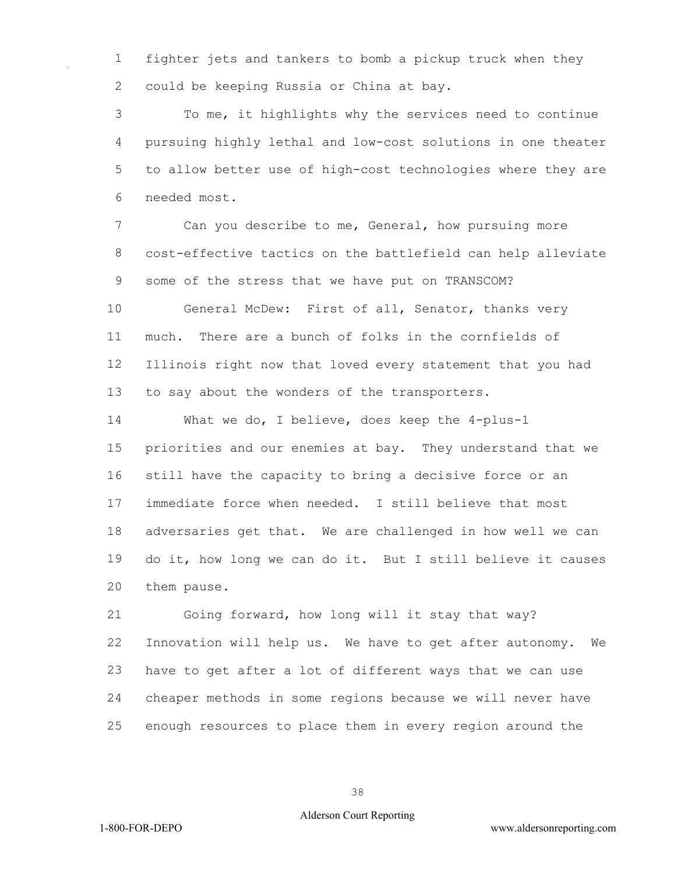fighter jets and tankers to bomb a pickup truck when they could be keeping Russia or China at bay.

 To me, it highlights why the services need to continue pursuing highly lethal and low-cost solutions in one theater to allow better use of high-cost technologies where they are needed most.

 Can you describe to me, General, how pursuing more cost-effective tactics on the battlefield can help alleviate some of the stress that we have put on TRANSCOM?

 General McDew: First of all, Senator, thanks very much. There are a bunch of folks in the cornfields of Illinois right now that loved every statement that you had to say about the wonders of the transporters.

 What we do, I believe, does keep the 4-plus-1 priorities and our enemies at bay. They understand that we still have the capacity to bring a decisive force or an immediate force when needed. I still believe that most adversaries get that. We are challenged in how well we can do it, how long we can do it. But I still believe it causes them pause.

 Going forward, how long will it stay that way? Innovation will help us. We have to get after autonomy. We have to get after a lot of different ways that we can use cheaper methods in some regions because we will never have enough resources to place them in every region around the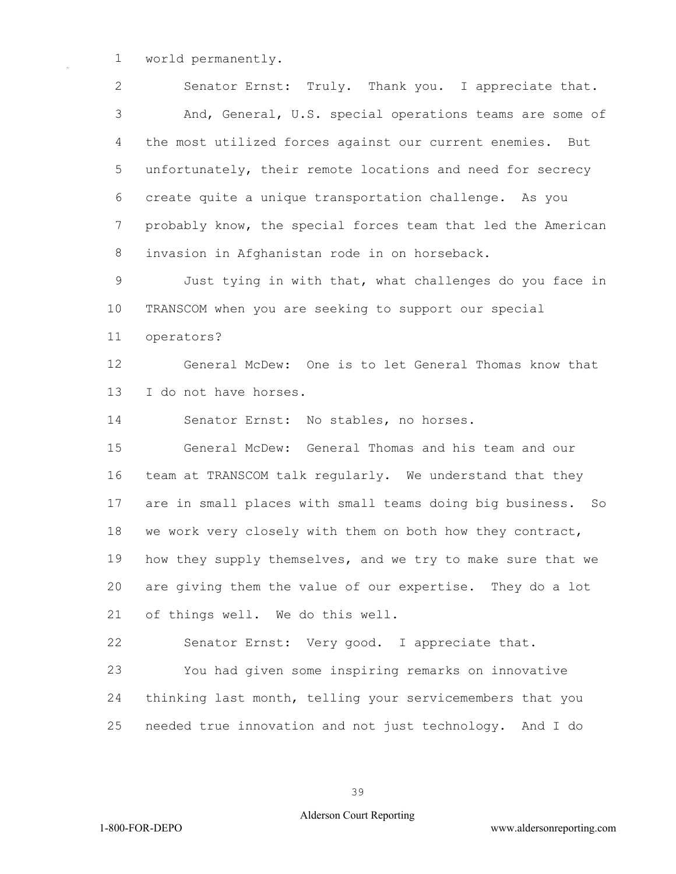world permanently.

 Senator Ernst: Truly. Thank you. I appreciate that. And, General, U.S. special operations teams are some of the most utilized forces against our current enemies. But unfortunately, their remote locations and need for secrecy create quite a unique transportation challenge. As you probably know, the special forces team that led the American invasion in Afghanistan rode in on horseback. Just tying in with that, what challenges do you face in TRANSCOM when you are seeking to support our special

operators?

 General McDew: One is to let General Thomas know that I do not have horses.

Senator Ernst: No stables, no horses.

 General McDew: General Thomas and his team and our team at TRANSCOM talk regularly. We understand that they are in small places with small teams doing big business. So we work very closely with them on both how they contract, how they supply themselves, and we try to make sure that we are giving them the value of our expertise. They do a lot of things well. We do this well.

Senator Ernst: Very good. I appreciate that.

 You had given some inspiring remarks on innovative thinking last month, telling your servicemembers that you needed true innovation and not just technology. And I do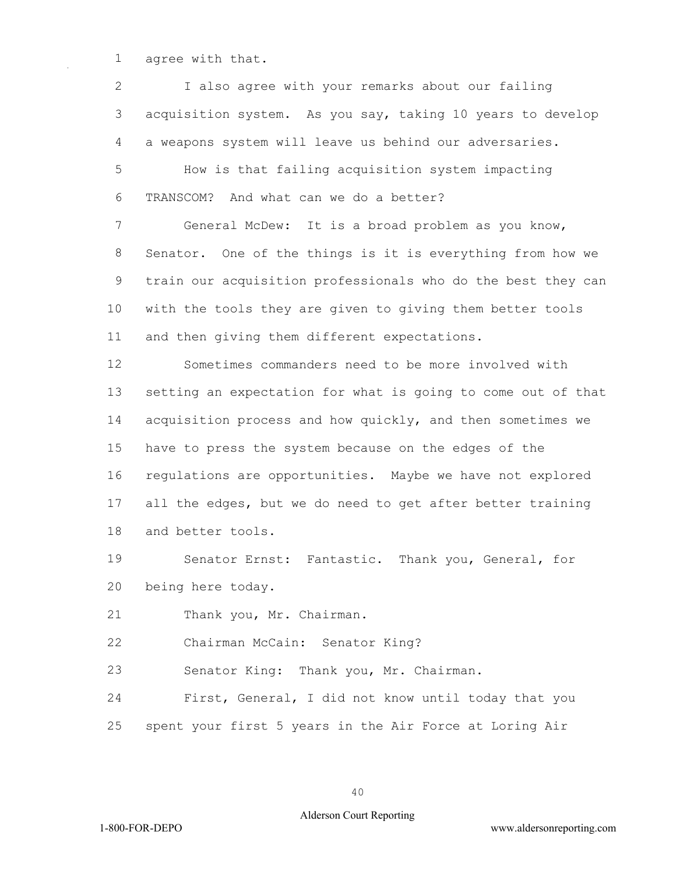agree with that.

 I also agree with your remarks about our failing acquisition system. As you say, taking 10 years to develop a weapons system will leave us behind our adversaries. How is that failing acquisition system impacting TRANSCOM? And what can we do a better? General McDew: It is a broad problem as you know, Senator. One of the things is it is everything from how we train our acquisition professionals who do the best they can with the tools they are given to giving them better tools and then giving them different expectations. Sometimes commanders need to be more involved with setting an expectation for what is going to come out of that acquisition process and how quickly, and then sometimes we have to press the system because on the edges of the regulations are opportunities. Maybe we have not explored all the edges, but we do need to get after better training and better tools. Senator Ernst: Fantastic. Thank you, General, for being here today. Thank you, Mr. Chairman. Chairman McCain: Senator King? Senator King: Thank you, Mr. Chairman. First, General, I did not know until today that you spent your first 5 years in the Air Force at Loring Air

#### Alderson Court Reporting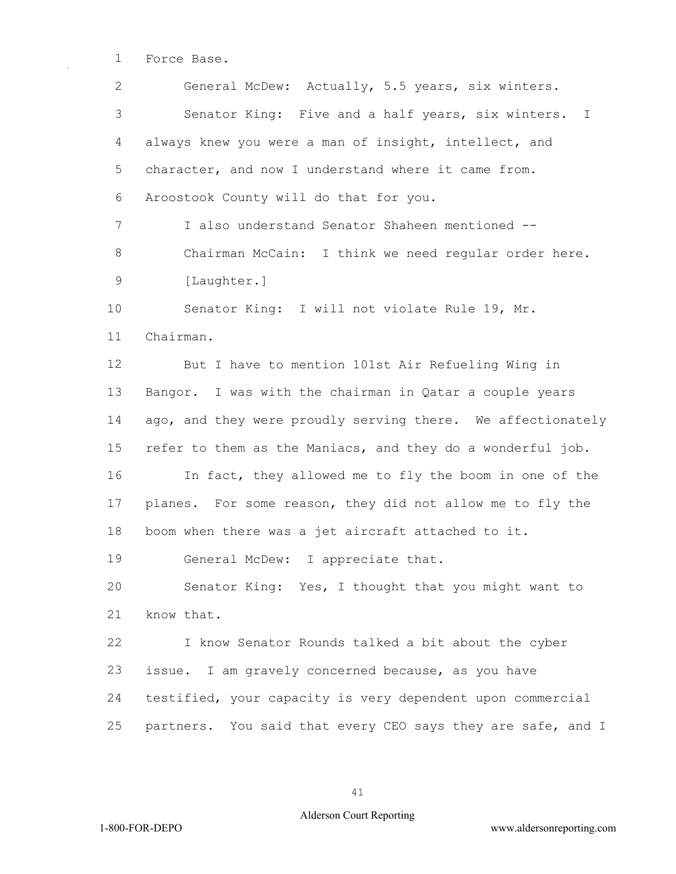Force Base.

 General McDew: Actually, 5.5 years, six winters. Senator King: Five and a half years, six winters. I always knew you were a man of insight, intellect, and 5 character, and now I understand where it came from. Aroostook County will do that for you. I also understand Senator Shaheen mentioned -- Chairman McCain: I think we need regular order here. 9 [Laughter.] Senator King: I will not violate Rule 19, Mr. Chairman. But I have to mention 101st Air Refueling Wing in Bangor. I was with the chairman in Qatar a couple years ago, and they were proudly serving there. We affectionately refer to them as the Maniacs, and they do a wonderful job. In fact, they allowed me to fly the boom in one of the planes. For some reason, they did not allow me to fly the boom when there was a jet aircraft attached to it. General McDew: I appreciate that. Senator King: Yes, I thought that you might want to know that. I know Senator Rounds talked a bit about the cyber issue. I am gravely concerned because, as you have testified, your capacity is very dependent upon commercial partners. You said that every CEO says they are safe, and I

#### Alderson Court Reporting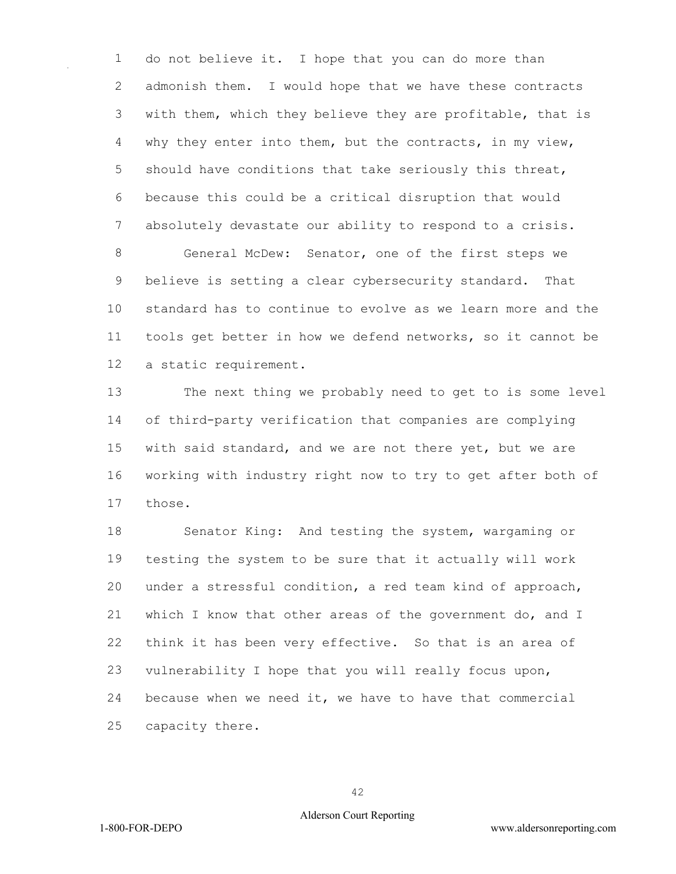do not believe it. I hope that you can do more than admonish them. I would hope that we have these contracts with them, which they believe they are profitable, that is why they enter into them, but the contracts, in my view, should have conditions that take seriously this threat, because this could be a critical disruption that would absolutely devastate our ability to respond to a crisis. General McDew: Senator, one of the first steps we believe is setting a clear cybersecurity standard. That standard has to continue to evolve as we learn more and the tools get better in how we defend networks, so it cannot be

a static requirement.

 The next thing we probably need to get to is some level of third-party verification that companies are complying with said standard, and we are not there yet, but we are working with industry right now to try to get after both of those.

 Senator King: And testing the system, wargaming or testing the system to be sure that it actually will work under a stressful condition, a red team kind of approach, which I know that other areas of the government do, and I think it has been very effective. So that is an area of vulnerability I hope that you will really focus upon, because when we need it, we have to have that commercial capacity there.

#### Alderson Court Reporting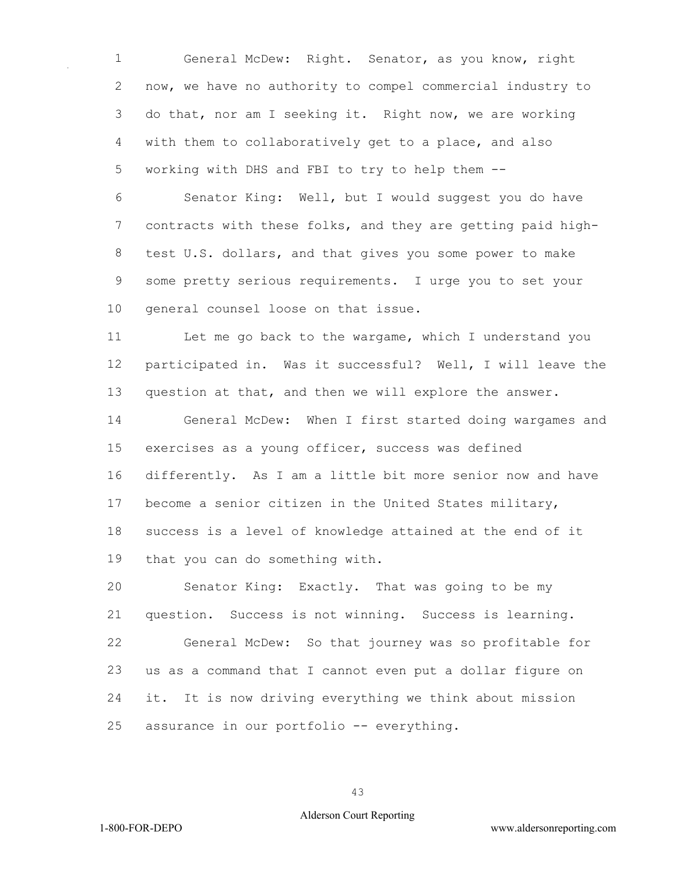General McDew: Right. Senator, as you know, right now, we have no authority to compel commercial industry to do that, nor am I seeking it. Right now, we are working with them to collaboratively get to a place, and also working with DHS and FBI to try to help them --

 Senator King: Well, but I would suggest you do have contracts with these folks, and they are getting paid high- test U.S. dollars, and that gives you some power to make some pretty serious requirements. I urge you to set your general counsel loose on that issue.

 Let me go back to the wargame, which I understand you participated in. Was it successful? Well, I will leave the question at that, and then we will explore the answer.

 General McDew: When I first started doing wargames and exercises as a young officer, success was defined differently. As I am a little bit more senior now and have become a senior citizen in the United States military, success is a level of knowledge attained at the end of it that you can do something with.

 Senator King: Exactly. That was going to be my question. Success is not winning. Success is learning. General McDew: So that journey was so profitable for us as a command that I cannot even put a dollar figure on it. It is now driving everything we think about mission assurance in our portfolio -- everything.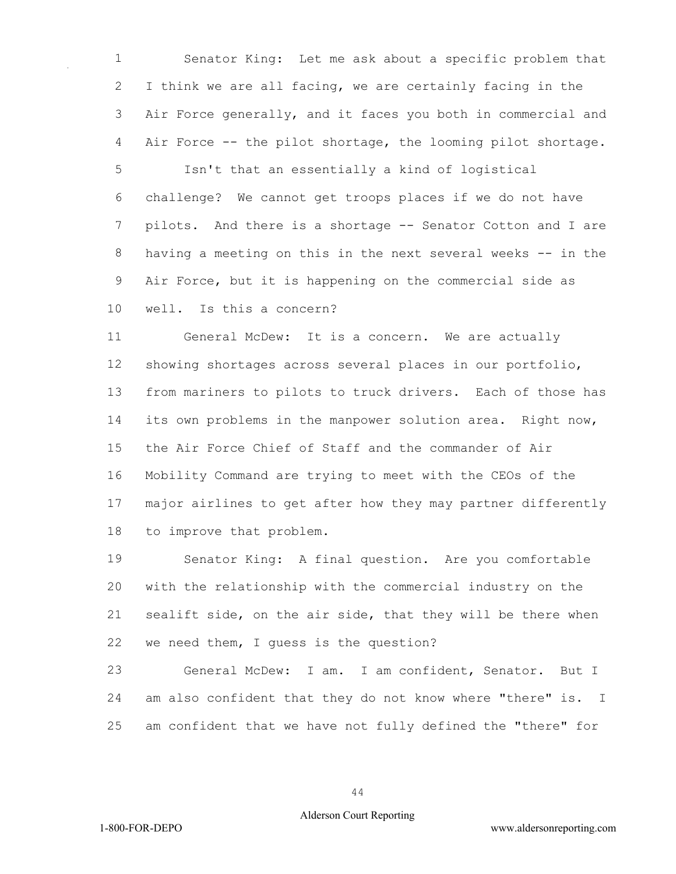Senator King: Let me ask about a specific problem that I think we are all facing, we are certainly facing in the Air Force generally, and it faces you both in commercial and Air Force -- the pilot shortage, the looming pilot shortage.

 Isn't that an essentially a kind of logistical challenge? We cannot get troops places if we do not have 7 pilots. And there is a shortage -- Senator Cotton and I are having a meeting on this in the next several weeks -- in the Air Force, but it is happening on the commercial side as

well. Is this a concern?

 General McDew: It is a concern. We are actually showing shortages across several places in our portfolio, from mariners to pilots to truck drivers. Each of those has its own problems in the manpower solution area. Right now, the Air Force Chief of Staff and the commander of Air Mobility Command are trying to meet with the CEOs of the major airlines to get after how they may partner differently to improve that problem.

 Senator King: A final question. Are you comfortable with the relationship with the commercial industry on the sealift side, on the air side, that they will be there when we need them, I guess is the question?

 General McDew: I am. I am confident, Senator. But I am also confident that they do not know where "there" is. I am confident that we have not fully defined the "there" for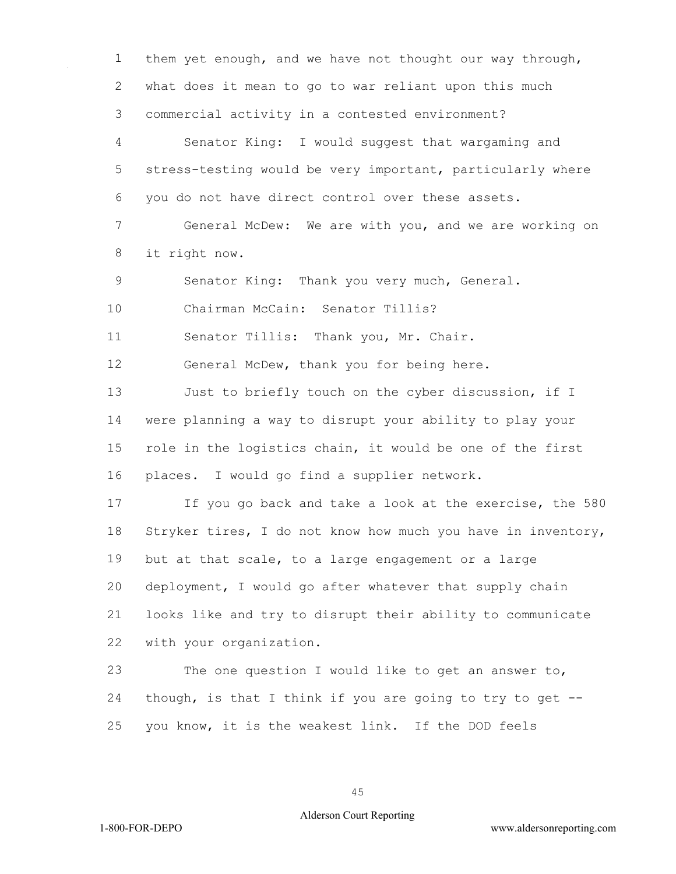them yet enough, and we have not thought our way through, what does it mean to go to war reliant upon this much commercial activity in a contested environment? Senator King: I would suggest that wargaming and stress-testing would be very important, particularly where you do not have direct control over these assets. General McDew: We are with you, and we are working on it right now. Senator King: Thank you very much, General. Chairman McCain: Senator Tillis? Senator Tillis: Thank you, Mr. Chair. 12 General McDew, thank you for being here. 13 Just to briefly touch on the cyber discussion, if I were planning a way to disrupt your ability to play your role in the logistics chain, it would be one of the first places. I would go find a supplier network. If you go back and take a look at the exercise, the 580 Stryker tires, I do not know how much you have in inventory, but at that scale, to a large engagement or a large deployment, I would go after whatever that supply chain looks like and try to disrupt their ability to communicate with your organization. The one question I would like to get an answer to, though, is that I think if you are going to try to get -- you know, it is the weakest link. If the DOD feels

### Alderson Court Reporting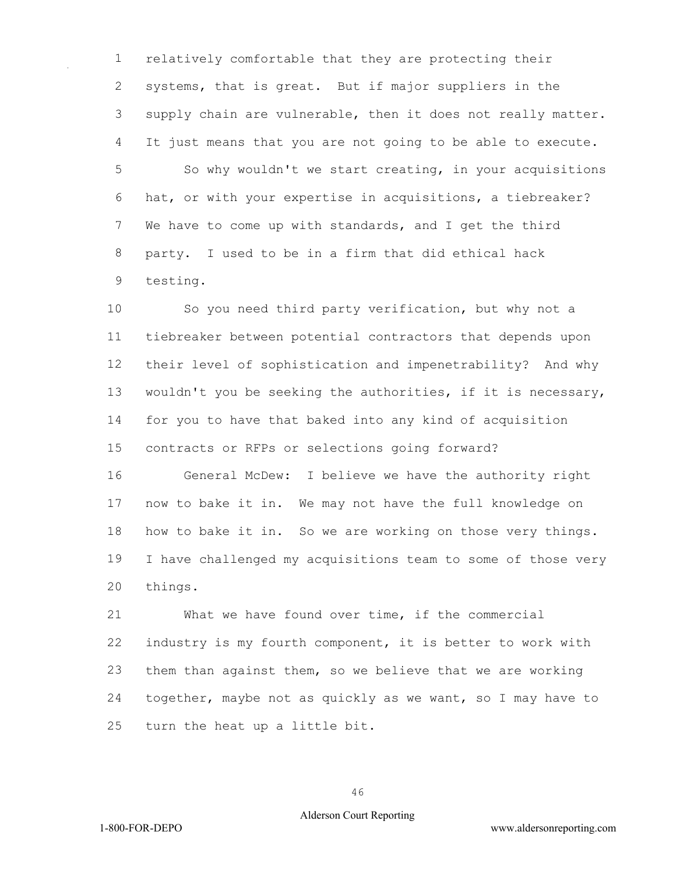relatively comfortable that they are protecting their systems, that is great. But if major suppliers in the 3 supply chain are vulnerable, then it does not really matter. It just means that you are not going to be able to execute. So why wouldn't we start creating, in your acquisitions hat, or with your expertise in acquisitions, a tiebreaker? We have to come up with standards, and I get the third party. I used to be in a firm that did ethical hack testing.

 So you need third party verification, but why not a tiebreaker between potential contractors that depends upon their level of sophistication and impenetrability? And why wouldn't you be seeking the authorities, if it is necessary, for you to have that baked into any kind of acquisition contracts or RFPs or selections going forward?

 General McDew: I believe we have the authority right now to bake it in. We may not have the full knowledge on how to bake it in. So we are working on those very things. I have challenged my acquisitions team to some of those very things.

 What we have found over time, if the commercial industry is my fourth component, it is better to work with them than against them, so we believe that we are working together, maybe not as quickly as we want, so I may have to turn the heat up a little bit.

#### Alderson Court Reporting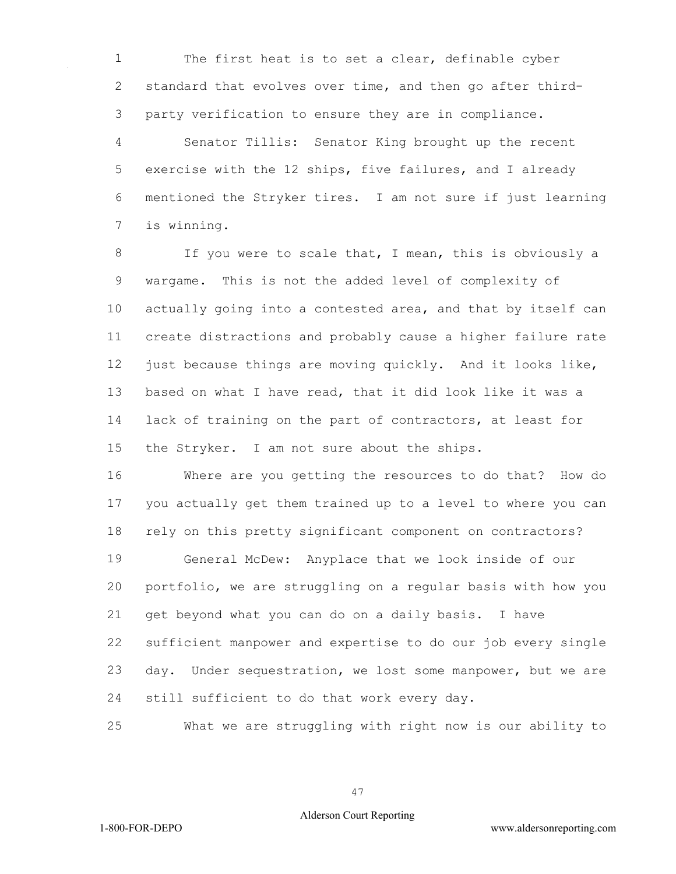The first heat is to set a clear, definable cyber standard that evolves over time, and then go after third-party verification to ensure they are in compliance.

 Senator Tillis: Senator King brought up the recent exercise with the 12 ships, five failures, and I already mentioned the Stryker tires. I am not sure if just learning is winning.

 If you were to scale that, I mean, this is obviously a wargame. This is not the added level of complexity of actually going into a contested area, and that by itself can create distractions and probably cause a higher failure rate just because things are moving quickly. And it looks like, based on what I have read, that it did look like it was a lack of training on the part of contractors, at least for the Stryker. I am not sure about the ships.

 Where are you getting the resources to do that? How do you actually get them trained up to a level to where you can rely on this pretty significant component on contractors? General McDew: Anyplace that we look inside of our portfolio, we are struggling on a regular basis with how you get beyond what you can do on a daily basis. I have sufficient manpower and expertise to do our job every single day. Under sequestration, we lost some manpower, but we are

still sufficient to do that work every day.

What we are struggling with right now is our ability to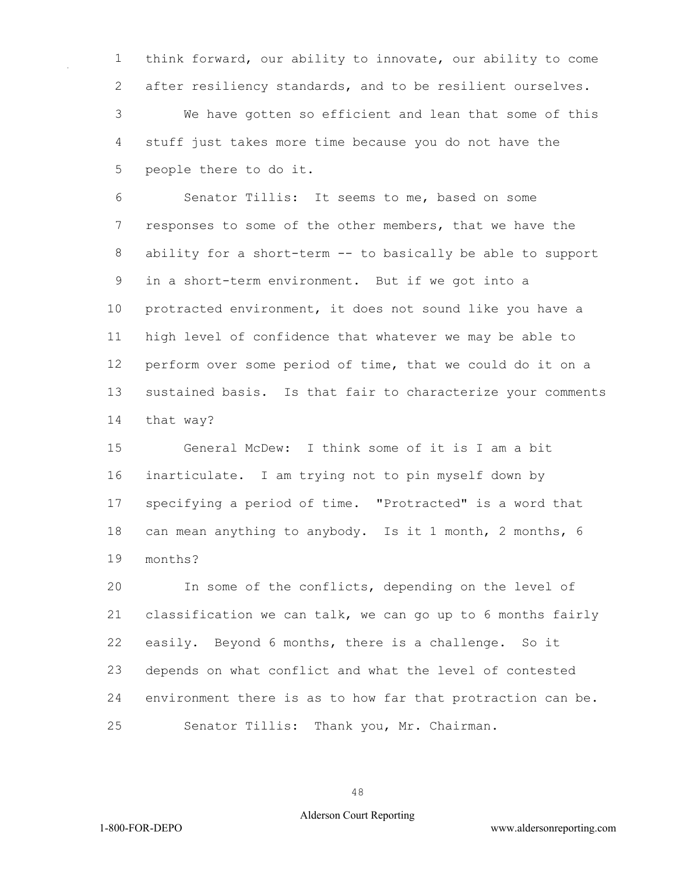think forward, our ability to innovate, our ability to come after resiliency standards, and to be resilient ourselves.

 We have gotten so efficient and lean that some of this stuff just takes more time because you do not have the people there to do it.

 Senator Tillis: It seems to me, based on some responses to some of the other members, that we have the ability for a short-term -- to basically be able to support in a short-term environment. But if we got into a protracted environment, it does not sound like you have a high level of confidence that whatever we may be able to perform over some period of time, that we could do it on a sustained basis. Is that fair to characterize your comments that way?

 General McDew: I think some of it is I am a bit inarticulate. I am trying not to pin myself down by specifying a period of time. "Protracted" is a word that can mean anything to anybody. Is it 1 month, 2 months, 6 months?

 In some of the conflicts, depending on the level of classification we can talk, we can go up to 6 months fairly easily. Beyond 6 months, there is a challenge. So it depends on what conflict and what the level of contested environment there is as to how far that protraction can be. Senator Tillis: Thank you, Mr. Chairman.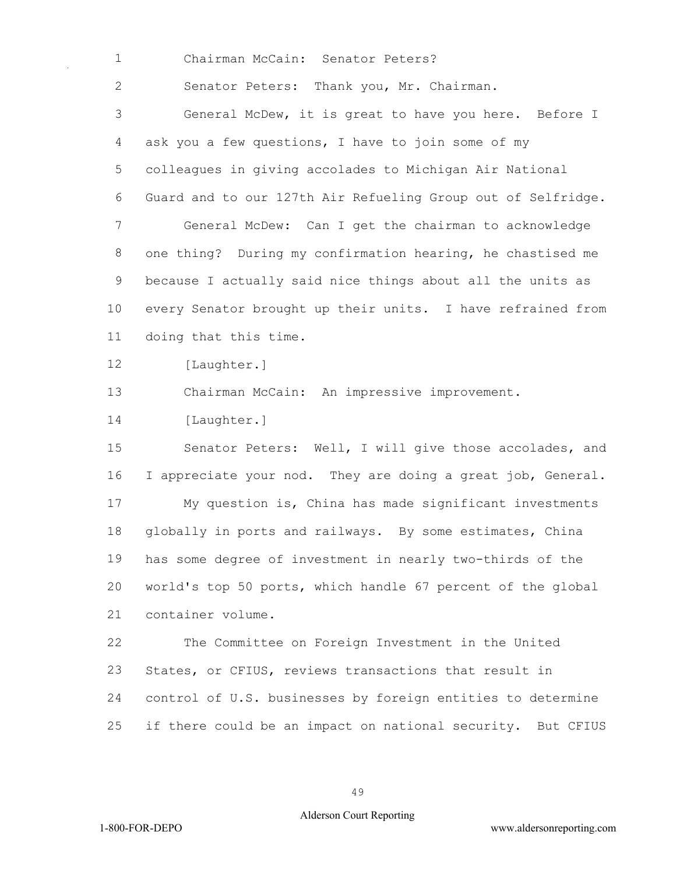Chairman McCain: Senator Peters?

Senator Peters: Thank you, Mr. Chairman.

 General McDew, it is great to have you here. Before I ask you a few questions, I have to join some of my colleagues in giving accolades to Michigan Air National Guard and to our 127th Air Refueling Group out of Selfridge. General McDew: Can I get the chairman to acknowledge one thing? During my confirmation hearing, he chastised me because I actually said nice things about all the units as every Senator brought up their units. I have refrained from doing that this time.

12 [Laughter.]

Chairman McCain: An impressive improvement.

[Laughter.]

 Senator Peters: Well, I will give those accolades, and 16 I appreciate your nod. They are doing a great job, General. My question is, China has made significant investments globally in ports and railways. By some estimates, China has some degree of investment in nearly two-thirds of the world's top 50 ports, which handle 67 percent of the global container volume.

 The Committee on Foreign Investment in the United States, or CFIUS, reviews transactions that result in control of U.S. businesses by foreign entities to determine if there could be an impact on national security. But CFIUS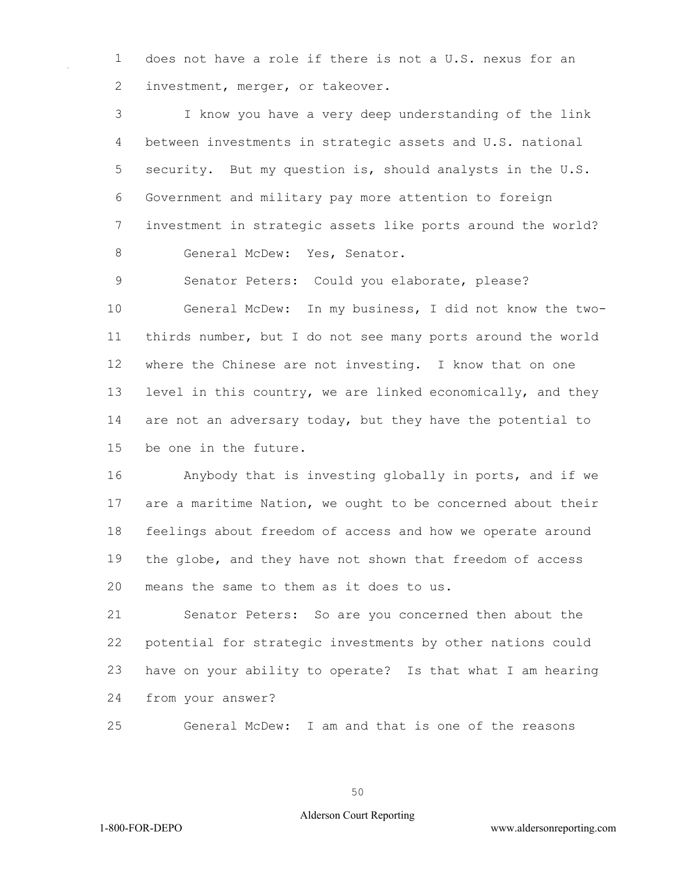does not have a role if there is not a U.S. nexus for an 2 investment, merger, or takeover.

 I know you have a very deep understanding of the link between investments in strategic assets and U.S. national security. But my question is, should analysts in the U.S. Government and military pay more attention to foreign investment in strategic assets like ports around the world? 8 General McDew: Yes, Senator.

Senator Peters: Could you elaborate, please?

 General McDew: In my business, I did not know the two- thirds number, but I do not see many ports around the world where the Chinese are not investing. I know that on one level in this country, we are linked economically, and they 14 are not an adversary today, but they have the potential to be one in the future.

 Anybody that is investing globally in ports, and if we are a maritime Nation, we ought to be concerned about their feelings about freedom of access and how we operate around the globe, and they have not shown that freedom of access means the same to them as it does to us.

 Senator Peters: So are you concerned then about the potential for strategic investments by other nations could have on your ability to operate? Is that what I am hearing from your answer?

General McDew: I am and that is one of the reasons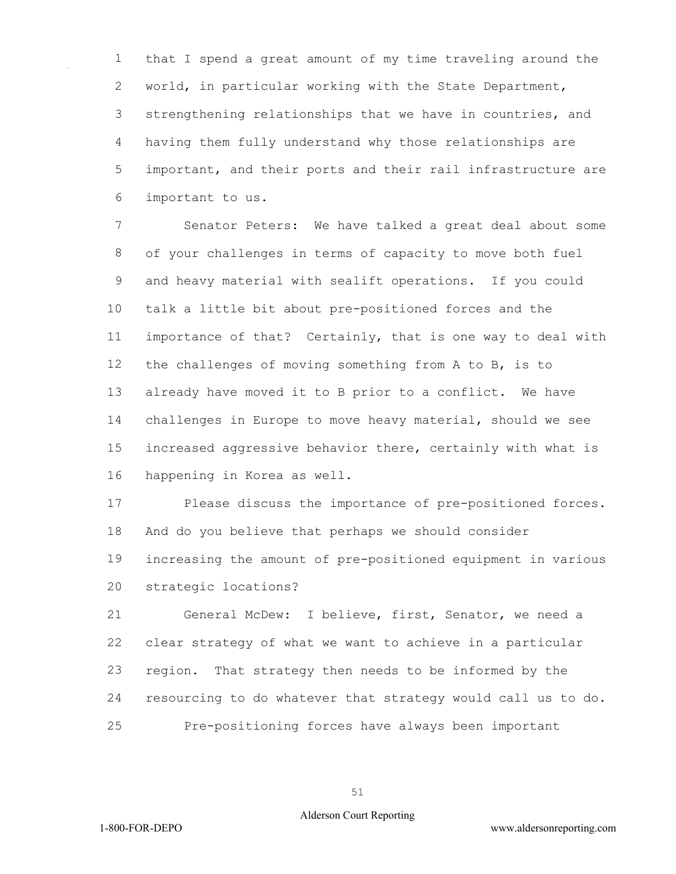that I spend a great amount of my time traveling around the world, in particular working with the State Department, strengthening relationships that we have in countries, and having them fully understand why those relationships are important, and their ports and their rail infrastructure are important to us.

 Senator Peters: We have talked a great deal about some of your challenges in terms of capacity to move both fuel and heavy material with sealift operations. If you could talk a little bit about pre-positioned forces and the importance of that? Certainly, that is one way to deal with the challenges of moving something from A to B, is to already have moved it to B prior to a conflict. We have challenges in Europe to move heavy material, should we see increased aggressive behavior there, certainly with what is happening in Korea as well.

 Please discuss the importance of pre-positioned forces. And do you believe that perhaps we should consider increasing the amount of pre-positioned equipment in various strategic locations?

 General McDew: I believe, first, Senator, we need a clear strategy of what we want to achieve in a particular region. That strategy then needs to be informed by the resourcing to do whatever that strategy would call us to do. Pre-positioning forces have always been important

#### Alderson Court Reporting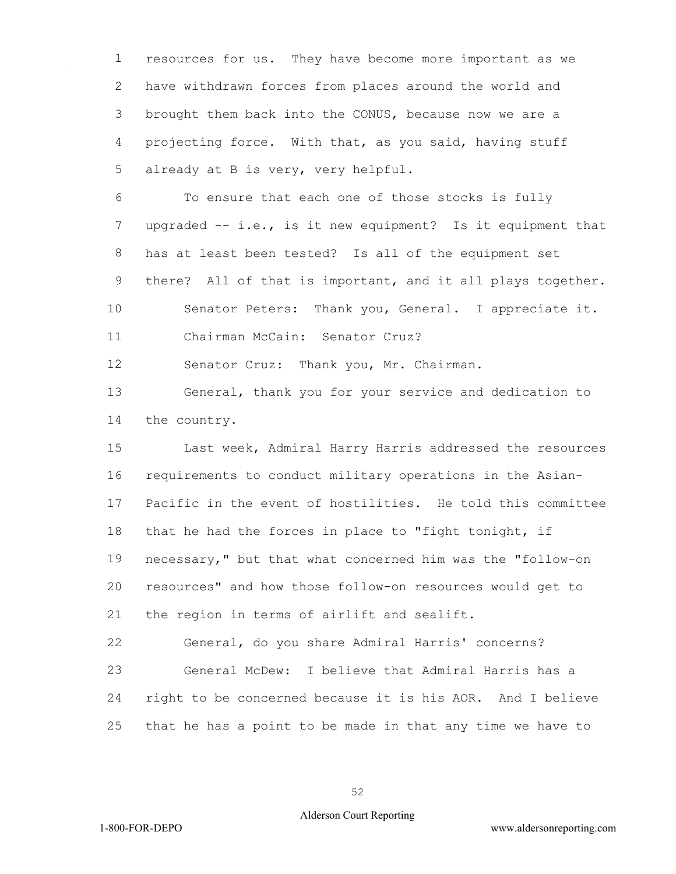resources for us. They have become more important as we have withdrawn forces from places around the world and brought them back into the CONUS, because now we are a projecting force. With that, as you said, having stuff already at B is very, very helpful.

 To ensure that each one of those stocks is fully upgraded -- i.e., is it new equipment? Is it equipment that has at least been tested? Is all of the equipment set there? All of that is important, and it all plays together. Senator Peters: Thank you, General. I appreciate it.

Chairman McCain: Senator Cruz?

Senator Cruz: Thank you, Mr. Chairman.

 General, thank you for your service and dedication to the country.

 Last week, Admiral Harry Harris addressed the resources requirements to conduct military operations in the Asian- Pacific in the event of hostilities. He told this committee that he had the forces in place to "fight tonight, if necessary," but that what concerned him was the "follow-on resources" and how those follow-on resources would get to the region in terms of airlift and sealift.

 General, do you share Admiral Harris' concerns? General McDew: I believe that Admiral Harris has a right to be concerned because it is his AOR. And I believe that he has a point to be made in that any time we have to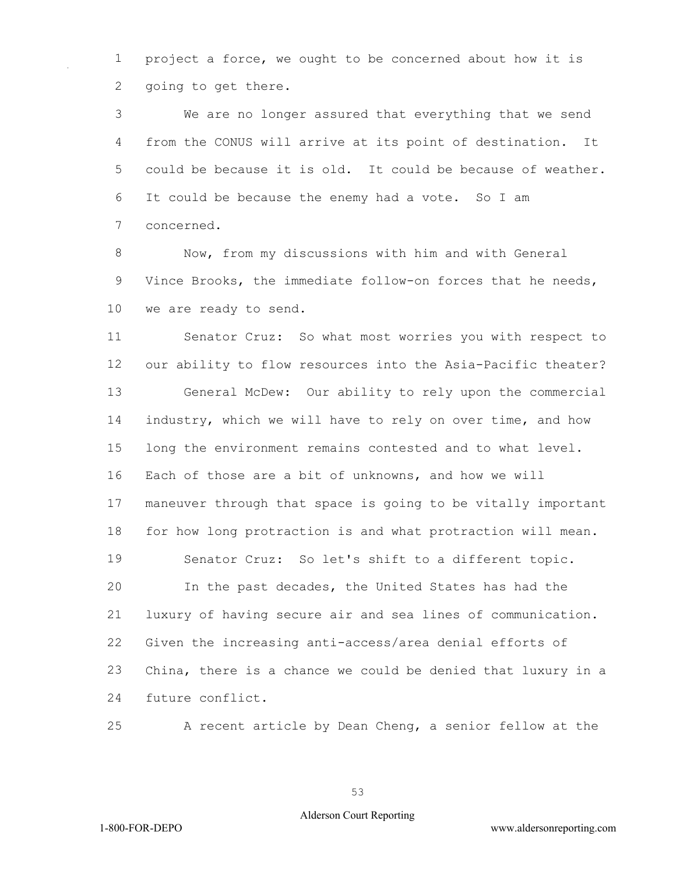project a force, we ought to be concerned about how it is going to get there.

 We are no longer assured that everything that we send from the CONUS will arrive at its point of destination. It could be because it is old. It could be because of weather. It could be because the enemy had a vote. So I am concerned.

 Now, from my discussions with him and with General Vince Brooks, the immediate follow-on forces that he needs, we are ready to send.

 Senator Cruz: So what most worries you with respect to our ability to flow resources into the Asia-Pacific theater? General McDew: Our ability to rely upon the commercial industry, which we will have to rely on over time, and how long the environment remains contested and to what level. Each of those are a bit of unknowns, and how we will maneuver through that space is going to be vitally important for how long protraction is and what protraction will mean. Senator Cruz: So let's shift to a different topic. In the past decades, the United States has had the luxury of having secure air and sea lines of communication. Given the increasing anti-access/area denial efforts of China, there is a chance we could be denied that luxury in a future conflict.

A recent article by Dean Cheng, a senior fellow at the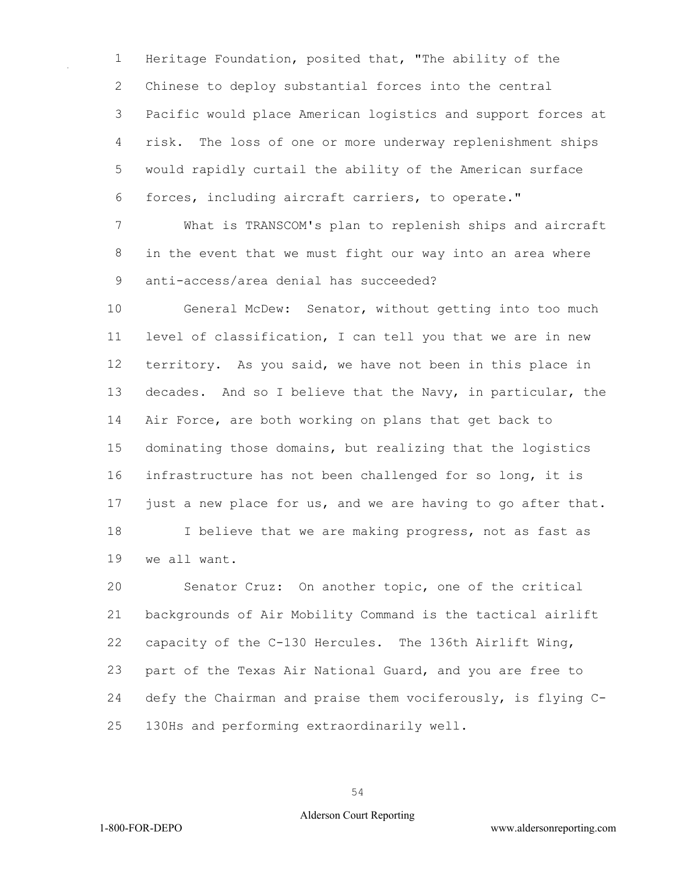Heritage Foundation, posited that, "The ability of the Chinese to deploy substantial forces into the central Pacific would place American logistics and support forces at risk. The loss of one or more underway replenishment ships would rapidly curtail the ability of the American surface forces, including aircraft carriers, to operate."

 What is TRANSCOM's plan to replenish ships and aircraft in the event that we must fight our way into an area where anti-access/area denial has succeeded?

 General McDew: Senator, without getting into too much level of classification, I can tell you that we are in new territory. As you said, we have not been in this place in decades. And so I believe that the Navy, in particular, the Air Force, are both working on plans that get back to dominating those domains, but realizing that the logistics infrastructure has not been challenged for so long, it is just a new place for us, and we are having to go after that. I believe that we are making progress, not as fast as we all want.

 Senator Cruz: On another topic, one of the critical backgrounds of Air Mobility Command is the tactical airlift capacity of the C-130 Hercules. The 136th Airlift Wing, part of the Texas Air National Guard, and you are free to defy the Chairman and praise them vociferously, is flying C-130Hs and performing extraordinarily well.

#### Alderson Court Reporting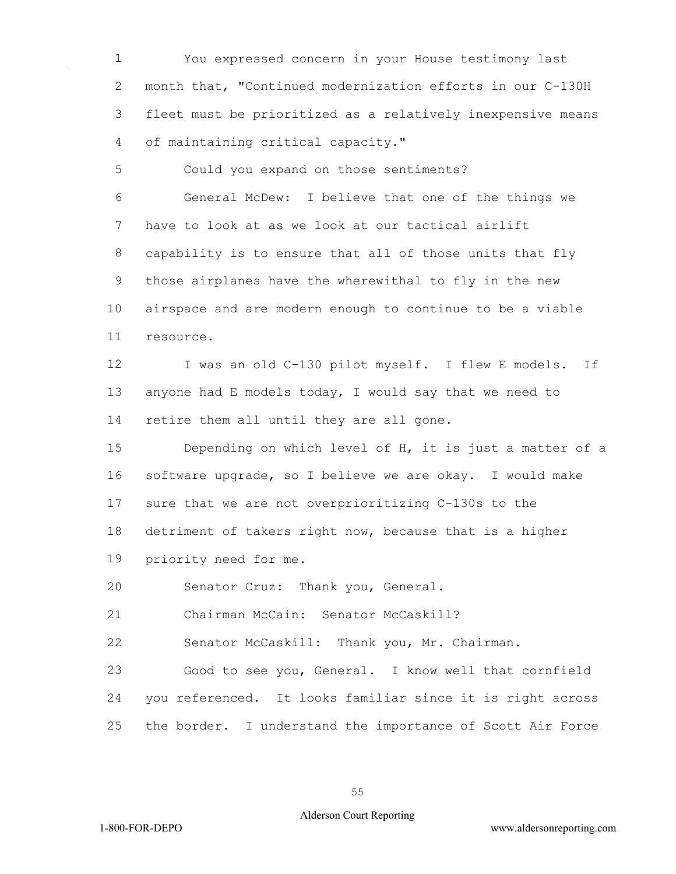You expressed concern in your House testimony last month that, "Continued modernization efforts in our C-130H fleet must be prioritized as a relatively inexpensive means of maintaining critical capacity."

 Could you expand on those sentiments? General McDew: I believe that one of the things we have to look at as we look at our tactical airlift capability is to ensure that all of those units that fly those airplanes have the wherewithal to fly in the new airspace and are modern enough to continue to be a viable resource.

12 I was an old C-130 pilot myself. I flew E models. If anyone had E models today, I would say that we need to retire them all until they are all gone.

 Depending on which level of H, it is just a matter of a software upgrade, so I believe we are okay. I would make sure that we are not overprioritizing C-130s to the detriment of takers right now, because that is a higher priority need for me.

Senator Cruz: Thank you, General.

Chairman McCain: Senator McCaskill?

Senator McCaskill: Thank you, Mr. Chairman.

 Good to see you, General. I know well that cornfield you referenced. It looks familiar since it is right across the border. I understand the importance of Scott Air Force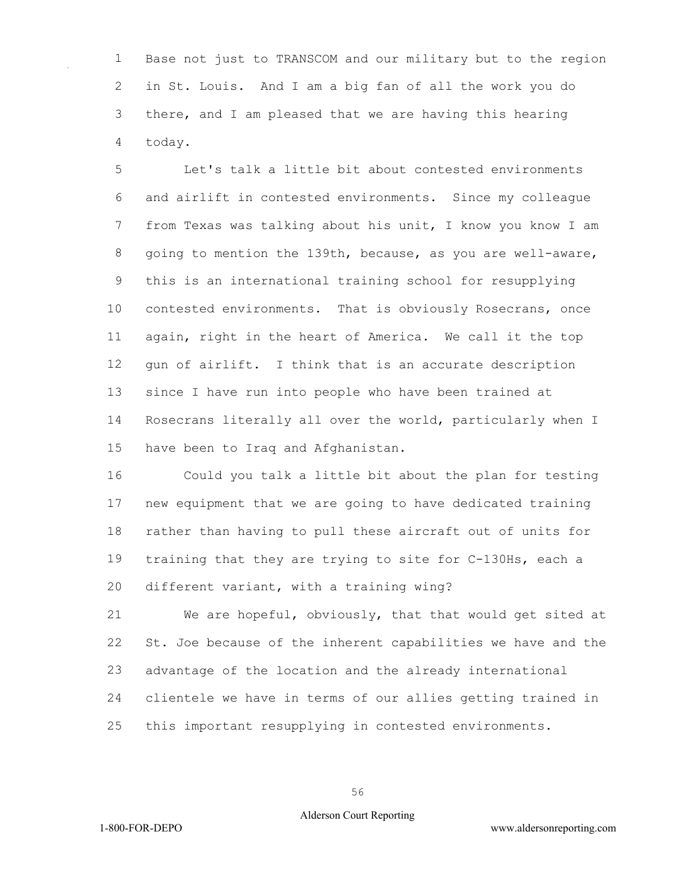Base not just to TRANSCOM and our military but to the region in St. Louis. And I am a big fan of all the work you do there, and I am pleased that we are having this hearing today.

 Let's talk a little bit about contested environments and airlift in contested environments. Since my colleague from Texas was talking about his unit, I know you know I am going to mention the 139th, because, as you are well-aware, this is an international training school for resupplying contested environments. That is obviously Rosecrans, once again, right in the heart of America. We call it the top gun of airlift. I think that is an accurate description since I have run into people who have been trained at Rosecrans literally all over the world, particularly when I have been to Iraq and Afghanistan.

 Could you talk a little bit about the plan for testing new equipment that we are going to have dedicated training rather than having to pull these aircraft out of units for training that they are trying to site for C-130Hs, each a different variant, with a training wing?

 We are hopeful, obviously, that that would get sited at St. Joe because of the inherent capabilities we have and the advantage of the location and the already international clientele we have in terms of our allies getting trained in this important resupplying in contested environments.

#### Alderson Court Reporting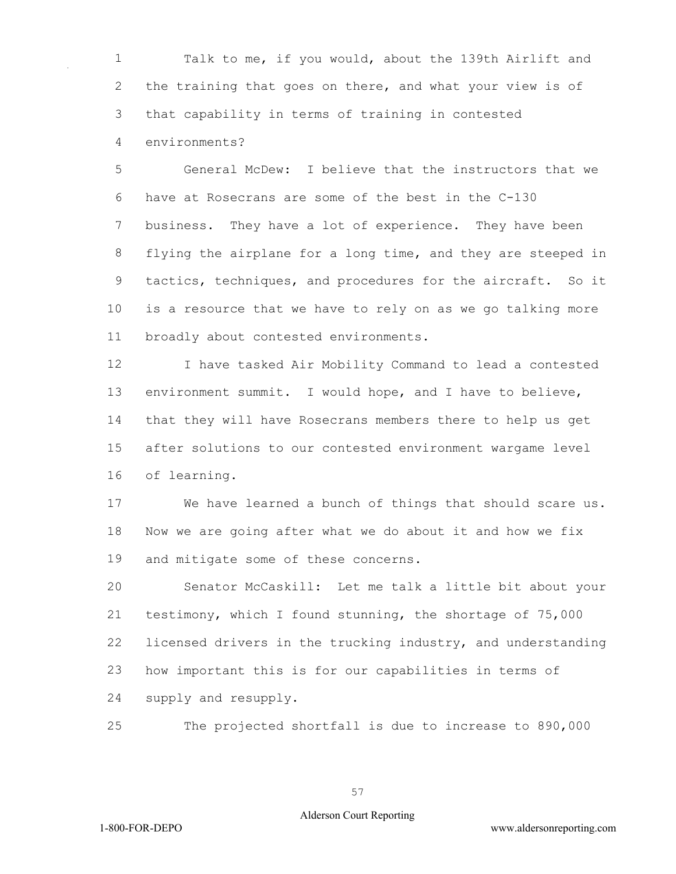Talk to me, if you would, about the 139th Airlift and the training that goes on there, and what your view is of that capability in terms of training in contested environments?

 General McDew: I believe that the instructors that we have at Rosecrans are some of the best in the C-130 business. They have a lot of experience. They have been flying the airplane for a long time, and they are steeped in tactics, techniques, and procedures for the aircraft. So it is a resource that we have to rely on as we go talking more broadly about contested environments.

 I have tasked Air Mobility Command to lead a contested environment summit. I would hope, and I have to believe, that they will have Rosecrans members there to help us get after solutions to our contested environment wargame level of learning.

 We have learned a bunch of things that should scare us. Now we are going after what we do about it and how we fix and mitigate some of these concerns.

 Senator McCaskill: Let me talk a little bit about your testimony, which I found stunning, the shortage of 75,000 licensed drivers in the trucking industry, and understanding how important this is for our capabilities in terms of supply and resupply.

The projected shortfall is due to increase to 890,000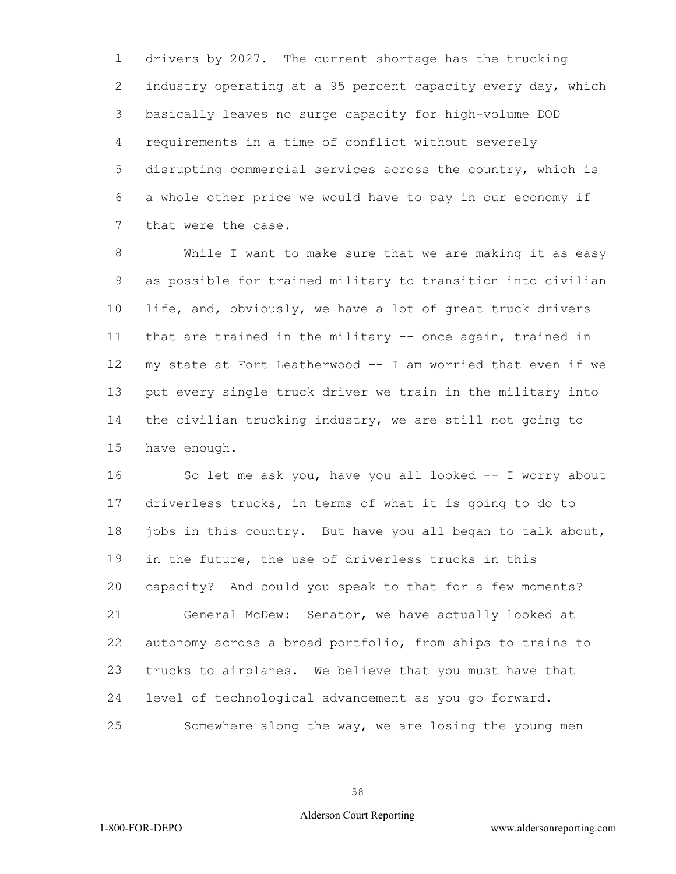drivers by 2027. The current shortage has the trucking industry operating at a 95 percent capacity every day, which basically leaves no surge capacity for high-volume DOD requirements in a time of conflict without severely disrupting commercial services across the country, which is a whole other price we would have to pay in our economy if that were the case.

 While I want to make sure that we are making it as easy as possible for trained military to transition into civilian life, and, obviously, we have a lot of great truck drivers that are trained in the military -- once again, trained in my state at Fort Leatherwood -- I am worried that even if we put every single truck driver we train in the military into the civilian trucking industry, we are still not going to have enough.

 So let me ask you, have you all looked -- I worry about driverless trucks, in terms of what it is going to do to 18 jobs in this country. But have you all began to talk about, in the future, the use of driverless trucks in this capacity? And could you speak to that for a few moments? General McDew: Senator, we have actually looked at autonomy across a broad portfolio, from ships to trains to trucks to airplanes. We believe that you must have that level of technological advancement as you go forward. Somewhere along the way, we are losing the young men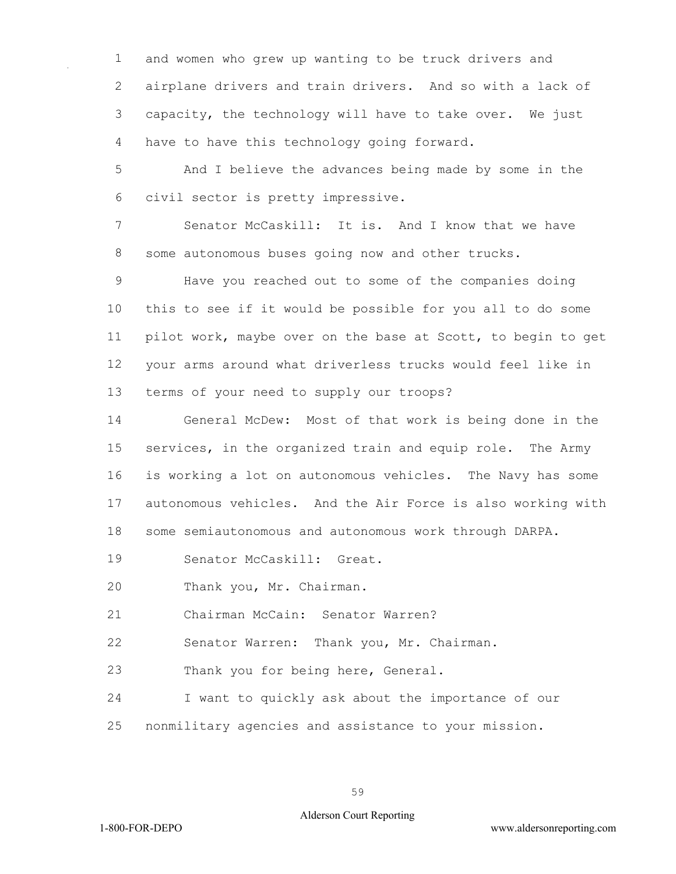and women who grew up wanting to be truck drivers and airplane drivers and train drivers. And so with a lack of capacity, the technology will have to take over. We just have to have this technology going forward.

 And I believe the advances being made by some in the civil sector is pretty impressive.

 Senator McCaskill: It is. And I know that we have some autonomous buses going now and other trucks.

 Have you reached out to some of the companies doing this to see if it would be possible for you all to do some pilot work, maybe over on the base at Scott, to begin to get your arms around what driverless trucks would feel like in terms of your need to supply our troops?

 General McDew: Most of that work is being done in the services, in the organized train and equip role. The Army is working a lot on autonomous vehicles. The Navy has some autonomous vehicles. And the Air Force is also working with some semiautonomous and autonomous work through DARPA.

Senator McCaskill: Great.

Thank you, Mr. Chairman.

Chairman McCain: Senator Warren?

Senator Warren: Thank you, Mr. Chairman.

Thank you for being here, General.

 I want to quickly ask about the importance of our nonmilitary agencies and assistance to your mission.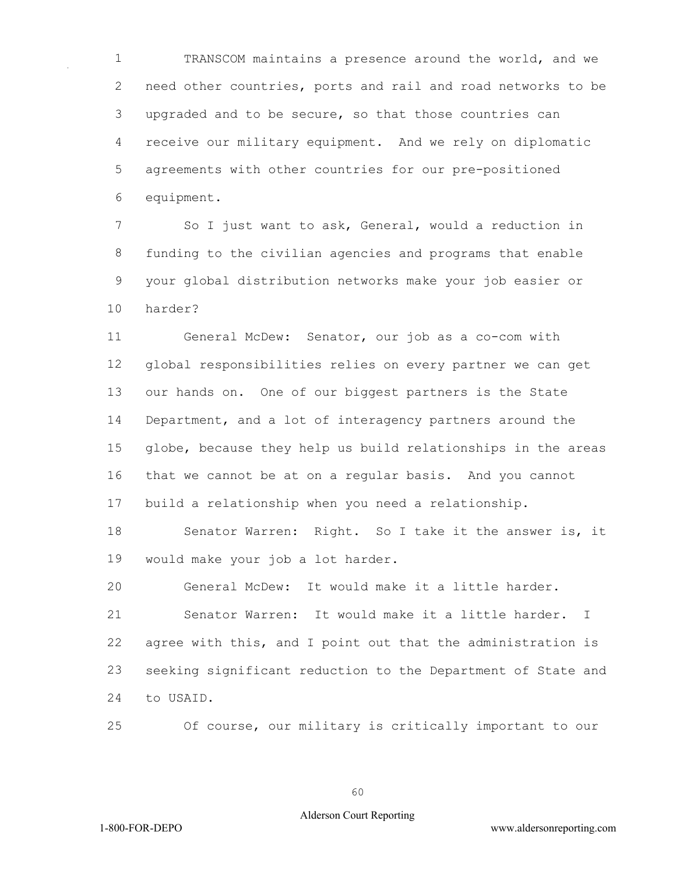TRANSCOM maintains a presence around the world, and we need other countries, ports and rail and road networks to be upgraded and to be secure, so that those countries can receive our military equipment. And we rely on diplomatic agreements with other countries for our pre-positioned equipment.

 So I just want to ask, General, would a reduction in funding to the civilian agencies and programs that enable your global distribution networks make your job easier or harder?

 General McDew: Senator, our job as a co-com with global responsibilities relies on every partner we can get our hands on. One of our biggest partners is the State Department, and a lot of interagency partners around the globe, because they help us build relationships in the areas that we cannot be at on a regular basis. And you cannot build a relationship when you need a relationship.

 Senator Warren: Right. So I take it the answer is, it would make your job a lot harder.

General McDew: It would make it a little harder.

 Senator Warren: It would make it a little harder. I agree with this, and I point out that the administration is seeking significant reduction to the Department of State and to USAID.

Of course, our military is critically important to our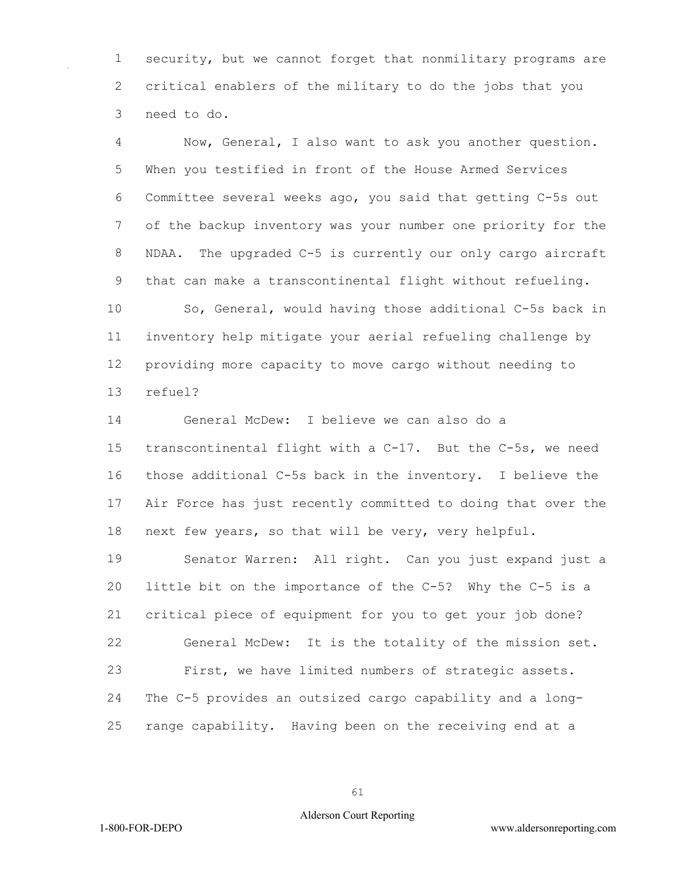security, but we cannot forget that nonmilitary programs are critical enablers of the military to do the jobs that you need to do.

 Now, General, I also want to ask you another question. When you testified in front of the House Armed Services Committee several weeks ago, you said that getting C-5s out of the backup inventory was your number one priority for the NDAA. The upgraded C-5 is currently our only cargo aircraft that can make a transcontinental flight without refueling. So, General, would having those additional C-5s back in

 inventory help mitigate your aerial refueling challenge by providing more capacity to move cargo without needing to refuel?

 General McDew: I believe we can also do a transcontinental flight with a C-17. But the C-5s, we need those additional C-5s back in the inventory. I believe the Air Force has just recently committed to doing that over the next few years, so that will be very, very helpful.

 Senator Warren: All right. Can you just expand just a little bit on the importance of the C-5? Why the C-5 is a critical piece of equipment for you to get your job done? General McDew: It is the totality of the mission set. First, we have limited numbers of strategic assets. The C-5 provides an outsized cargo capability and a long-range capability. Having been on the receiving end at a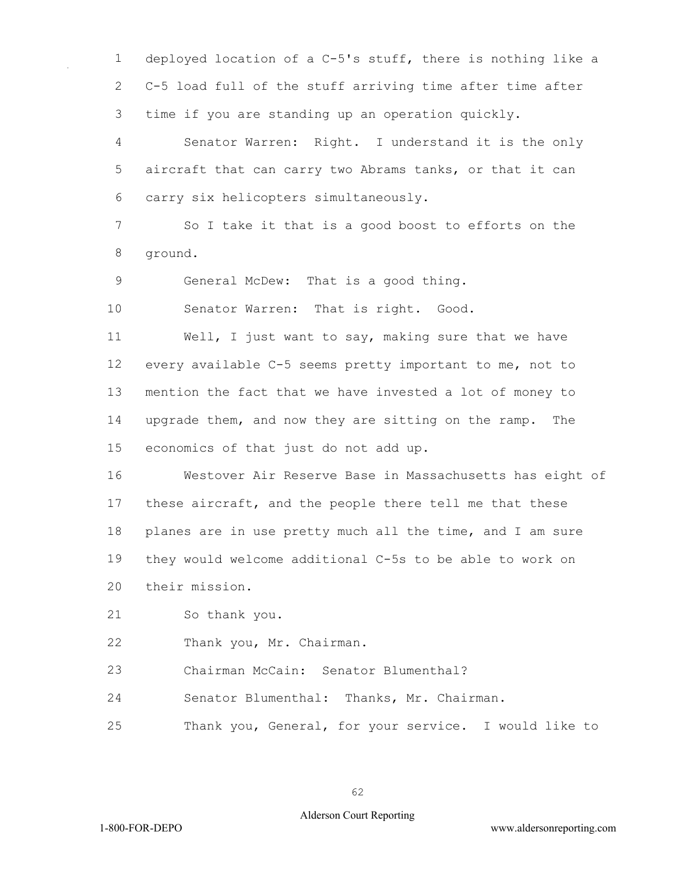deployed location of a C-5's stuff, there is nothing like a C-5 load full of the stuff arriving time after time after time if you are standing up an operation quickly.

 Senator Warren: Right. I understand it is the only aircraft that can carry two Abrams tanks, or that it can carry six helicopters simultaneously.

 So I take it that is a good boost to efforts on the ground.

General McDew: That is a good thing.

Senator Warren: That is right. Good.

 Well, I just want to say, making sure that we have every available C-5 seems pretty important to me, not to mention the fact that we have invested a lot of money to upgrade them, and now they are sitting on the ramp. The economics of that just do not add up.

 Westover Air Reserve Base in Massachusetts has eight of these aircraft, and the people there tell me that these planes are in use pretty much all the time, and I am sure they would welcome additional C-5s to be able to work on their mission.

So thank you.

Thank you, Mr. Chairman.

Chairman McCain: Senator Blumenthal?

Senator Blumenthal: Thanks, Mr. Chairman.

Thank you, General, for your service. I would like to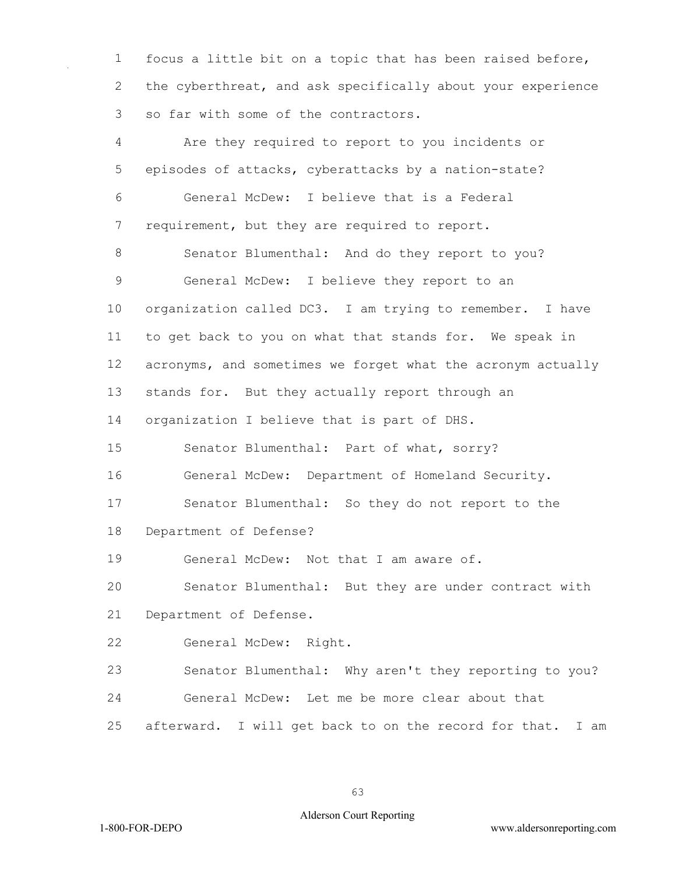focus a little bit on a topic that has been raised before, the cyberthreat, and ask specifically about your experience so far with some of the contractors.

 Are they required to report to you incidents or episodes of attacks, cyberattacks by a nation-state? General McDew: I believe that is a Federal 7 requirement, but they are required to report. Senator Blumenthal: And do they report to you? General McDew: I believe they report to an organization called DC3. I am trying to remember. I have to get back to you on what that stands for. We speak in acronyms, and sometimes we forget what the acronym actually stands for. But they actually report through an organization I believe that is part of DHS. Senator Blumenthal: Part of what, sorry? General McDew: Department of Homeland Security. Senator Blumenthal: So they do not report to the Department of Defense? General McDew: Not that I am aware of. Senator Blumenthal: But they are under contract with Department of Defense. General McDew: Right. Senator Blumenthal: Why aren't they reporting to you? General McDew: Let me be more clear about that afterward. I will get back to on the record for that. I am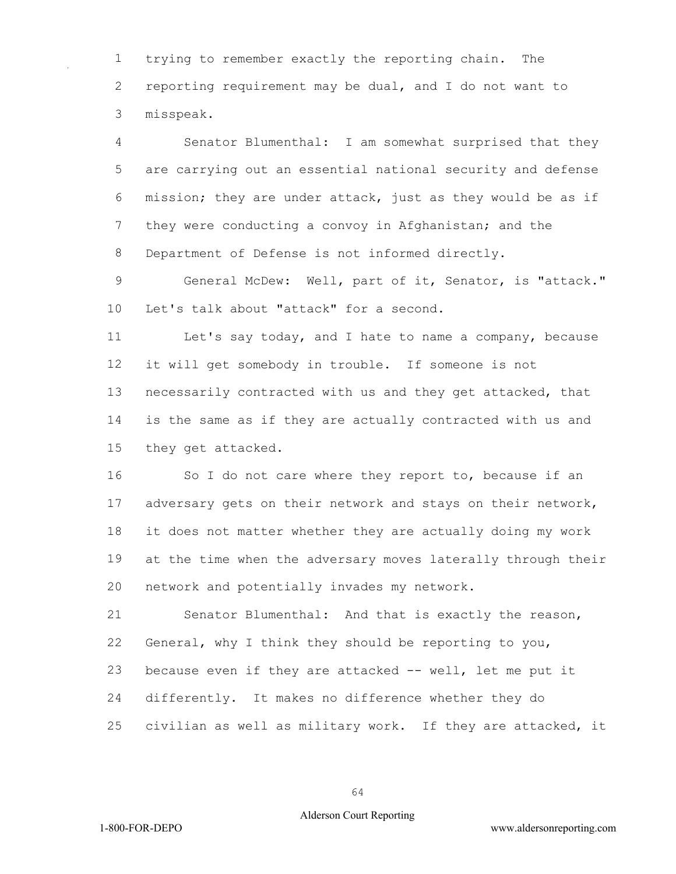trying to remember exactly the reporting chain. The reporting requirement may be dual, and I do not want to misspeak.

 Senator Blumenthal: I am somewhat surprised that they are carrying out an essential national security and defense mission; they are under attack, just as they would be as if 7 they were conducting a convoy in Afghanistan; and the Department of Defense is not informed directly.

 General McDew: Well, part of it, Senator, is "attack." Let's talk about "attack" for a second.

 Let's say today, and I hate to name a company, because it will get somebody in trouble. If someone is not necessarily contracted with us and they get attacked, that is the same as if they are actually contracted with us and they get attacked.

16 So I do not care where they report to, because if an 17 adversary gets on their network and stays on their network, it does not matter whether they are actually doing my work at the time when the adversary moves laterally through their network and potentially invades my network.

 Senator Blumenthal: And that is exactly the reason, General, why I think they should be reporting to you, because even if they are attacked -- well, let me put it differently. It makes no difference whether they do civilian as well as military work. If they are attacked, it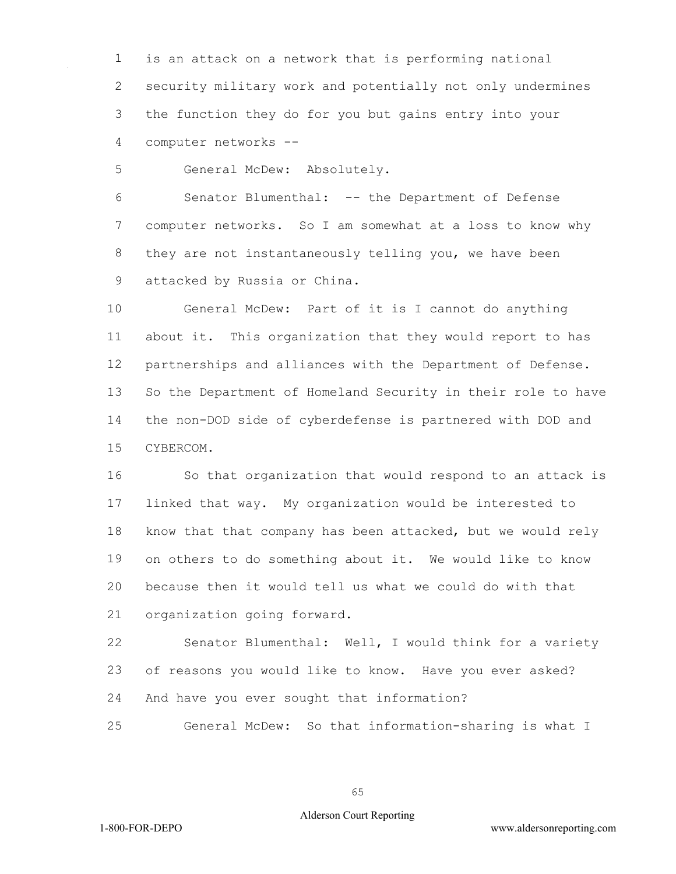is an attack on a network that is performing national security military work and potentially not only undermines the function they do for you but gains entry into your computer networks --

General McDew: Absolutely.

 Senator Blumenthal: -- the Department of Defense computer networks. So I am somewhat at a loss to know why they are not instantaneously telling you, we have been attacked by Russia or China.

 General McDew: Part of it is I cannot do anything about it. This organization that they would report to has partnerships and alliances with the Department of Defense. So the Department of Homeland Security in their role to have the non-DOD side of cyberdefense is partnered with DOD and CYBERCOM.

 So that organization that would respond to an attack is linked that way. My organization would be interested to know that that company has been attacked, but we would rely on others to do something about it. We would like to know because then it would tell us what we could do with that organization going forward.

 Senator Blumenthal: Well, I would think for a variety of reasons you would like to know. Have you ever asked? And have you ever sought that information?

General McDew: So that information-sharing is what I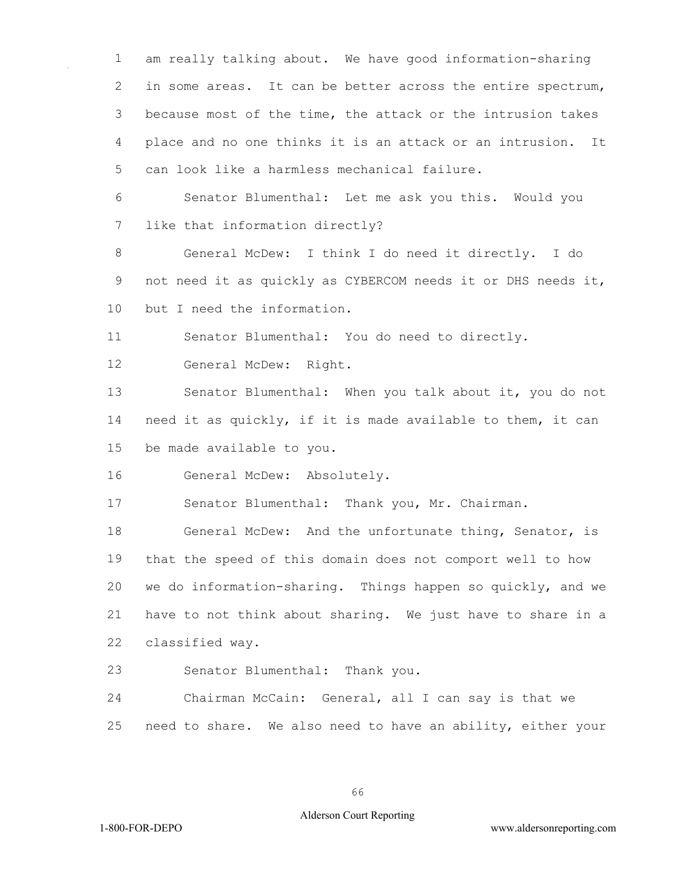am really talking about. We have good information-sharing in some areas. It can be better across the entire spectrum, because most of the time, the attack or the intrusion takes place and no one thinks it is an attack or an intrusion. It can look like a harmless mechanical failure.

 Senator Blumenthal: Let me ask you this. Would you like that information directly?

 General McDew: I think I do need it directly. I do not need it as quickly as CYBERCOM needs it or DHS needs it, but I need the information.

Senator Blumenthal: You do need to directly.

General McDew: Right.

 Senator Blumenthal: When you talk about it, you do not need it as quickly, if it is made available to them, it can be made available to you.

General McDew: Absolutely.

Senator Blumenthal: Thank you, Mr. Chairman.

 General McDew: And the unfortunate thing, Senator, is that the speed of this domain does not comport well to how we do information-sharing. Things happen so quickly, and we have to not think about sharing. We just have to share in a classified way.

Senator Blumenthal: Thank you.

 Chairman McCain: General, all I can say is that we need to share. We also need to have an ability, either your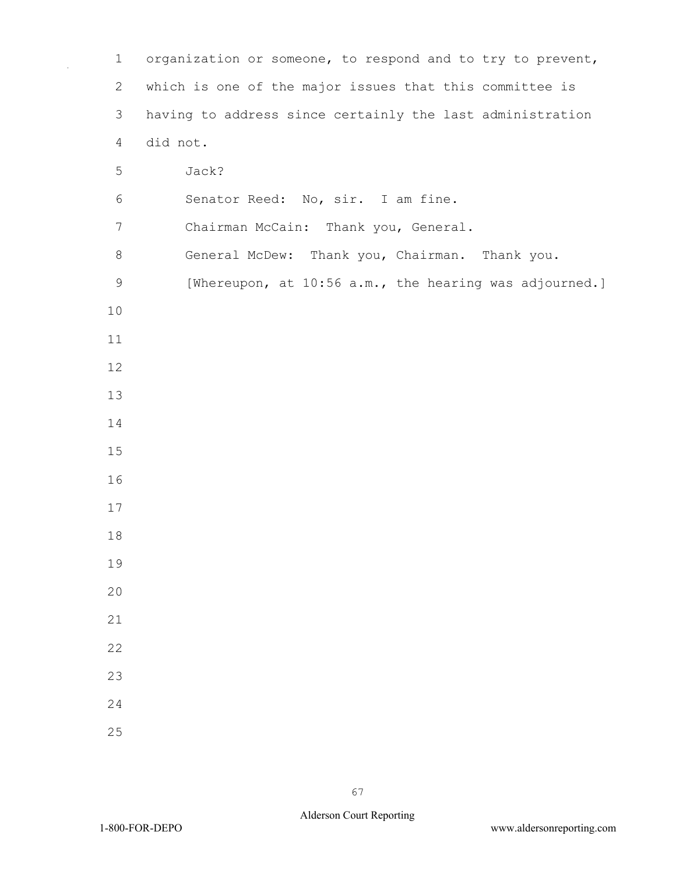| $\mathbf 1$    | organization or someone, to respond and to try to prevent, |
|----------------|------------------------------------------------------------|
| $\overline{2}$ | which is one of the major issues that this committee is    |
| 3              | having to address since certainly the last administration  |
| $\overline{4}$ | did not.                                                   |
| 5              | Jack?                                                      |
| 6              | Senator Reed: No, sir. I am fine.                          |
| $7\phantom{.}$ | Chairman McCain: Thank you, General.                       |
| $8\,$          | General McDew: Thank you, Chairman. Thank you.             |
| $\mathsf 9$    | [Whereupon, at 10:56 a.m., the hearing was adjourned.]     |
| 10             |                                                            |
| 11             |                                                            |
| 12             |                                                            |
| 13             |                                                            |
| 14             |                                                            |
| 15             |                                                            |
| 16             |                                                            |
| 17             |                                                            |
| 18             |                                                            |
| 19             |                                                            |
| 20             |                                                            |
| 21             |                                                            |
| 22             |                                                            |
| 23             |                                                            |
| 24             |                                                            |
| 25             |                                                            |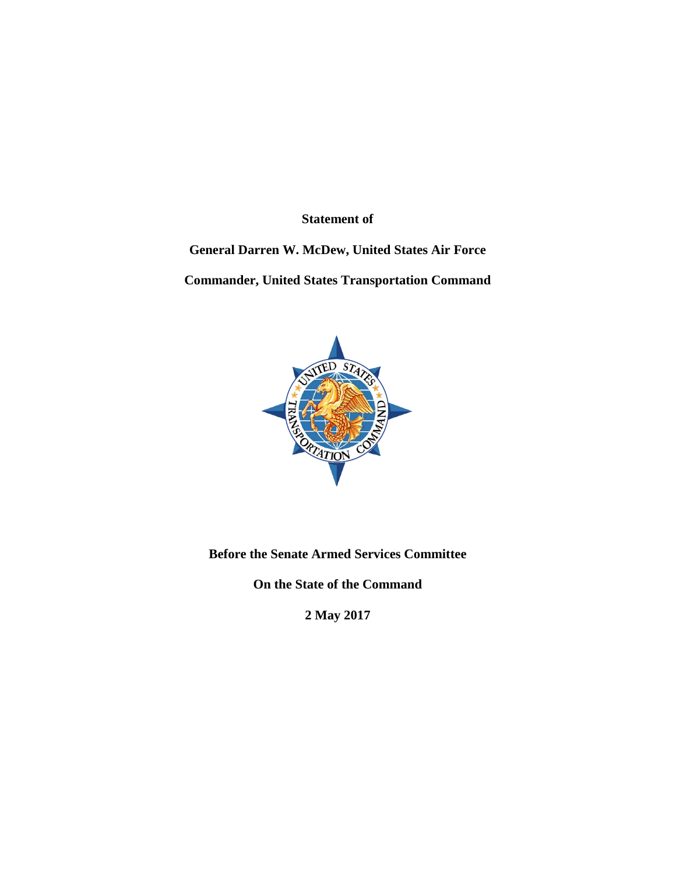**Statement of**

# **General Darren W. McDew, United States Air Force**

**Commander, United States Transportation Command**



**Before the Senate Armed Services Committee**

**On the State of the Command**

**2 May 2017**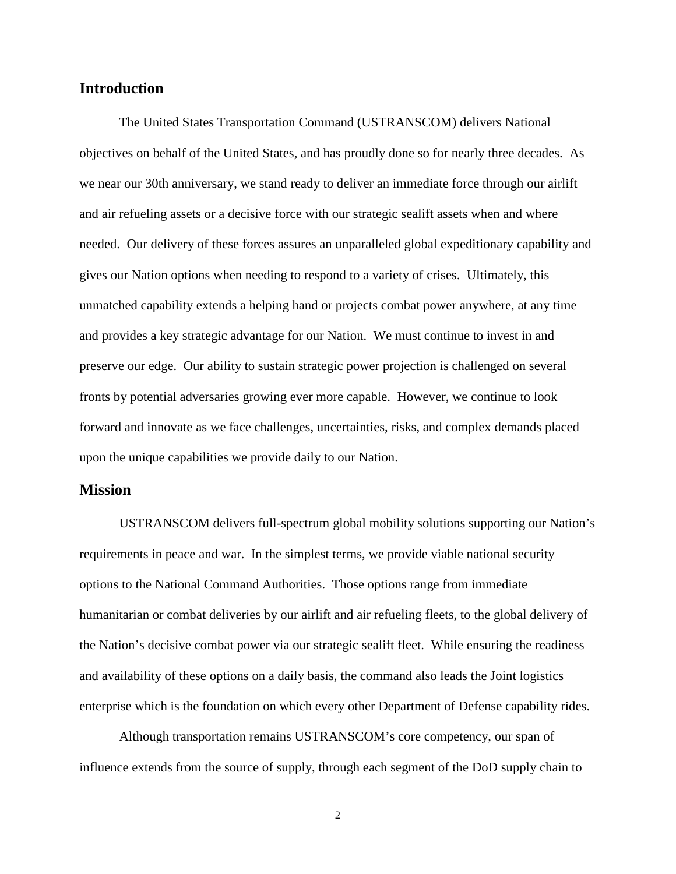## **Introduction**

The United States Transportation Command (USTRANSCOM) delivers National objectives on behalf of the United States, and has proudly done so for nearly three decades. As we near our 30th anniversary, we stand ready to deliver an immediate force through our airlift and air refueling assets or a decisive force with our strategic sealift assets when and where needed. Our delivery of these forces assures an unparalleled global expeditionary capability and gives our Nation options when needing to respond to a variety of crises. Ultimately, this unmatched capability extends a helping hand or projects combat power anywhere, at any time and provides a key strategic advantage for our Nation. We must continue to invest in and preserve our edge. Our ability to sustain strategic power projection is challenged on several fronts by potential adversaries growing ever more capable. However, we continue to look forward and innovate as we face challenges, uncertainties, risks, and complex demands placed upon the unique capabilities we provide daily to our Nation.

### **Mission**

USTRANSCOM delivers full-spectrum global mobility solutions supporting our Nation's requirements in peace and war. In the simplest terms, we provide viable national security options to the National Command Authorities. Those options range from immediate humanitarian or combat deliveries by our airlift and air refueling fleets, to the global delivery of the Nation's decisive combat power via our strategic sealift fleet. While ensuring the readiness and availability of these options on a daily basis, the command also leads the Joint logistics enterprise which is the foundation on which every other Department of Defense capability rides.

Although transportation remains USTRANSCOM's core competency, our span of influence extends from the source of supply, through each segment of the DoD supply chain to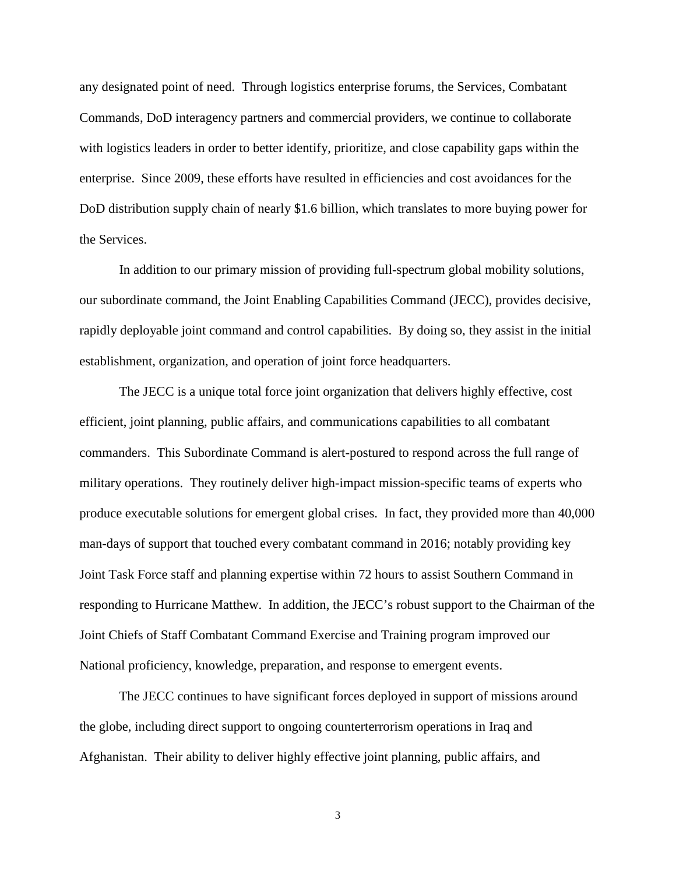any designated point of need. Through logistics enterprise forums, the Services, Combatant Commands, DoD interagency partners and commercial providers, we continue to collaborate with logistics leaders in order to better identify, prioritize, and close capability gaps within the enterprise. Since 2009, these efforts have resulted in efficiencies and cost avoidances for the DoD distribution supply chain of nearly \$1.6 billion, which translates to more buying power for the Services.

In addition to our primary mission of providing full-spectrum global mobility solutions, our subordinate command, the Joint Enabling Capabilities Command (JECC), provides decisive, rapidly deployable joint command and control capabilities. By doing so, they assist in the initial establishment, organization, and operation of joint force headquarters.

The JECC is a unique total force joint organization that delivers highly effective, cost efficient, joint planning, public affairs, and communications capabilities to all combatant commanders. This Subordinate Command is alert-postured to respond across the full range of military operations. They routinely deliver high-impact mission-specific teams of experts who produce executable solutions for emergent global crises. In fact, they provided more than 40,000 man-days of support that touched every combatant command in 2016; notably providing key Joint Task Force staff and planning expertise within 72 hours to assist Southern Command in responding to Hurricane Matthew. In addition, the JECC's robust support to the Chairman of the Joint Chiefs of Staff Combatant Command Exercise and Training program improved our National proficiency, knowledge, preparation, and response to emergent events.

The JECC continues to have significant forces deployed in support of missions around the globe, including direct support to ongoing counterterrorism operations in Iraq and Afghanistan. Their ability to deliver highly effective joint planning, public affairs, and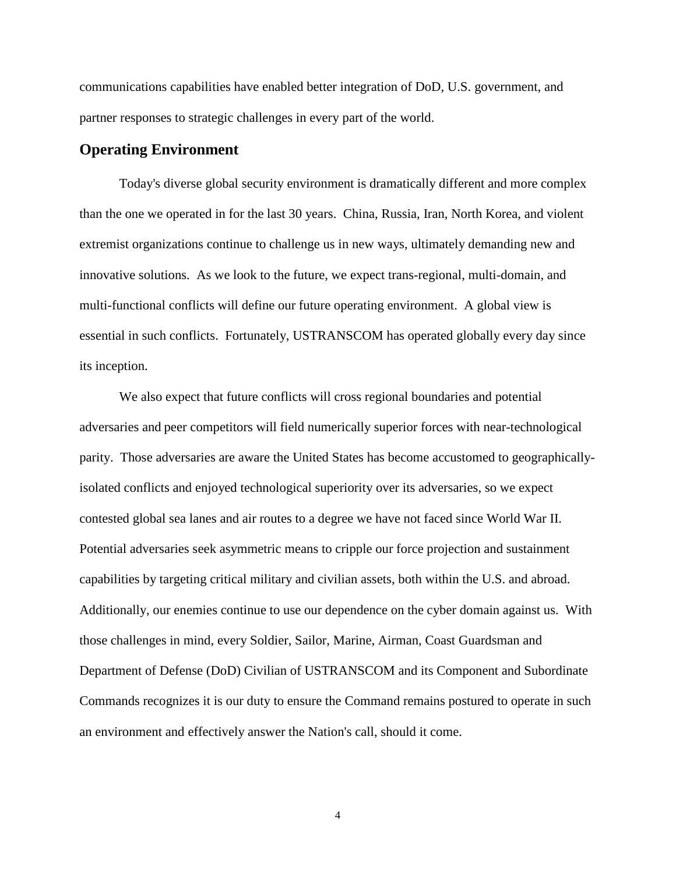communications capabilities have enabled better integration of DoD, U.S. government, and partner responses to strategic challenges in every part of the world.

# **Operating Environment**

Today's diverse global security environment is dramatically different and more complex than the one we operated in for the last 30 years. China, Russia, Iran, North Korea, and violent extremist organizations continue to challenge us in new ways, ultimately demanding new and innovative solutions. As we look to the future, we expect trans-regional, multi-domain, and multi-functional conflicts will define our future operating environment. A global view is essential in such conflicts. Fortunately, USTRANSCOM has operated globally every day since its inception.

We also expect that future conflicts will cross regional boundaries and potential adversaries and peer competitors will field numerically superior forces with near-technological parity. Those adversaries are aware the United States has become accustomed to geographicallyisolated conflicts and enjoyed technological superiority over its adversaries, so we expect contested global sea lanes and air routes to a degree we have not faced since World War II. Potential adversaries seek asymmetric means to cripple our force projection and sustainment capabilities by targeting critical military and civilian assets, both within the U.S. and abroad. Additionally, our enemies continue to use our dependence on the cyber domain against us. With those challenges in mind, every Soldier, Sailor, Marine, Airman, Coast Guardsman and Department of Defense (DoD) Civilian of USTRANSCOM and its Component and Subordinate Commands recognizes it is our duty to ensure the Command remains postured to operate in such an environment and effectively answer the Nation's call, should it come.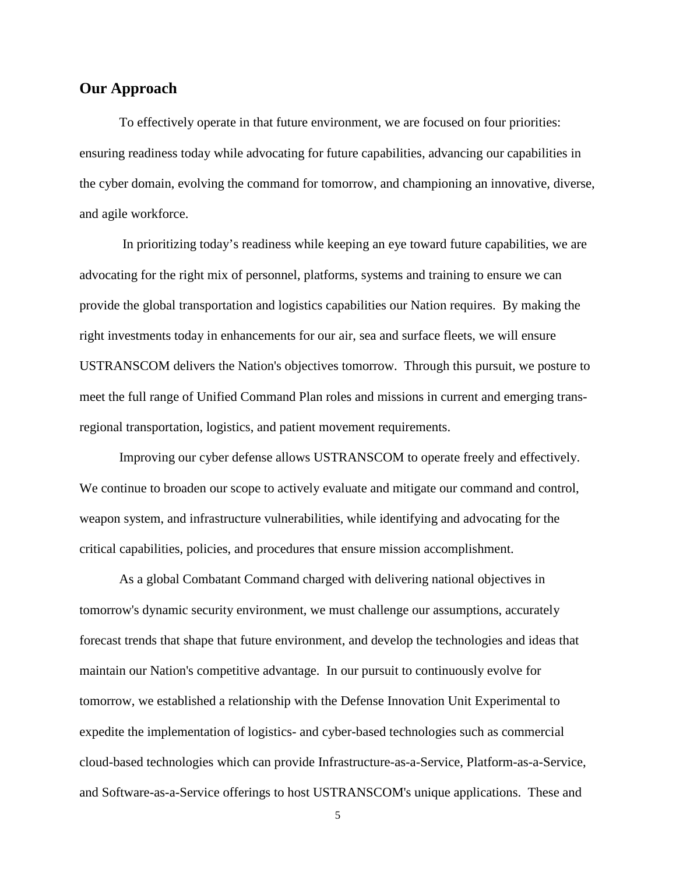# **Our Approach**

To effectively operate in that future environment, we are focused on four priorities: ensuring readiness today while advocating for future capabilities, advancing our capabilities in the cyber domain, evolving the command for tomorrow, and championing an innovative, diverse, and agile workforce.

In prioritizing today's readiness while keeping an eye toward future capabilities, we are advocating for the right mix of personnel, platforms, systems and training to ensure we can provide the global transportation and logistics capabilities our Nation requires. By making the right investments today in enhancements for our air, sea and surface fleets, we will ensure USTRANSCOM delivers the Nation's objectives tomorrow. Through this pursuit, we posture to meet the full range of Unified Command Plan roles and missions in current and emerging transregional transportation, logistics, and patient movement requirements.

Improving our cyber defense allows USTRANSCOM to operate freely and effectively. We continue to broaden our scope to actively evaluate and mitigate our command and control, weapon system, and infrastructure vulnerabilities, while identifying and advocating for the critical capabilities, policies, and procedures that ensure mission accomplishment.

As a global Combatant Command charged with delivering national objectives in tomorrow's dynamic security environment, we must challenge our assumptions, accurately forecast trends that shape that future environment, and develop the technologies and ideas that maintain our Nation's competitive advantage. In our pursuit to continuously evolve for tomorrow, we established a relationship with the Defense Innovation Unit Experimental to expedite the implementation of logistics- and cyber-based technologies such as commercial cloud-based technologies which can provide Infrastructure-as-a-Service, Platform-as-a-Service, and Software-as-a-Service offerings to host USTRANSCOM's unique applications. These and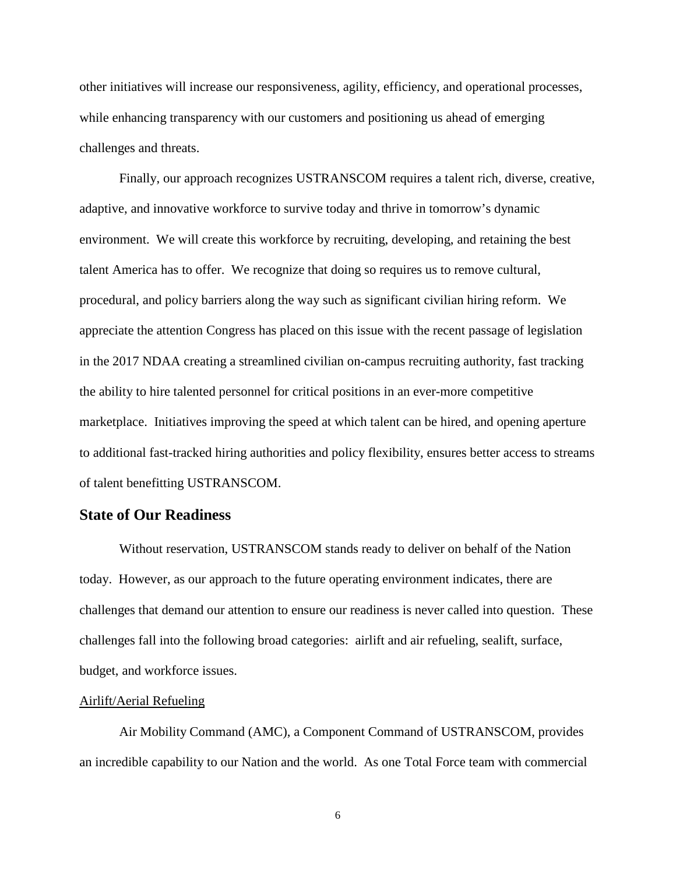other initiatives will increase our responsiveness, agility, efficiency, and operational processes, while enhancing transparency with our customers and positioning us ahead of emerging challenges and threats.

Finally, our approach recognizes USTRANSCOM requires a talent rich, diverse, creative, adaptive, and innovative workforce to survive today and thrive in tomorrow's dynamic environment. We will create this workforce by recruiting, developing, and retaining the best talent America has to offer. We recognize that doing so requires us to remove cultural, procedural, and policy barriers along the way such as significant civilian hiring reform. We appreciate the attention Congress has placed on this issue with the recent passage of legislation in the 2017 NDAA creating a streamlined civilian on-campus recruiting authority, fast tracking the ability to hire talented personnel for critical positions in an ever-more competitive marketplace. Initiatives improving the speed at which talent can be hired, and opening aperture to additional fast-tracked hiring authorities and policy flexibility, ensures better access to streams of talent benefitting USTRANSCOM.

# **State of Our Readiness**

Without reservation, USTRANSCOM stands ready to deliver on behalf of the Nation today. However, as our approach to the future operating environment indicates, there are challenges that demand our attention to ensure our readiness is never called into question. These challenges fall into the following broad categories: airlift and air refueling, sealift, surface, budget, and workforce issues.

## Airlift/Aerial Refueling

Air Mobility Command (AMC), a Component Command of USTRANSCOM, provides an incredible capability to our Nation and the world. As one Total Force team with commercial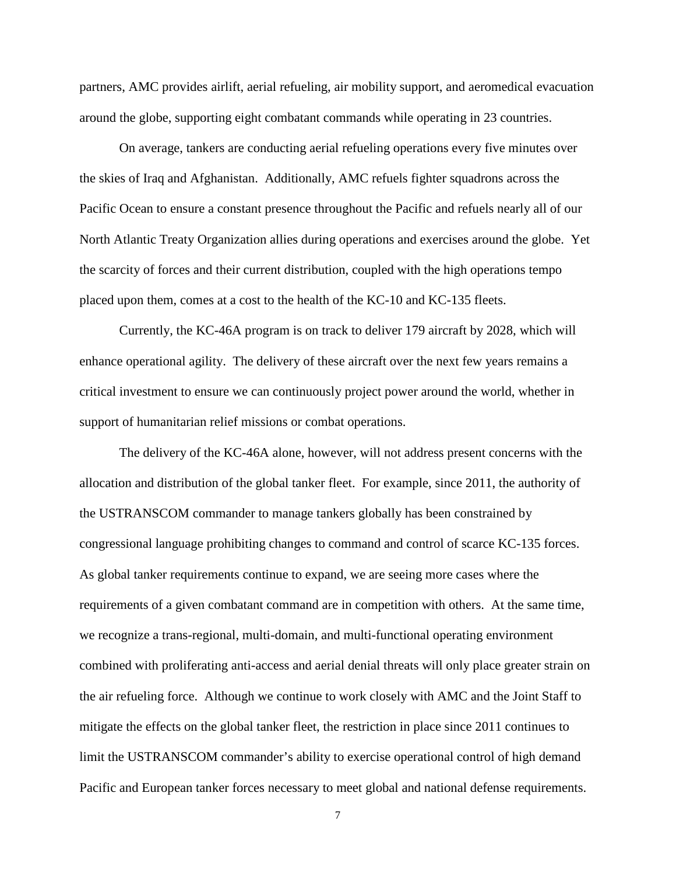partners, AMC provides airlift, aerial refueling, air mobility support, and aeromedical evacuation around the globe, supporting eight combatant commands while operating in 23 countries.

On average, tankers are conducting aerial refueling operations every five minutes over the skies of Iraq and Afghanistan. Additionally, AMC refuels fighter squadrons across the Pacific Ocean to ensure a constant presence throughout the Pacific and refuels nearly all of our North Atlantic Treaty Organization allies during operations and exercises around the globe. Yet the scarcity of forces and their current distribution, coupled with the high operations tempo placed upon them, comes at a cost to the health of the KC-10 and KC-135 fleets.

Currently, the KC-46A program is on track to deliver 179 aircraft by 2028, which will enhance operational agility. The delivery of these aircraft over the next few years remains a critical investment to ensure we can continuously project power around the world, whether in support of humanitarian relief missions or combat operations.

The delivery of the KC-46A alone, however, will not address present concerns with the allocation and distribution of the global tanker fleet. For example, since 2011, the authority of the USTRANSCOM commander to manage tankers globally has been constrained by congressional language prohibiting changes to command and control of scarce KC-135 forces. As global tanker requirements continue to expand, we are seeing more cases where the requirements of a given combatant command are in competition with others. At the same time, we recognize a trans-regional, multi-domain, and multi-functional operating environment combined with proliferating anti-access and aerial denial threats will only place greater strain on the air refueling force. Although we continue to work closely with AMC and the Joint Staff to mitigate the effects on the global tanker fleet, the restriction in place since 2011 continues to limit the USTRANSCOM commander's ability to exercise operational control of high demand Pacific and European tanker forces necessary to meet global and national defense requirements.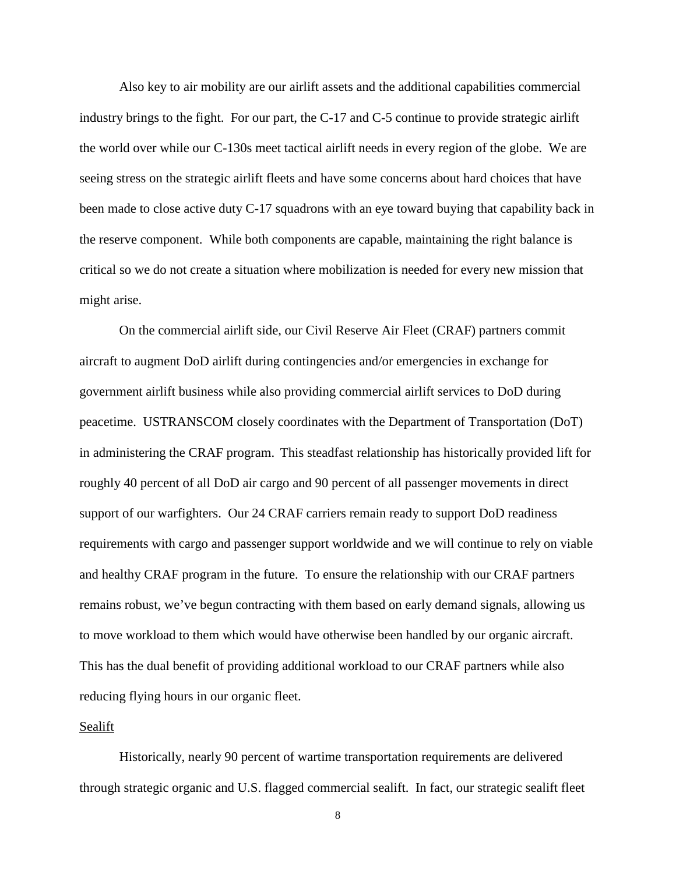Also key to air mobility are our airlift assets and the additional capabilities commercial industry brings to the fight. For our part, the C-17 and C-5 continue to provide strategic airlift the world over while our C-130s meet tactical airlift needs in every region of the globe. We are seeing stress on the strategic airlift fleets and have some concerns about hard choices that have been made to close active duty C-17 squadrons with an eye toward buying that capability back in the reserve component. While both components are capable, maintaining the right balance is critical so we do not create a situation where mobilization is needed for every new mission that might arise.

On the commercial airlift side, our Civil Reserve Air Fleet (CRAF) partners commit aircraft to augment DoD airlift during contingencies and/or emergencies in exchange for government airlift business while also providing commercial airlift services to DoD during peacetime. USTRANSCOM closely coordinates with the Department of Transportation (DoT) in administering the CRAF program. This steadfast relationship has historically provided lift for roughly 40 percent of all DoD air cargo and 90 percent of all passenger movements in direct support of our warfighters. Our 24 CRAF carriers remain ready to support DoD readiness requirements with cargo and passenger support worldwide and we will continue to rely on viable and healthy CRAF program in the future. To ensure the relationship with our CRAF partners remains robust, we've begun contracting with them based on early demand signals, allowing us to move workload to them which would have otherwise been handled by our organic aircraft. This has the dual benefit of providing additional workload to our CRAF partners while also reducing flying hours in our organic fleet.

## Sealift

Historically, nearly 90 percent of wartime transportation requirements are delivered through strategic organic and U.S. flagged commercial sealift. In fact, our strategic sealift fleet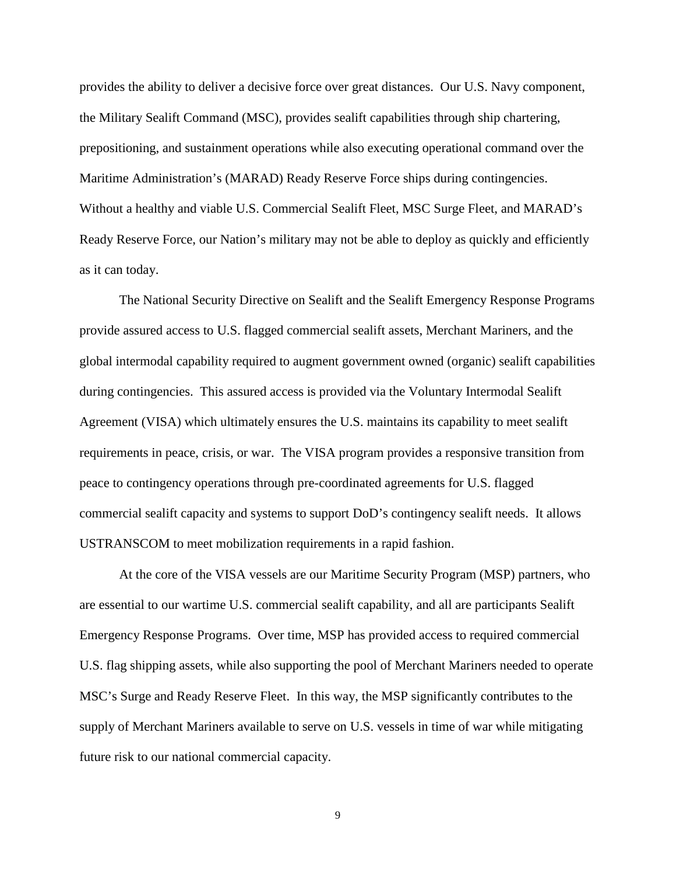provides the ability to deliver a decisive force over great distances. Our U.S. Navy component, the Military Sealift Command (MSC), provides sealift capabilities through ship chartering, prepositioning, and sustainment operations while also executing operational command over the Maritime Administration's (MARAD) Ready Reserve Force ships during contingencies. Without a healthy and viable U.S. Commercial Sealift Fleet, MSC Surge Fleet, and MARAD's Ready Reserve Force, our Nation's military may not be able to deploy as quickly and efficiently as it can today.

The National Security Directive on Sealift and the Sealift Emergency Response Programs provide assured access to U.S. flagged commercial sealift assets, Merchant Mariners, and the global intermodal capability required to augment government owned (organic) sealift capabilities during contingencies. This assured access is provided via the Voluntary Intermodal Sealift Agreement (VISA) which ultimately ensures the U.S. maintains its capability to meet sealift requirements in peace, crisis, or war. The VISA program provides a responsive transition from peace to contingency operations through pre-coordinated agreements for U.S. flagged commercial sealift capacity and systems to support DoD's contingency sealift needs. It allows USTRANSCOM to meet mobilization requirements in a rapid fashion.

At the core of the VISA vessels are our Maritime Security Program (MSP) partners, who are essential to our wartime U.S. commercial sealift capability, and all are participants Sealift Emergency Response Programs. Over time, MSP has provided access to required commercial U.S. flag shipping assets, while also supporting the pool of Merchant Mariners needed to operate MSC's Surge and Ready Reserve Fleet. In this way, the MSP significantly contributes to the supply of Merchant Mariners available to serve on U.S. vessels in time of war while mitigating future risk to our national commercial capacity.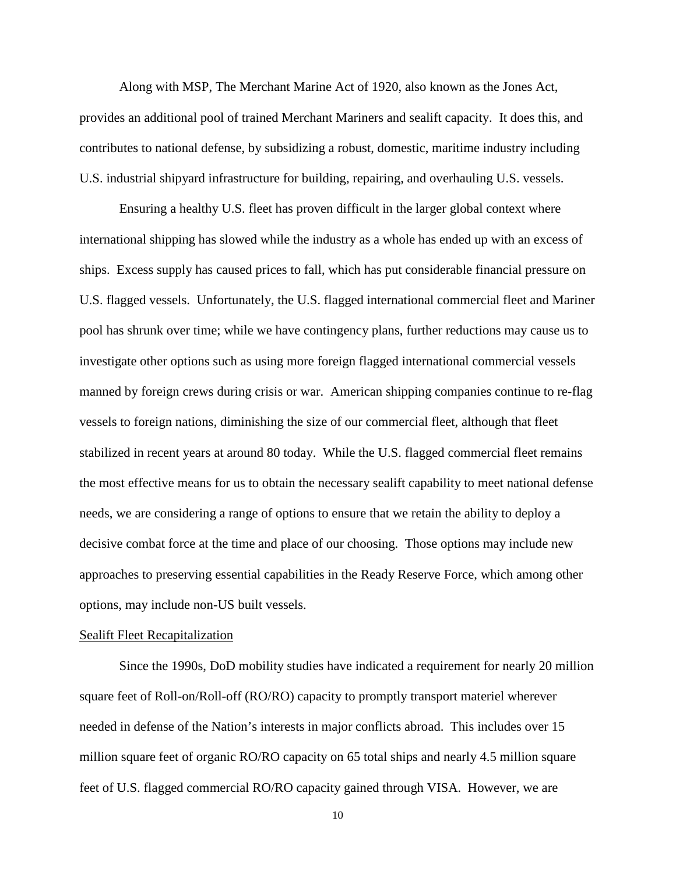Along with MSP, The Merchant Marine Act of 1920, also known as the Jones Act, provides an additional pool of trained Merchant Mariners and sealift capacity. It does this, and contributes to national defense, by subsidizing a robust, domestic, maritime industry including U.S. industrial shipyard infrastructure for building, repairing, and overhauling U.S. vessels.

Ensuring a healthy U.S. fleet has proven difficult in the larger global context where international shipping has slowed while the industry as a whole has ended up with an excess of ships. Excess supply has caused prices to fall, which has put considerable financial pressure on U.S. flagged vessels. Unfortunately, the U.S. flagged international commercial fleet and Mariner pool has shrunk over time; while we have contingency plans, further reductions may cause us to investigate other options such as using more foreign flagged international commercial vessels manned by foreign crews during crisis or war. American shipping companies continue to re-flag vessels to foreign nations, diminishing the size of our commercial fleet, although that fleet stabilized in recent years at around 80 today. While the U.S. flagged commercial fleet remains the most effective means for us to obtain the necessary sealift capability to meet national defense needs, we are considering a range of options to ensure that we retain the ability to deploy a decisive combat force at the time and place of our choosing. Those options may include new approaches to preserving essential capabilities in the Ready Reserve Force, which among other options, may include non-US built vessels.

#### Sealift Fleet Recapitalization

Since the 1990s, DoD mobility studies have indicated a requirement for nearly 20 million square feet of Roll-on/Roll-off (RO/RO) capacity to promptly transport materiel wherever needed in defense of the Nation's interests in major conflicts abroad. This includes over 15 million square feet of organic RO/RO capacity on 65 total ships and nearly 4.5 million square feet of U.S. flagged commercial RO/RO capacity gained through VISA. However, we are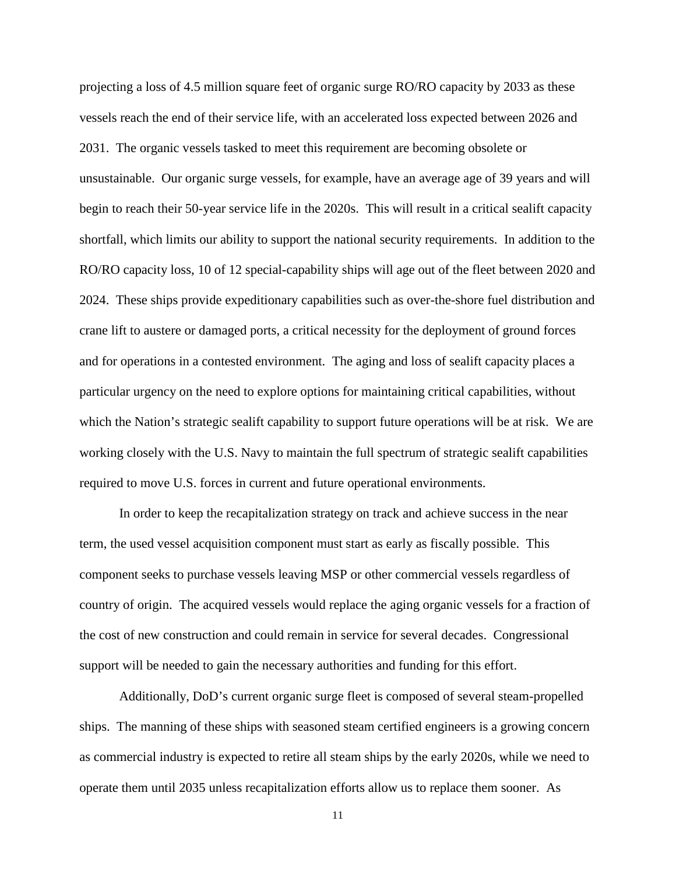projecting a loss of 4.5 million square feet of organic surge RO/RO capacity by 2033 as these vessels reach the end of their service life, with an accelerated loss expected between 2026 and 2031. The organic vessels tasked to meet this requirement are becoming obsolete or unsustainable. Our organic surge vessels, for example, have an average age of 39 years and will begin to reach their 50-year service life in the 2020s. This will result in a critical sealift capacity shortfall, which limits our ability to support the national security requirements. In addition to the RO/RO capacity loss, 10 of 12 special-capability ships will age out of the fleet between 2020 and 2024. These ships provide expeditionary capabilities such as over-the-shore fuel distribution and crane lift to austere or damaged ports, a critical necessity for the deployment of ground forces and for operations in a contested environment. The aging and loss of sealift capacity places a particular urgency on the need to explore options for maintaining critical capabilities, without which the Nation's strategic sealift capability to support future operations will be at risk. We are working closely with the U.S. Navy to maintain the full spectrum of strategic sealift capabilities required to move U.S. forces in current and future operational environments.

In order to keep the recapitalization strategy on track and achieve success in the near term, the used vessel acquisition component must start as early as fiscally possible. This component seeks to purchase vessels leaving MSP or other commercial vessels regardless of country of origin. The acquired vessels would replace the aging organic vessels for a fraction of the cost of new construction and could remain in service for several decades. Congressional support will be needed to gain the necessary authorities and funding for this effort.

Additionally, DoD's current organic surge fleet is composed of several steam-propelled ships. The manning of these ships with seasoned steam certified engineers is a growing concern as commercial industry is expected to retire all steam ships by the early 2020s, while we need to operate them until 2035 unless recapitalization efforts allow us to replace them sooner. As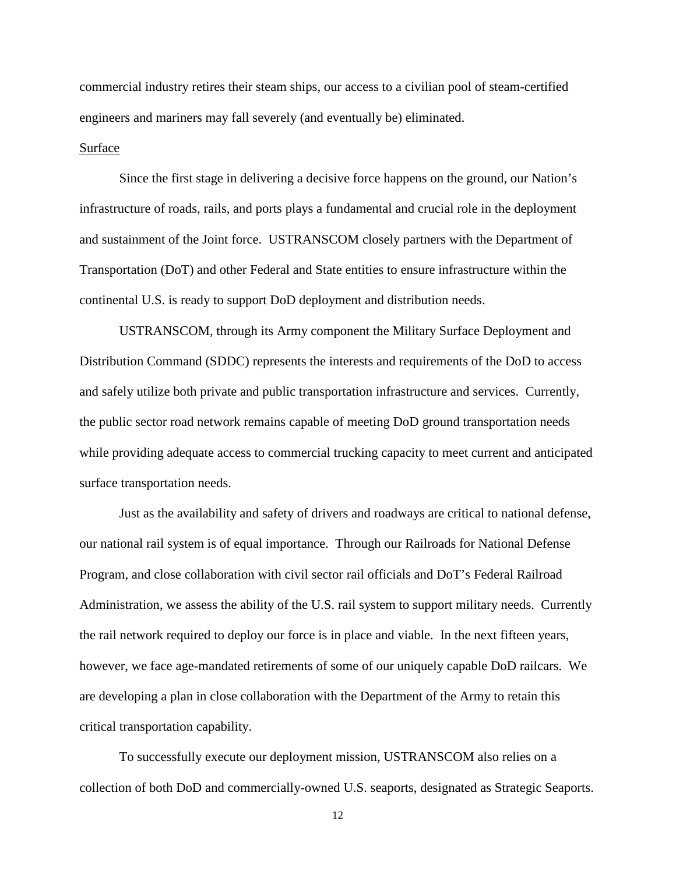commercial industry retires their steam ships, our access to a civilian pool of steam-certified engineers and mariners may fall severely (and eventually be) eliminated.

#### Surface

Since the first stage in delivering a decisive force happens on the ground, our Nation's infrastructure of roads, rails, and ports plays a fundamental and crucial role in the deployment and sustainment of the Joint force. USTRANSCOM closely partners with the Department of Transportation (DoT) and other Federal and State entities to ensure infrastructure within the continental U.S. is ready to support DoD deployment and distribution needs.

USTRANSCOM, through its Army component the Military Surface Deployment and Distribution Command (SDDC) represents the interests and requirements of the DoD to access and safely utilize both private and public transportation infrastructure and services. Currently, the public sector road network remains capable of meeting DoD ground transportation needs while providing adequate access to commercial trucking capacity to meet current and anticipated surface transportation needs.

Just as the availability and safety of drivers and roadways are critical to national defense, our national rail system is of equal importance. Through our Railroads for National Defense Program, and close collaboration with civil sector rail officials and DoT's Federal Railroad Administration, we assess the ability of the U.S. rail system to support military needs. Currently the rail network required to deploy our force is in place and viable. In the next fifteen years, however, we face age-mandated retirements of some of our uniquely capable DoD railcars. We are developing a plan in close collaboration with the Department of the Army to retain this critical transportation capability.

To successfully execute our deployment mission, USTRANSCOM also relies on a collection of both DoD and commercially-owned U.S. seaports, designated as Strategic Seaports.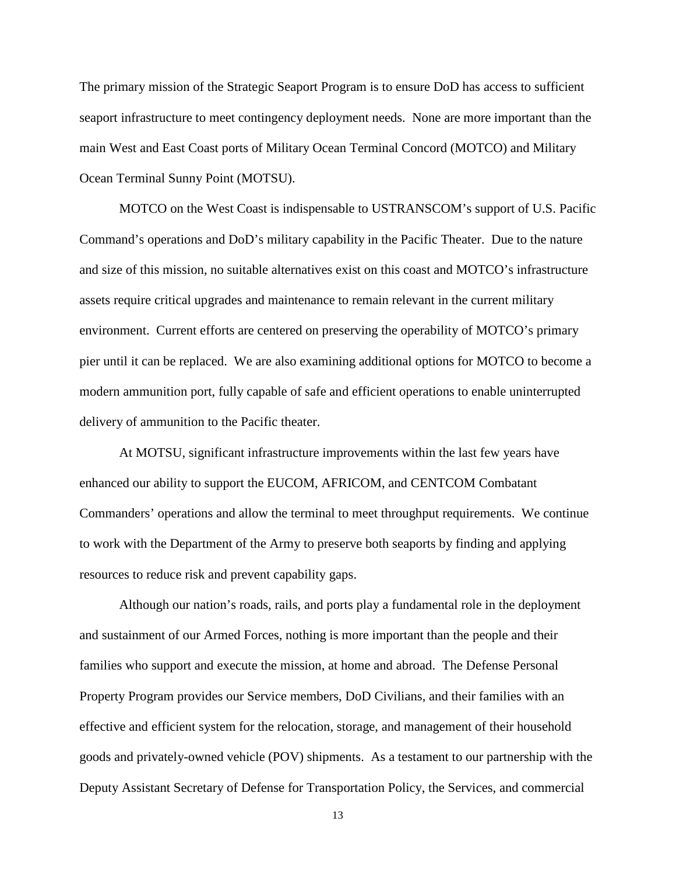The primary mission of the Strategic Seaport Program is to ensure DoD has access to sufficient seaport infrastructure to meet contingency deployment needs. None are more important than the main West and East Coast ports of Military Ocean Terminal Concord (MOTCO) and Military Ocean Terminal Sunny Point (MOTSU).

MOTCO on the West Coast is indispensable to USTRANSCOM's support of U.S. Pacific Command's operations and DoD's military capability in the Pacific Theater. Due to the nature and size of this mission, no suitable alternatives exist on this coast and MOTCO's infrastructure assets require critical upgrades and maintenance to remain relevant in the current military environment. Current efforts are centered on preserving the operability of MOTCO's primary pier until it can be replaced. We are also examining additional options for MOTCO to become a modern ammunition port, fully capable of safe and efficient operations to enable uninterrupted delivery of ammunition to the Pacific theater.

At MOTSU, significant infrastructure improvements within the last few years have enhanced our ability to support the EUCOM, AFRICOM, and CENTCOM Combatant Commanders' operations and allow the terminal to meet throughput requirements. We continue to work with the Department of the Army to preserve both seaports by finding and applying resources to reduce risk and prevent capability gaps.

Although our nation's roads, rails, and ports play a fundamental role in the deployment and sustainment of our Armed Forces, nothing is more important than the people and their families who support and execute the mission, at home and abroad. The Defense Personal Property Program provides our Service members, DoD Civilians, and their families with an effective and efficient system for the relocation, storage, and management of their household goods and privately-owned vehicle (POV) shipments. As a testament to our partnership with the Deputy Assistant Secretary of Defense for Transportation Policy, the Services, and commercial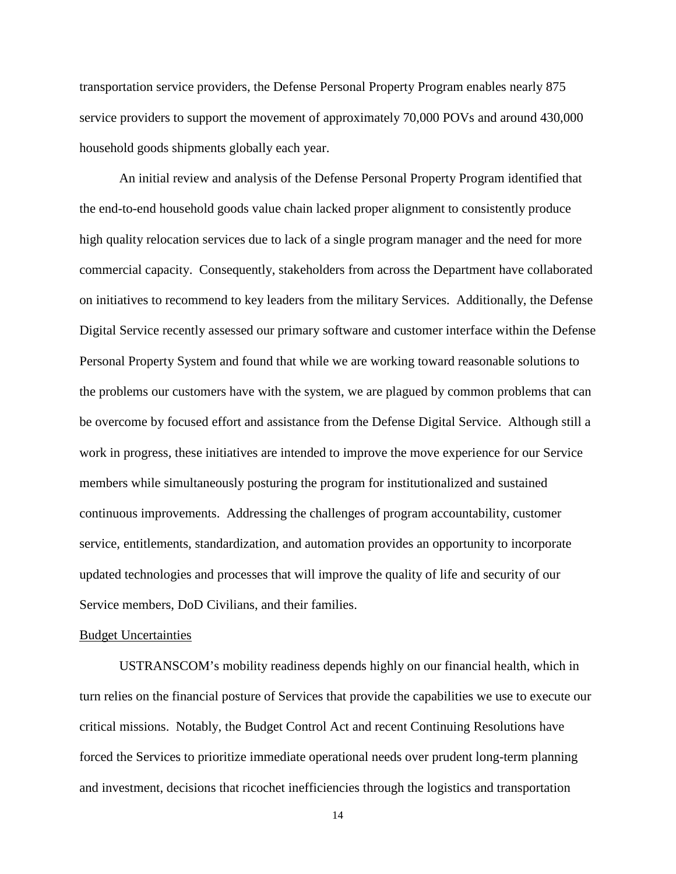transportation service providers, the Defense Personal Property Program enables nearly 875 service providers to support the movement of approximately 70,000 POVs and around 430,000 household goods shipments globally each year.

An initial review and analysis of the Defense Personal Property Program identified that the end-to-end household goods value chain lacked proper alignment to consistently produce high quality relocation services due to lack of a single program manager and the need for more commercial capacity. Consequently, stakeholders from across the Department have collaborated on initiatives to recommend to key leaders from the military Services. Additionally, the Defense Digital Service recently assessed our primary software and customer interface within the Defense Personal Property System and found that while we are working toward reasonable solutions to the problems our customers have with the system, we are plagued by common problems that can be overcome by focused effort and assistance from the Defense Digital Service. Although still a work in progress, these initiatives are intended to improve the move experience for our Service members while simultaneously posturing the program for institutionalized and sustained continuous improvements. Addressing the challenges of program accountability, customer service, entitlements, standardization, and automation provides an opportunity to incorporate updated technologies and processes that will improve the quality of life and security of our Service members, DoD Civilians, and their families.

### Budget Uncertainties

USTRANSCOM's mobility readiness depends highly on our financial health, which in turn relies on the financial posture of Services that provide the capabilities we use to execute our critical missions. Notably, the Budget Control Act and recent Continuing Resolutions have forced the Services to prioritize immediate operational needs over prudent long-term planning and investment, decisions that ricochet inefficiencies through the logistics and transportation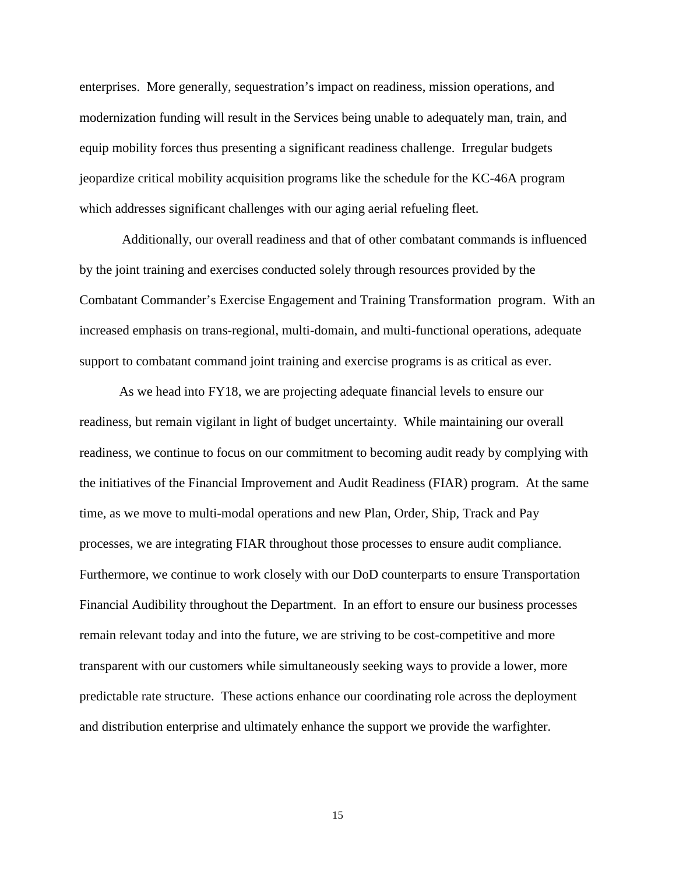enterprises. More generally, sequestration's impact on readiness, mission operations, and modernization funding will result in the Services being unable to adequately man, train, and equip mobility forces thus presenting a significant readiness challenge. Irregular budgets jeopardize critical mobility acquisition programs like the schedule for the KC-46A program which addresses significant challenges with our aging aerial refueling fleet.

Additionally, our overall readiness and that of other combatant commands is influenced by the joint training and exercises conducted solely through resources provided by the Combatant Commander's Exercise Engagement and Training Transformation program. With an increased emphasis on trans-regional, multi-domain, and multi-functional operations, adequate support to combatant command joint training and exercise programs is as critical as ever.

As we head into FY18, we are projecting adequate financial levels to ensure our readiness, but remain vigilant in light of budget uncertainty. While maintaining our overall readiness, we continue to focus on our commitment to becoming audit ready by complying with the initiatives of the Financial Improvement and Audit Readiness (FIAR) program. At the same time, as we move to multi-modal operations and new Plan, Order, Ship, Track and Pay processes, we are integrating FIAR throughout those processes to ensure audit compliance. Furthermore, we continue to work closely with our DoD counterparts to ensure Transportation Financial Audibility throughout the Department. In an effort to ensure our business processes remain relevant today and into the future, we are striving to be cost-competitive and more transparent with our customers while simultaneously seeking ways to provide a lower, more predictable rate structure. These actions enhance our coordinating role across the deployment and distribution enterprise and ultimately enhance the support we provide the warfighter.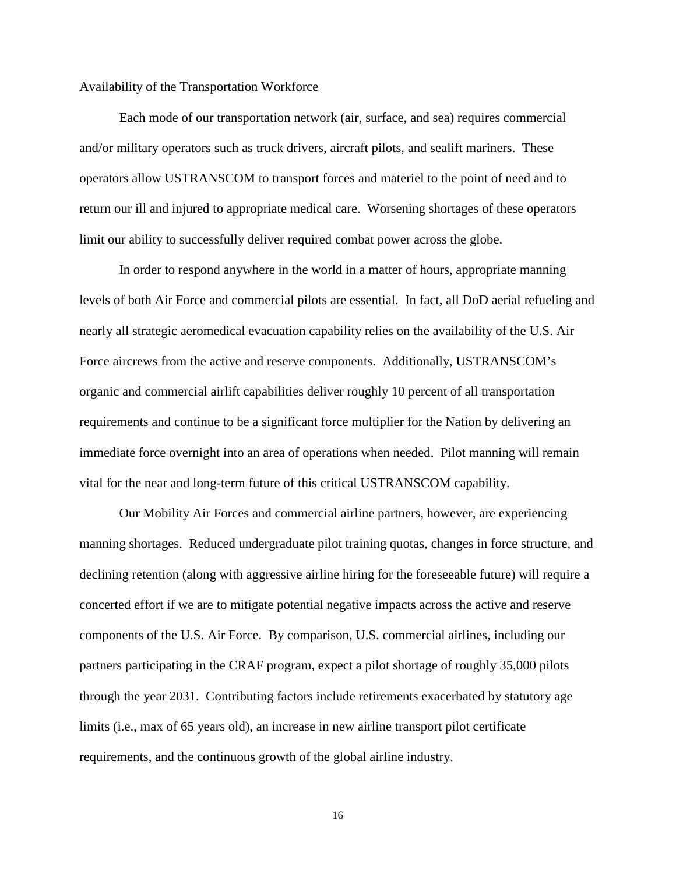#### Availability of the Transportation Workforce

Each mode of our transportation network (air, surface, and sea) requires commercial and/or military operators such as truck drivers, aircraft pilots, and sealift mariners. These operators allow USTRANSCOM to transport forces and materiel to the point of need and to return our ill and injured to appropriate medical care. Worsening shortages of these operators limit our ability to successfully deliver required combat power across the globe.

In order to respond anywhere in the world in a matter of hours, appropriate manning levels of both Air Force and commercial pilots are essential. In fact, all DoD aerial refueling and nearly all strategic aeromedical evacuation capability relies on the availability of the U.S. Air Force aircrews from the active and reserve components. Additionally, USTRANSCOM's organic and commercial airlift capabilities deliver roughly 10 percent of all transportation requirements and continue to be a significant force multiplier for the Nation by delivering an immediate force overnight into an area of operations when needed. Pilot manning will remain vital for the near and long-term future of this critical USTRANSCOM capability.

Our Mobility Air Forces and commercial airline partners, however, are experiencing manning shortages. Reduced undergraduate pilot training quotas, changes in force structure, and declining retention (along with aggressive airline hiring for the foreseeable future) will require a concerted effort if we are to mitigate potential negative impacts across the active and reserve components of the U.S. Air Force. By comparison, U.S. commercial airlines, including our partners participating in the CRAF program, expect a pilot shortage of roughly 35,000 pilots through the year 2031. Contributing factors include retirements exacerbated by statutory age limits (i.e., max of 65 years old), an increase in new airline transport pilot certificate requirements, and the continuous growth of the global airline industry.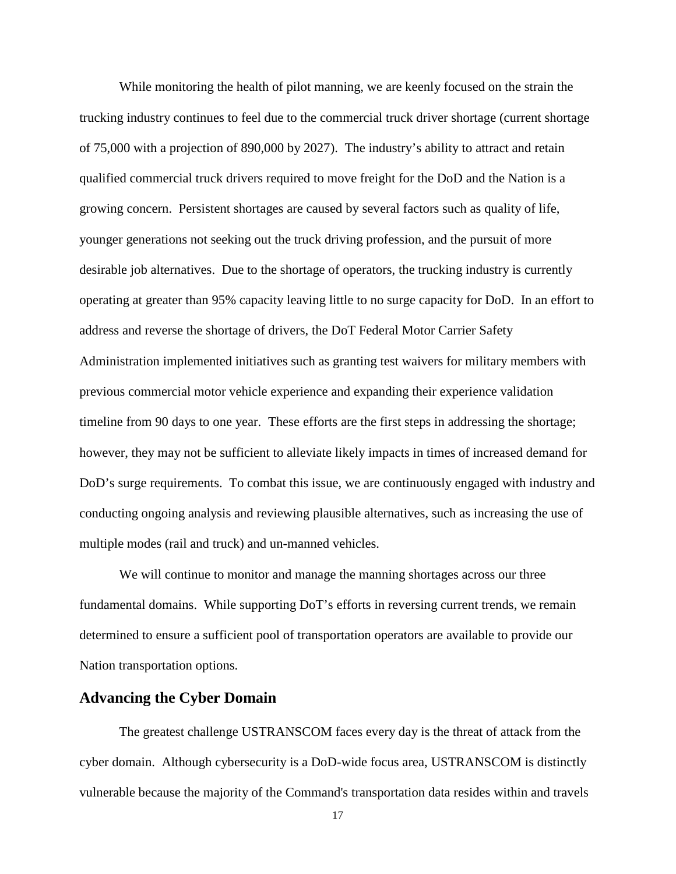While monitoring the health of pilot manning, we are keenly focused on the strain the trucking industry continues to feel due to the commercial truck driver shortage (current shortage of 75,000 with a projection of 890,000 by 2027). The industry's ability to attract and retain qualified commercial truck drivers required to move freight for the DoD and the Nation is a growing concern. Persistent shortages are caused by several factors such as quality of life, younger generations not seeking out the truck driving profession, and the pursuit of more desirable job alternatives. Due to the shortage of operators, the trucking industry is currently operating at greater than 95% capacity leaving little to no surge capacity for DoD. In an effort to address and reverse the shortage of drivers, the DoT Federal Motor Carrier Safety Administration implemented initiatives such as granting test waivers for military members with previous commercial motor vehicle experience and expanding their experience validation timeline from 90 days to one year. These efforts are the first steps in addressing the shortage; however, they may not be sufficient to alleviate likely impacts in times of increased demand for DoD's surge requirements. To combat this issue, we are continuously engaged with industry and conducting ongoing analysis and reviewing plausible alternatives, such as increasing the use of multiple modes (rail and truck) and un-manned vehicles.

We will continue to monitor and manage the manning shortages across our three fundamental domains. While supporting DoT's efforts in reversing current trends, we remain determined to ensure a sufficient pool of transportation operators are available to provide our Nation transportation options.

# **Advancing the Cyber Domain**

The greatest challenge USTRANSCOM faces every day is the threat of attack from the cyber domain. Although cybersecurity is a DoD-wide focus area, USTRANSCOM is distinctly vulnerable because the majority of the Command's transportation data resides within and travels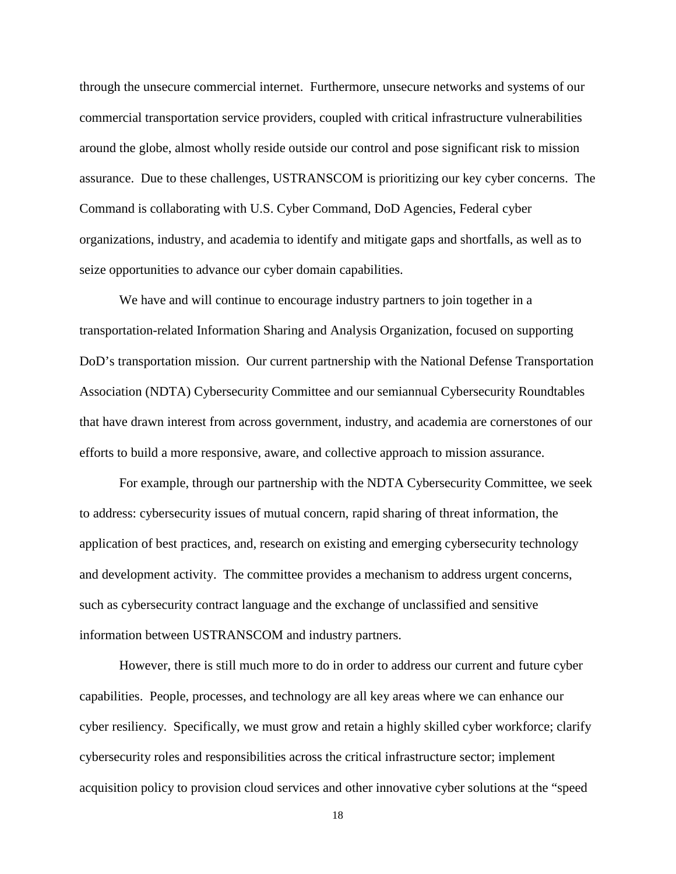through the unsecure commercial internet. Furthermore, unsecure networks and systems of our commercial transportation service providers, coupled with critical infrastructure vulnerabilities around the globe, almost wholly reside outside our control and pose significant risk to mission assurance. Due to these challenges, USTRANSCOM is prioritizing our key cyber concerns. The Command is collaborating with U.S. Cyber Command, DoD Agencies, Federal cyber organizations, industry, and academia to identify and mitigate gaps and shortfalls, as well as to seize opportunities to advance our cyber domain capabilities.

We have and will continue to encourage industry partners to join together in a transportation-related Information Sharing and Analysis Organization, focused on supporting DoD's transportation mission. Our current partnership with the National Defense Transportation Association (NDTA) Cybersecurity Committee and our semiannual Cybersecurity Roundtables that have drawn interest from across government, industry, and academia are cornerstones of our efforts to build a more responsive, aware, and collective approach to mission assurance.

For example, through our partnership with the NDTA Cybersecurity Committee, we seek to address: cybersecurity issues of mutual concern, rapid sharing of threat information, the application of best practices, and, research on existing and emerging cybersecurity technology and development activity. The committee provides a mechanism to address urgent concerns, such as cybersecurity contract language and the exchange of unclassified and sensitive information between USTRANSCOM and industry partners.

However, there is still much more to do in order to address our current and future cyber capabilities. People, processes, and technology are all key areas where we can enhance our cyber resiliency. Specifically, we must grow and retain a highly skilled cyber workforce; clarify cybersecurity roles and responsibilities across the critical infrastructure sector; implement acquisition policy to provision cloud services and other innovative cyber solutions at the "speed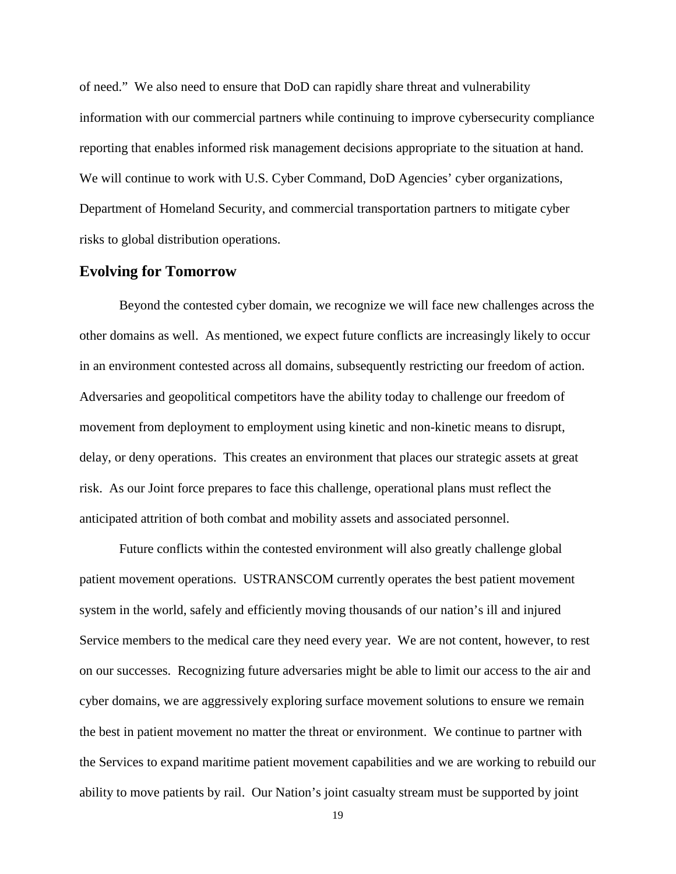of need." We also need to ensure that DoD can rapidly share threat and vulnerability information with our commercial partners while continuing to improve cybersecurity compliance reporting that enables informed risk management decisions appropriate to the situation at hand. We will continue to work with U.S. Cyber Command, DoD Agencies' cyber organizations, Department of Homeland Security, and commercial transportation partners to mitigate cyber risks to global distribution operations.

## **Evolving for Tomorrow**

Beyond the contested cyber domain, we recognize we will face new challenges across the other domains as well. As mentioned, we expect future conflicts are increasingly likely to occur in an environment contested across all domains, subsequently restricting our freedom of action. Adversaries and geopolitical competitors have the ability today to challenge our freedom of movement from deployment to employment using kinetic and non-kinetic means to disrupt, delay, or deny operations. This creates an environment that places our strategic assets at great risk. As our Joint force prepares to face this challenge, operational plans must reflect the anticipated attrition of both combat and mobility assets and associated personnel.

Future conflicts within the contested environment will also greatly challenge global patient movement operations. USTRANSCOM currently operates the best patient movement system in the world, safely and efficiently moving thousands of our nation's ill and injured Service members to the medical care they need every year. We are not content, however, to rest on our successes. Recognizing future adversaries might be able to limit our access to the air and cyber domains, we are aggressively exploring surface movement solutions to ensure we remain the best in patient movement no matter the threat or environment. We continue to partner with the Services to expand maritime patient movement capabilities and we are working to rebuild our ability to move patients by rail. Our Nation's joint casualty stream must be supported by joint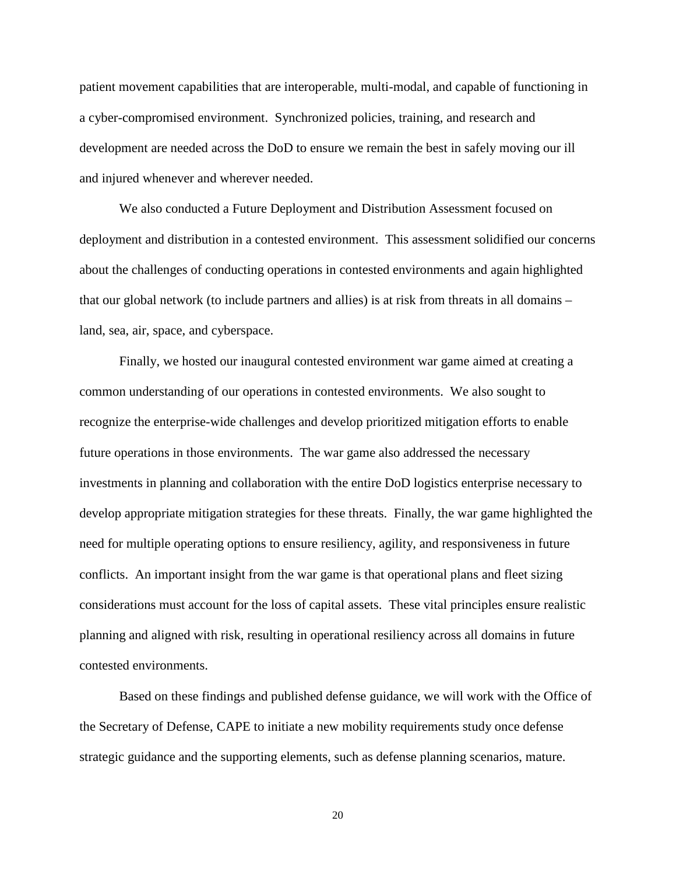patient movement capabilities that are interoperable, multi-modal, and capable of functioning in a cyber-compromised environment. Synchronized policies, training, and research and development are needed across the DoD to ensure we remain the best in safely moving our ill and injured whenever and wherever needed.

We also conducted a Future Deployment and Distribution Assessment focused on deployment and distribution in a contested environment. This assessment solidified our concerns about the challenges of conducting operations in contested environments and again highlighted that our global network (to include partners and allies) is at risk from threats in all domains – land, sea, air, space, and cyberspace.

Finally, we hosted our inaugural contested environment war game aimed at creating a common understanding of our operations in contested environments. We also sought to recognize the enterprise-wide challenges and develop prioritized mitigation efforts to enable future operations in those environments. The war game also addressed the necessary investments in planning and collaboration with the entire DoD logistics enterprise necessary to develop appropriate mitigation strategies for these threats. Finally, the war game highlighted the need for multiple operating options to ensure resiliency, agility, and responsiveness in future conflicts. An important insight from the war game is that operational plans and fleet sizing considerations must account for the loss of capital assets. These vital principles ensure realistic planning and aligned with risk, resulting in operational resiliency across all domains in future contested environments.

Based on these findings and published defense guidance, we will work with the Office of the Secretary of Defense, CAPE to initiate a new mobility requirements study once defense strategic guidance and the supporting elements, such as defense planning scenarios, mature.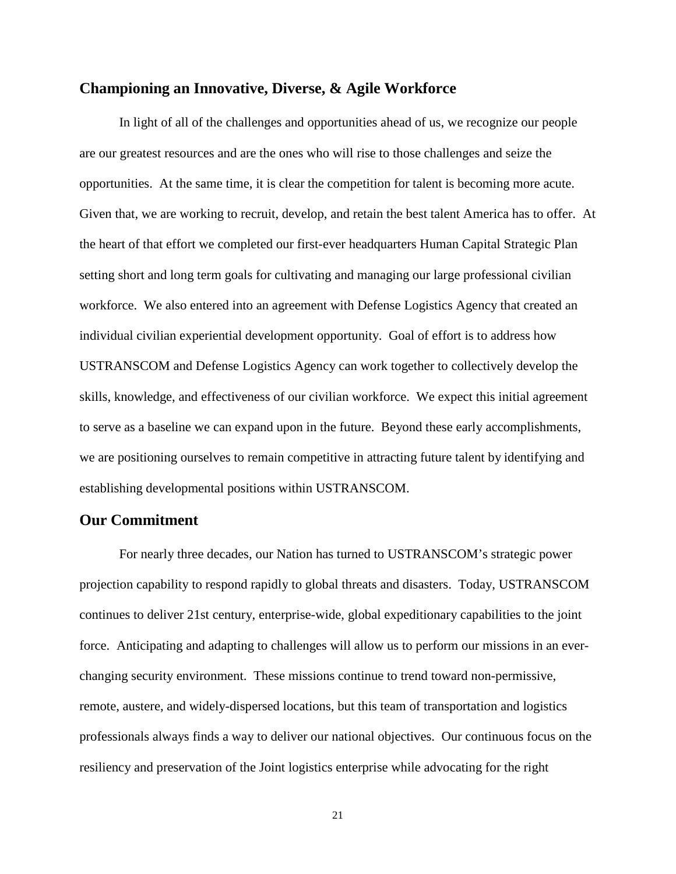## **Championing an Innovative, Diverse, & Agile Workforce**

In light of all of the challenges and opportunities ahead of us, we recognize our people are our greatest resources and are the ones who will rise to those challenges and seize the opportunities. At the same time, it is clear the competition for talent is becoming more acute. Given that, we are working to recruit, develop, and retain the best talent America has to offer. At the heart of that effort we completed our first-ever headquarters Human Capital Strategic Plan setting short and long term goals for cultivating and managing our large professional civilian workforce. We also entered into an agreement with Defense Logistics Agency that created an individual civilian experiential development opportunity. Goal of effort is to address how USTRANSCOM and Defense Logistics Agency can work together to collectively develop the skills, knowledge, and effectiveness of our civilian workforce. We expect this initial agreement to serve as a baseline we can expand upon in the future. Beyond these early accomplishments, we are positioning ourselves to remain competitive in attracting future talent by identifying and establishing developmental positions within USTRANSCOM.

# **Our Commitment**

For nearly three decades, our Nation has turned to USTRANSCOM's strategic power projection capability to respond rapidly to global threats and disasters. Today, USTRANSCOM continues to deliver 21st century, enterprise-wide, global expeditionary capabilities to the joint force. Anticipating and adapting to challenges will allow us to perform our missions in an everchanging security environment. These missions continue to trend toward non-permissive, remote, austere, and widely-dispersed locations, but this team of transportation and logistics professionals always finds a way to deliver our national objectives. Our continuous focus on the resiliency and preservation of the Joint logistics enterprise while advocating for the right